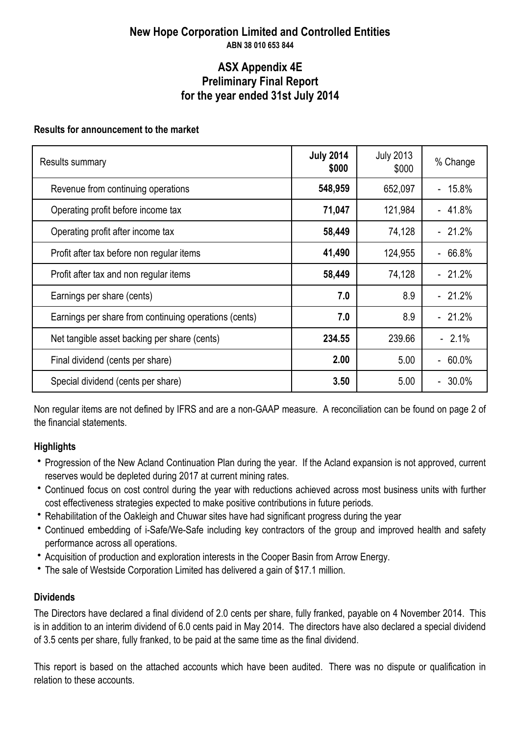### **New Hope Corporation Limited and Controlled Entities ABN 38 010 653 844**

### **ASX Appendix 4E for the year ended 31st July 2014 Preliminary Final Report**

### **Results for announcement to the market**

| Results summary                                       | <b>July 2014</b><br>\$000 | <b>July 2013</b><br>\$000 | % Change              |
|-------------------------------------------------------|---------------------------|---------------------------|-----------------------|
| Revenue from continuing operations                    | 548,959                   | 652,097                   | 15.8%<br>$\mathbf{r}$ |
| Operating profit before income tax                    | 71,047                    | 121,984                   | $-41.8%$              |
| Operating profit after income tax                     | 58,449                    | 74,128                    | $-21.2%$              |
| Profit after tax before non regular items             | 41,490                    | 124,955                   | $-66.8%$              |
| Profit after tax and non regular items                | 58,449                    | 74,128                    | $-21.2%$              |
| Earnings per share (cents)                            | 7.0                       | 8.9                       | $-21.2%$              |
| Earnings per share from continuing operations (cents) | 7.0                       | 8.9                       | $-21.2%$              |
| Net tangible asset backing per share (cents)          | 234.55                    | 239.66                    | $-2.1\%$              |
| Final dividend (cents per share)                      | 2.00                      | 5.00                      | $-60.0\%$             |
| Special dividend (cents per share)                    | 3.50                      | 5.00                      | $-30.0%$              |

Non regular items are not defined by IFRS and are a non-GAAP measure. A reconciliation can be found on page 2 of the financial statements.

### **Highlights**

- Progression of the New Acland Continuation Plan during the year. If the Acland expansion is not approved, current reserves would be depleted during 2017 at current mining rates.
- Continued focus on cost control during the year with reductions achieved across most business units with further cost effectiveness strategies expected to make positive contributions in future periods.
- Rehabilitation of the Oakleigh and Chuwar sites have had significant progress during the year
- Continued embedding of i-Safe/We-Safe including key contractors of the group and improved health and safety performance across all operations.
- Acquisition of production and exploration interests in the Cooper Basin from Arrow Energy.
- The sale of Westside Corporation Limited has delivered a gain of \$17.1 million.

### **Dividends**

The Directors have declared a final dividend of 2.0 cents per share, fully franked, payable on 4 November 2014. This is in addition to an interim dividend of 6.0 cents paid in May 2014. The directors have also declared a special dividend of 3.5 cents per share, fully franked, to be paid at the same time as the final dividend.

This report is based on the attached accounts which have been audited. There was no dispute or qualification in relation to these accounts.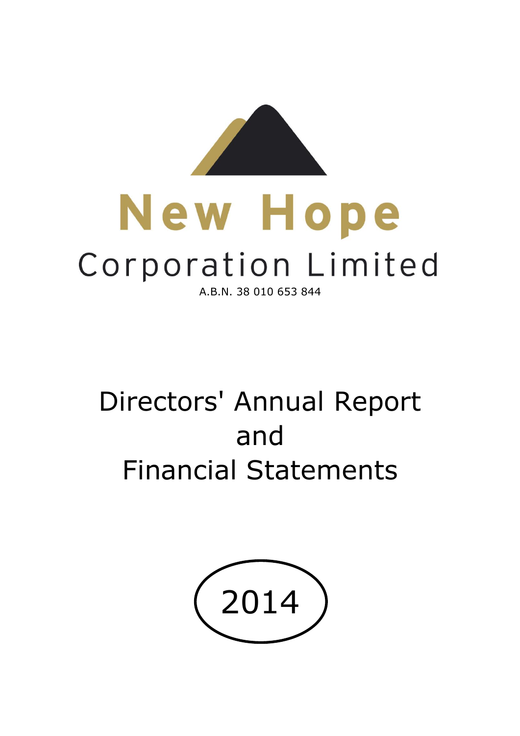

# New Hope Corporation Limited A.B.N. 38 010 653 844

# Directors' Annual Report and Financial Statements

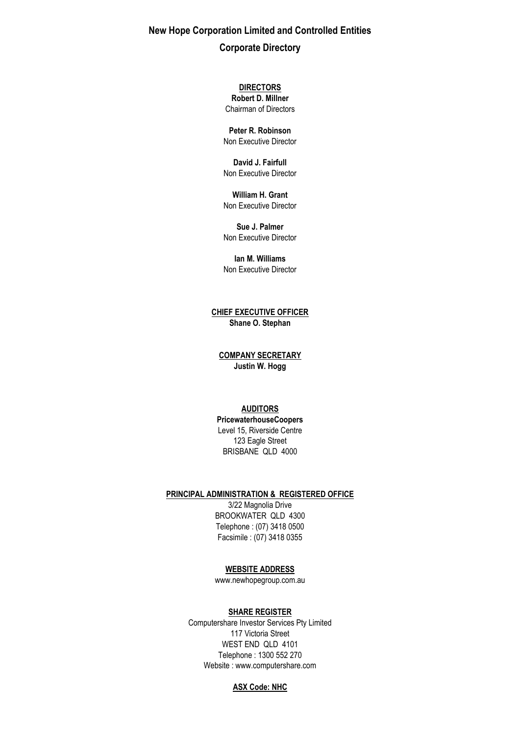**New Hope Corporation Limited and Controlled Entities Corporate Directory**

**DIRECTORS**

Chairman of Directors **Robert D. Millner**

**Peter R. Robinson** Non Executive Director

**David J. Fairfull** Non Executive Director

Non Executive Director **William H. Grant**

**Sue J. Palmer** Non Executive Director

Non Executive Director **Ian M. Williams**

**CHIEF EXECUTIVE OFFICER Shane O. Stephan**

**COMPANY SECRETARY Justin W. Hogg**

### **AUDITORS**

123 Eagle Street BRISBANE QLD 4000 **PricewaterhouseCoopers** Level 15, Riverside Centre

#### **PRINCIPAL ADMINISTRATION & REGISTERED OFFICE**

Facsimile : (07) 3418 0355 Telephone : (07) 3418 0500 3/22 Magnolia Drive BROOKWATER QLD 4300

### **WEBSITE ADDRESS**

www.newhopegroup.com.au

### **SHARE REGISTER**

WEST END QLD 4101 Telephone : 1300 552 270 Website : www.computershare.com Computershare Investor Services Pty Limited 117 Victoria Street

#### **ASX Code: NHC**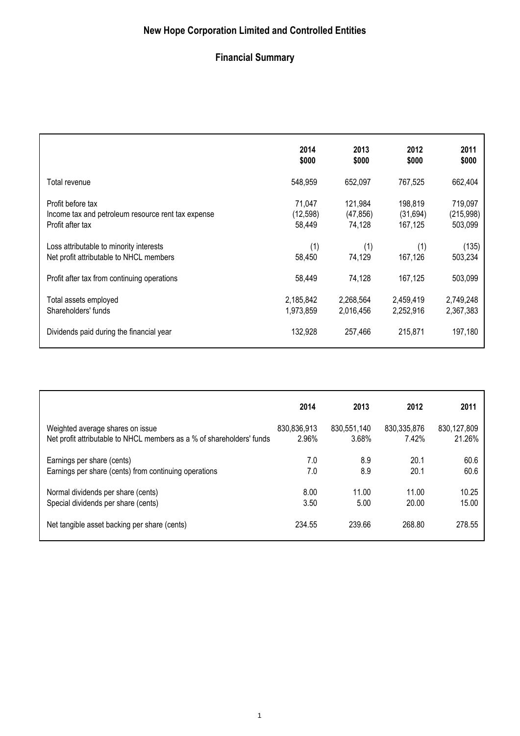# **Financial Summary**

|                                                    | 2014      | 2013      | 2012      | 2011       |
|----------------------------------------------------|-----------|-----------|-----------|------------|
|                                                    | \$000     | \$000     | \$000     | \$000      |
| Total revenue                                      | 548,959   | 652,097   | 767,525   | 662,404    |
| Profit before tax                                  | 71,047    | 121,984   | 198,819   | 719,097    |
| Income tax and petroleum resource rent tax expense | (12, 598) | (47, 856) | (31, 694) | (215, 998) |
| Profit after tax                                   | 58,449    | 74,128    | 167,125   | 503,099    |
| Loss attributable to minority interests            | (1)       | (1)       | (1)       | (135)      |
| Net profit attributable to NHCL members            | 58,450    | 74,129    | 167,126   | 503,234    |
| Profit after tax from continuing operations        | 58,449    | 74,128    | 167,125   | 503,099    |
| Total assets employed                              | 2,185,842 | 2,268,564 | 2,459,419 | 2,749,248  |
| Shareholders' funds                                | 1,973,859 | 2,016,456 | 2,252,916 | 2,367,383  |
| Dividends paid during the financial year           | 132,928   | 257.466   | 215,871   | 197,180    |

|                                                                       | 2014        | 2013        | 2012        | 2011        |
|-----------------------------------------------------------------------|-------------|-------------|-------------|-------------|
| Weighted average shares on issue                                      | 830,836,913 | 830,551,140 | 830.335.876 | 830,127,809 |
| Net profit attributable to NHCL members as a % of shareholders' funds | 2.96%       | 3.68%       | 7.42%       | 21.26%      |
| Earnings per share (cents)                                            | 7.0         | 8.9         | 20.1        | 60.6        |
| Earnings per share (cents) from continuing operations                 | 7.0         | 8.9         | 20.1        | 60.6        |
| Normal dividends per share (cents)                                    | 8.00        | 11.00       | 11.00       | 10.25       |
| Special dividends per share (cents)                                   | 3.50        | 5.00        | 20.00       | 15.00       |
| Net tangible asset backing per share (cents)                          | 234.55      | 239.66      | 268.80      | 278.55      |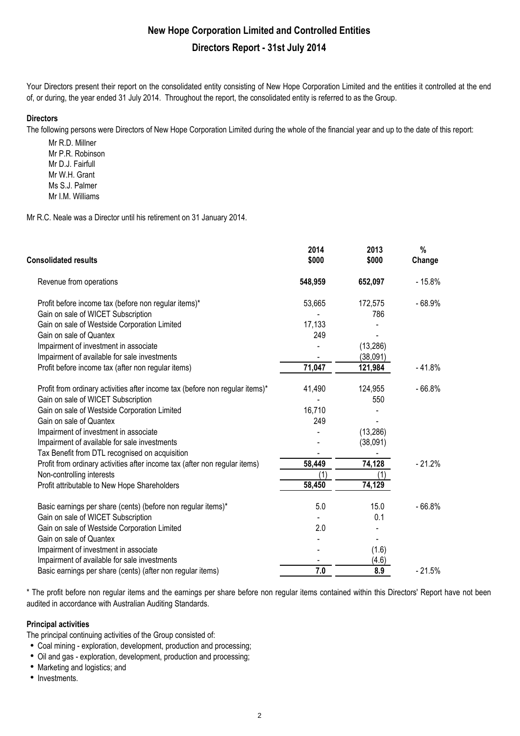Your Directors present their report on the consolidated entity consisting of New Hope Corporation Limited and the entities it controlled at the end of, or during, the year ended 31 July 2014. Throughout the report, the consolidated entity is referred to as the Group.

### **Directors**

The following persons were Directors of New Hope Corporation Limited during the whole of the financial year and up to the date of this report:

Mr R.D. Millner Mr P.R. Robinson Mr D.J. Fairfull Mr W.H. Grant Ms S.J. Palmer Mr I.M. Williams

Mr R.C. Neale was a Director until his retirement on 31 January 2014.

| <b>Consolidated results</b>                                                  | 2014<br>\$000 | 2013<br>\$000 | %<br>Change |
|------------------------------------------------------------------------------|---------------|---------------|-------------|
| Revenue from operations                                                      | 548,959       | 652,097       | $-15.8%$    |
| Profit before income tax (before non regular items)*                         | 53,665        | 172,575       | $-68.9%$    |
| Gain on sale of WICET Subscription                                           |               | 786           |             |
| Gain on sale of Westside Corporation Limited                                 | 17,133        |               |             |
| Gain on sale of Quantex                                                      | 249           |               |             |
| Impairment of investment in associate                                        |               | (13, 286)     |             |
| Impairment of available for sale investments                                 |               | (38,091)      |             |
| Profit before income tax (after non regular items)                           | 71,047        | 121,984       | $-41.8%$    |
| Profit from ordinary activities after income tax (before non regular items)* | 41,490        | 124,955       | $-66.8%$    |
| Gain on sale of WICET Subscription                                           |               | 550           |             |
| Gain on sale of Westside Corporation Limited                                 | 16,710        |               |             |
| Gain on sale of Quantex                                                      | 249           |               |             |
| Impairment of investment in associate                                        |               | (13, 286)     |             |
| Impairment of available for sale investments                                 |               | (38,091)      |             |
| Tax Benefit from DTL recognised on acquisition                               |               |               |             |
| Profit from ordinary activities after income tax (after non regular items)   | 58,449        | 74,128        | $-21.2%$    |
| Non-controlling interests                                                    | (1)           | (1)           |             |
| Profit attributable to New Hope Shareholders                                 | 58,450        | 74,129        |             |
| Basic earnings per share (cents) (before non regular items)*                 | 5.0           | 15.0          | $-66.8%$    |
| Gain on sale of WICET Subscription                                           |               | 0.1           |             |
| Gain on sale of Westside Corporation Limited                                 | 2.0           |               |             |
| Gain on sale of Quantex                                                      |               |               |             |
| Impairment of investment in associate                                        |               | (1.6)         |             |
| Impairment of available for sale investments                                 |               | (4.6)         |             |
| Basic earnings per share (cents) (after non regular items)                   | 7.0           | 8.9           | $-21.5%$    |

\* The profit before non regular items and the earnings per share before non regular items contained within this Directors' Report have not been audited in accordance with Australian Auditing Standards.

### **Principal activities**

The principal continuing activities of the Group consisted of:

- Coal mining exploration, development, production and processing;
- Oil and gas exploration, development, production and processing;
- Marketing and logistics; and
- $\bullet$  Investments.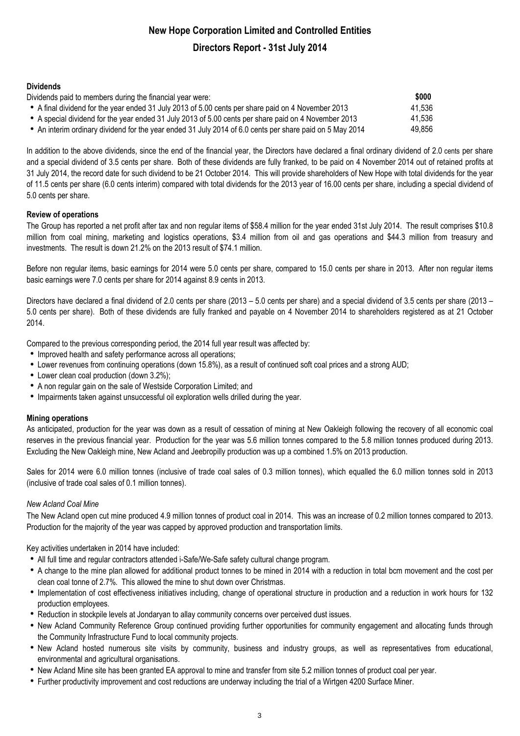### **Dividends**

| Dividends paid to members during the financial year were:                                                | \$000  |
|----------------------------------------------------------------------------------------------------------|--------|
| • A final dividend for the year ended 31 July 2013 of 5.00 cents per share paid on 4 November 2013       | 41,536 |
| • A special dividend for the year ended 31 July 2013 of 5.00 cents per share paid on 4 November 2013     | 41,536 |
| • An interim ordinary dividend for the year ended 31 July 2014 of 6.0 cents per share paid on 5 May 2014 | 49,856 |

In addition to the above dividends, since the end of the financial year, the Directors have declared a final ordinary dividend of 2.0 cents per share and a special dividend of 3.5 cents per share. Both of these dividends are fully franked, to be paid on 4 November 2014 out of retained profits at 31 July 2014, the record date for such dividend to be 21 October 2014. This will provide shareholders of New Hope with total dividends for the year of 11.5 cents per share (6.0 cents interim) compared with total dividends for the 2013 year of 16.00 cents per share, including a special dividend of 5.0 cents per share.

### **Review of operations**

The Group has reported a net profit after tax and non regular items of \$58.4 million for the year ended 31st July 2014. The result comprises \$10.8 million from coal mining, marketing and logistics operations, \$3.4 million from oil and gas operations and \$44.3 million from treasury and investments. The result is down 21.2% on the 2013 result of \$74.1 million.

Before non regular items, basic earnings for 2014 were 5.0 cents per share, compared to 15.0 cents per share in 2013. After non regular items basic earnings were 7.0 cents per share for 2014 against 8.9 cents in 2013.

Directors have declared a final dividend of 2.0 cents per share (2013 – 5.0 cents per share) and a special dividend of 3.5 cents per share (2013 – 5.0 cents per share). Both of these dividends are fully franked and payable on 4 November 2014 to shareholders registered as at 21 October 2014.

Compared to the previous corresponding period, the 2014 full year result was affected by:

- Improved health and safety performance across all operations;
- Lower revenues from continuing operations (down 15.8%), as a result of continued soft coal prices and a strong AUD;
- Lower clean coal production (down 3.2%);
- A non regular gain on the sale of Westside Corporation Limited; and
- Impairments taken against unsuccessful oil exploration wells drilled during the year.

### **Mining operations**

As anticipated, production for the year was down as a result of cessation of mining at New Oakleigh following the recovery of all economic coal reserves in the previous financial year. Production for the year was 5.6 million tonnes compared to the 5.8 million tonnes produced during 2013. Excluding the New Oakleigh mine, New Acland and Jeebropilly production was up a combined 1.5% on 2013 production.

Sales for 2014 were 6.0 million tonnes (inclusive of trade coal sales of 0.3 million tonnes), which equalled the 6.0 million tonnes sold in 2013 (inclusive of trade coal sales of 0.1 million tonnes).

### *New Acland Coal Mine*

The New Acland open cut mine produced 4.9 million tonnes of product coal in 2014. This was an increase of 0.2 million tonnes compared to 2013. Production for the majority of the year was capped by approved production and transportation limits.

Key activities undertaken in 2014 have included:

- All full time and regular contractors attended i-Safe/We-Safe safety cultural change program.
- A change to the mine plan allowed for additional product tonnes to be mined in 2014 with a reduction in total bcm movement and the cost per clean coal tonne of 2.7%. This allowed the mine to shut down over Christmas.
- Implementation of cost effectiveness initiatives including, change of operational structure in production and a reduction in work hours for 132 production employees.
- Reduction in stockpile levels at Jondaryan to allay community concerns over perceived dust issues.
- New Acland Community Reference Group continued providing further opportunities for community engagement and allocating funds through the Community Infrastructure Fund to local community projects.
- New Acland hosted numerous site visits by community, business and industry groups, as well as representatives from educational, environmental and agricultural organisations.
- New Acland Mine site has been granted EA approval to mine and transfer from site 5.2 million tonnes of product coal per year.
- Further productivity improvement and cost reductions are underway including the trial of a Wirtgen 4200 Surface Miner.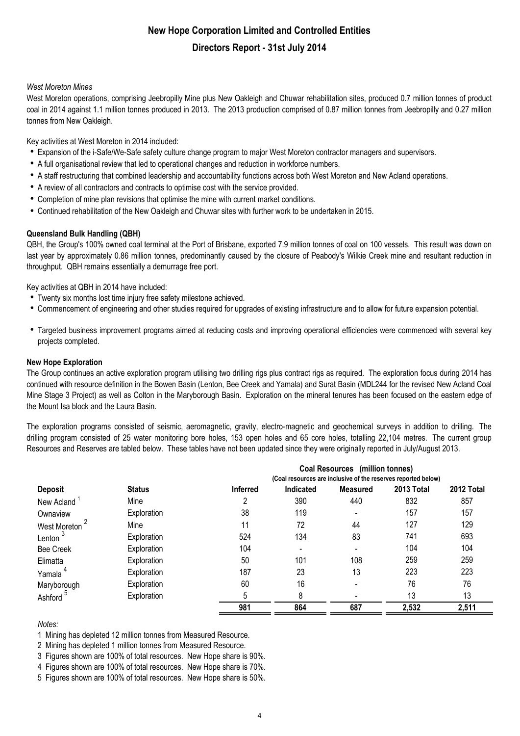### *West Moreton Mines*

West Moreton operations, comprising Jeebropilly Mine plus New Oakleigh and Chuwar rehabilitation sites, produced 0.7 million tonnes of product coal in 2014 against 1.1 million tonnes produced in 2013. The 2013 production comprised of 0.87 million tonnes from Jeebropilly and 0.27 million tonnes from New Oakleigh.

Key activities at West Moreton in 2014 included:

- Expansion of the i-Safe/We-Safe safety culture change program to major West Moreton contractor managers and supervisors.
- A full organisational review that led to operational changes and reduction in workforce numbers.
- A staff restructuring that combined leadership and accountability functions across both West Moreton and New Acland operations.
- A review of all contractors and contracts to optimise cost with the service provided.
- Completion of mine plan revisions that optimise the mine with current market conditions.
- Continued rehabilitation of the New Oakleigh and Chuwar sites with further work to be undertaken in 2015.

### **Queensland Bulk Handling (QBH)**

QBH, the Group's 100% owned coal terminal at the Port of Brisbane, exported 7.9 million tonnes of coal on 100 vessels. This result was down on last year by approximately 0.86 million tonnes, predominantly caused by the closure of Peabody's Wilkie Creek mine and resultant reduction in throughput. QBH remains essentially a demurrage free port.

Key activities at QBH in 2014 have included:

- Twenty six months lost time injury free safety milestone achieved.
- Commencement of engineering and other studies required for upgrades of existing infrastructure and to allow for future expansion potential.
- Targeted business improvement programs aimed at reducing costs and improving operational efficiencies were commenced with several key projects completed.

### **New Hope Exploration**

The Group continues an active exploration program utilising two drilling rigs plus contract rigs as required. The exploration focus during 2014 has continued with resource definition in the Bowen Basin (Lenton, Bee Creek and Yamala) and Surat Basin (MDL244 for the revised New Acland Coal Mine Stage 3 Project) as well as Colton in the Maryborough Basin. Exploration on the mineral tenures has been focused on the eastern edge of the Mount Isa block and the Laura Basin.

The exploration programs consisted of seismic, aeromagnetic, gravity, electro-magnetic and geochemical surveys in addition to drilling. The drilling program consisted of 25 water monitoring bore holes, 153 open holes and 65 core holes, totalling 22,104 metres. The current group Resources and Reserves are tabled below. These tables have not been updated since they were originally reported in July/August 2013.

|                         |               |                                                               |                              | Coal Resources (million tonnes) |            |            |  |
|-------------------------|---------------|---------------------------------------------------------------|------------------------------|---------------------------------|------------|------------|--|
| <b>Deposit</b>          |               | (Coal resources are inclusive of the reserves reported below) |                              |                                 |            |            |  |
|                         | <b>Status</b> | <b>Inferred</b>                                               | Indicated                    | <b>Measured</b>                 | 2013 Total | 2012 Total |  |
| New Acland <sup>1</sup> | Mine          |                                                               | 390                          | 440                             | 832        | 857        |  |
| Ownaview                | Exploration   | 38                                                            | 119                          | $\overline{\phantom{a}}$        | 157        | 157        |  |
| West Moreton            | Mine          | 11                                                            | 72                           | 44                              | 127        | 129        |  |
| Lenton <sup>3</sup>     | Exploration   | 524                                                           | 134                          | 83                              | 741        | 693        |  |
| <b>Bee Creek</b>        | Exploration   | 104                                                           | $\qquad \qquad \blacksquare$ | $\overline{\phantom{a}}$        | 104        | 104        |  |
| Elimatta                | Exploration   | 50                                                            | 101                          | 108                             | 259        | 259        |  |
| Yamala                  | Exploration   | 187                                                           | 23                           | 13                              | 223        | 223        |  |
| Maryborough             | Exploration   | 60                                                            | 16                           |                                 | 76         | 76         |  |
| Ashford <sup>5</sup>    | Exploration   | 5                                                             | 8                            |                                 | 13         | 13         |  |
|                         |               | 981                                                           | 864                          | 687                             | 2,532      | 2,511      |  |

### *Notes:*

1 Mining has depleted 12 million tonnes from Measured Resource.

2 Mining has depleted 1 million tonnes from Measured Resource.

3 Figures shown are 100% of total resources. New Hope share is 90%.

4 Figures shown are 100% of total resources. New Hope share is 70%.

5 Figures shown are 100% of total resources. New Hope share is 50%.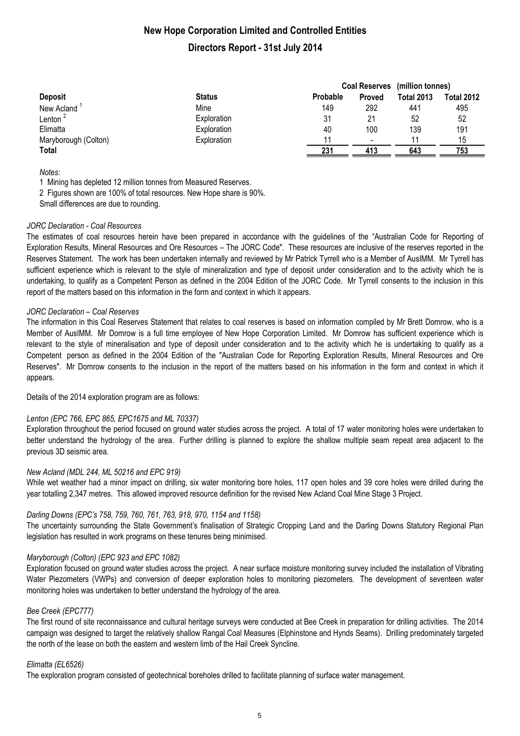|                         |               |          |                          | Coal Reserves (million tonnes) |                   |
|-------------------------|---------------|----------|--------------------------|--------------------------------|-------------------|
| <b>Deposit</b>          | <b>Status</b> | Probable | Proved                   | <b>Total 2013</b>              | <b>Total 2012</b> |
| New Acland <sup>1</sup> | Mine          | 149      | 292                      | 441                            | 495               |
| Lenton $^2$             | Exploration   | 31       | 21                       | 52                             | 52                |
| Elimatta                | Exploration   | 40       | 100                      | 139                            | 191               |
| Maryborough (Colton)    | Exploration   | 11       | $\overline{\phantom{a}}$ | 11                             | 15                |
| <b>Total</b>            |               | 231      | 413                      | 643                            | 753               |

*Notes:*

1 Mining has depleted 12 million tonnes from Measured Reserves.

2 Figures shown are 100% of total resources. New Hope share is 90%.

Small differences are due to rounding.

### *JORC Declaration - Coal Resources*

The estimates of coal resources herein have been prepared in accordance with the guidelines of the "Australian Code for Reporting of Exploration Results, Mineral Resources and Ore Resources – The JORC Code". These resources are inclusive of the reserves reported in the Reserves Statement. The work has been undertaken internally and reviewed by Mr Patrick Tyrrell who is a Member of AusIMM. Mr Tyrrell has sufficient experience which is relevant to the style of mineralization and type of deposit under consideration and to the activity which he is undertaking, to qualify as a Competent Person as defined in the 2004 Edition of the JORC Code. Mr Tyrrell consents to the inclusion in this report of the matters based on this information in the form and context in which it appears.

### *JORC Declaration – Coal Reserves*

The information in this Coal Reserves Statement that relates to coal reserves is based on information compiled by Mr Brett Domrow, who is a Member of AusIMM. Mr Domrow is a full time employee of New Hope Corporation Limited. Mr Domrow has sufficient experience which is relevant to the style of mineralisation and type of deposit under consideration and to the activity which he is undertaking to qualify as a Competent person as defined in the 2004 Edition of the "Australian Code for Reporting Exploration Results, Mineral Resources and Ore Reserves". Mr Domrow consents to the inclusion in the report of the matters based on his information in the form and context in which it appears.

Details of the 2014 exploration program are as follows:

### *Lenton (EPC 766, EPC 865, EPC1675 and ML 70337)*

Exploration throughout the period focused on ground water studies across the project. A total of 17 water monitoring holes were undertaken to better understand the hydrology of the area. Further drilling is planned to explore the shallow multiple seam repeat area adjacent to the previous 3D seismic area.

### *New Acland (MDL 244, ML 50216 and EPC 919)*

While wet weather had a minor impact on drilling, six water monitoring bore holes, 117 open holes and 39 core holes were drilled during the year totalling 2,347 metres. This allowed improved resource definition for the revised New Acland Coal Mine Stage 3 Project.

### *Darling Downs (EPC's 758, 759, 760, 761, 763, 918, 970, 1154 and 1158)*

The uncertainty surrounding the State Government's finalisation of Strategic Cropping Land and the Darling Downs Statutory Regional Plan legislation has resulted in work programs on these tenures being minimised.

### *Maryborough (Colton) (EPC 923 and EPC 1082)*

Exploration focused on ground water studies across the project. A near surface moisture monitoring survey included the installation of Vibrating Water Piezometers (VWPs) and conversion of deeper exploration holes to monitoring piezometers. The development of seventeen water monitoring holes was undertaken to better understand the hydrology of the area.

### *Bee Creek (EPC777)*

The first round of site reconnaissance and cultural heritage surveys were conducted at Bee Creek in preparation for drilling activities. The 2014 campaign was designed to target the relatively shallow Rangal Coal Measures (Elphinstone and Hynds Seams). Drilling predominately targeted the north of the lease on both the eastern and western limb of the Hail Creek Syncline.

### *Elimatta (EL6526)*

The exploration program consisted of geotechnical boreholes drilled to facilitate planning of surface water management.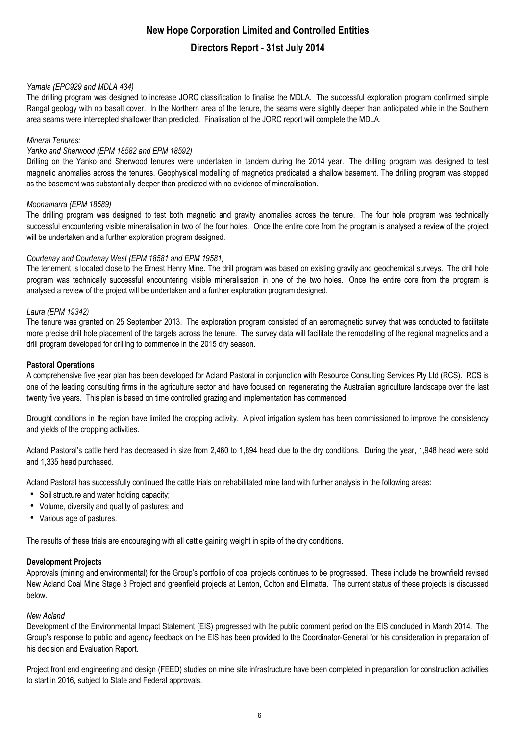### *Yamala (EPC929 and MDLA 434)*

The drilling program was designed to increase JORC classification to finalise the MDLA. The successful exploration program confirmed simple Rangal geology with no basalt cover. In the Northern area of the tenure, the seams were slightly deeper than anticipated while in the Southern area seams were intercepted shallower than predicted. Finalisation of the JORC report will complete the MDLA.

### *Mineral Tenures:*

### *Yanko and Sherwood (EPM 18582 and EPM 18592)*

Drilling on the Yanko and Sherwood tenures were undertaken in tandem during the 2014 year. The drilling program was designed to test magnetic anomalies across the tenures. Geophysical modelling of magnetics predicated a shallow basement. The drilling program was stopped as the basement was substantially deeper than predicted with no evidence of mineralisation.

### *Moonamarra (EPM 18589)*

The drilling program was designed to test both magnetic and gravity anomalies across the tenure. The four hole program was technically successful encountering visible mineralisation in two of the four holes. Once the entire core from the program is analysed a review of the project will be undertaken and a further exploration program designed.

### *Courtenay and Courtenay West (EPM 18581 and EPM 19581)*

The tenement is located close to the Ernest Henry Mine. The drill program was based on existing gravity and geochemical surveys. The drill hole program was technically successful encountering visible mineralisation in one of the two holes. Once the entire core from the program is analysed a review of the project will be undertaken and a further exploration program designed.

### *Laura (EPM 19342)*

The tenure was granted on 25 September 2013. The exploration program consisted of an aeromagnetic survey that was conducted to facilitate more precise drill hole placement of the targets across the tenure. The survey data will facilitate the remodelling of the regional magnetics and a drill program developed for drilling to commence in the 2015 dry season.

### **Pastoral Operations**

A comprehensive five year plan has been developed for Acland Pastoral in conjunction with Resource Consulting Services Pty Ltd (RCS). RCS is one of the leading consulting firms in the agriculture sector and have focused on regenerating the Australian agriculture landscape over the last twenty five years. This plan is based on time controlled grazing and implementation has commenced.

Drought conditions in the region have limited the cropping activity. A pivot irrigation system has been commissioned to improve the consistency and yields of the cropping activities.

Acland Pastoral's cattle herd has decreased in size from 2,460 to 1,894 head due to the dry conditions. During the year, 1,948 head were sold and 1,335 head purchased.

Acland Pastoral has successfully continued the cattle trials on rehabilitated mine land with further analysis in the following areas:

- Soil structure and water holding capacity;
- Volume, diversity and quality of pastures; and
- Various age of pastures.

The results of these trials are encouraging with all cattle gaining weight in spite of the dry conditions.

### **Development Projects**

Approvals (mining and environmental) for the Group's portfolio of coal projects continues to be progressed. These include the brownfield revised New Acland Coal Mine Stage 3 Project and greenfield projects at Lenton, Colton and Elimatta. The current status of these projects is discussed below.

### *New Acland*

Development of the Environmental Impact Statement (EIS) progressed with the public comment period on the EIS concluded in March 2014. The Group's response to public and agency feedback on the EIS has been provided to the Coordinator-General for his consideration in preparation of his decision and Evaluation Report.

Project front end engineering and design (FEED) studies on mine site infrastructure have been completed in preparation for construction activities to start in 2016, subject to State and Federal approvals.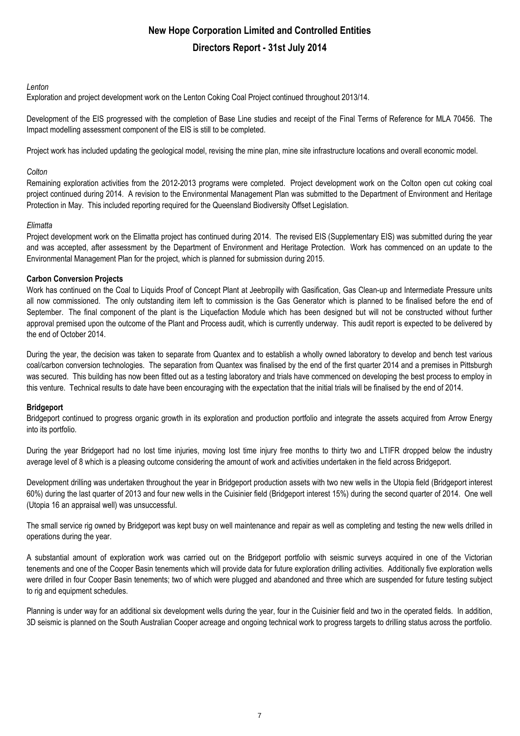### *Lenton*

Exploration and project development work on the Lenton Coking Coal Project continued throughout 2013/14.

Development of the EIS progressed with the completion of Base Line studies and receipt of the Final Terms of Reference for MLA 70456. The Impact modelling assessment component of the EIS is still to be completed.

Project work has included updating the geological model, revising the mine plan, mine site infrastructure locations and overall economic model.

### *Colton*

Remaining exploration activities from the 2012-2013 programs were completed. Project development work on the Colton open cut coking coal project continued during 2014. A revision to the Environmental Management Plan was submitted to the Department of Environment and Heritage Protection in May. This included reporting required for the Queensland Biodiversity Offset Legislation.

### *Elimatta*

Project development work on the Elimatta project has continued during 2014. The revised EIS (Supplementary EIS) was submitted during the year and was accepted, after assessment by the Department of Environment and Heritage Protection. Work has commenced on an update to the Environmental Management Plan for the project, which is planned for submission during 2015.

### **Carbon Conversion Projects**

Work has continued on the Coal to Liquids Proof of Concept Plant at Jeebropilly with Gasification, Gas Clean-up and Intermediate Pressure units all now commissioned. The only outstanding item left to commission is the Gas Generator which is planned to be finalised before the end of September. The final component of the plant is the Liquefaction Module which has been designed but will not be constructed without further approval premised upon the outcome of the Plant and Process audit, which is currently underway. This audit report is expected to be delivered by the end of October 2014.

During the year, the decision was taken to separate from Quantex and to establish a wholly owned laboratory to develop and bench test various coal/carbon conversion technologies. The separation from Quantex was finalised by the end of the first quarter 2014 and a premises in Pittsburgh was secured. This building has now been fitted out as a testing laboratory and trials have commenced on developing the best process to employ in this venture. Technical results to date have been encouraging with the expectation that the initial trials will be finalised by the end of 2014.

### **Bridgeport**

Bridgeport continued to progress organic growth in its exploration and production portfolio and integrate the assets acquired from Arrow Energy into its portfolio.

During the year Bridgeport had no lost time injuries, moving lost time injury free months to thirty two and LTIFR dropped below the industry average level of 8 which is a pleasing outcome considering the amount of work and activities undertaken in the field across Bridgeport.

Development drilling was undertaken throughout the year in Bridgeport production assets with two new wells in the Utopia field (Bridgeport interest 60%) during the last quarter of 2013 and four new wells in the Cuisinier field (Bridgeport interest 15%) during the second quarter of 2014. One well (Utopia 16 an appraisal well) was unsuccessful.

The small service rig owned by Bridgeport was kept busy on well maintenance and repair as well as completing and testing the new wells drilled in operations during the year.

A substantial amount of exploration work was carried out on the Bridgeport portfolio with seismic surveys acquired in one of the Victorian tenements and one of the Cooper Basin tenements which will provide data for future exploration drilling activities. Additionally five exploration wells were drilled in four Cooper Basin tenements; two of which were plugged and abandoned and three which are suspended for future testing subject to rig and equipment schedules.

Planning is under way for an additional six development wells during the year, four in the Cuisinier field and two in the operated fields. In addition, 3D seismic is planned on the South Australian Cooper acreage and ongoing technical work to progress targets to drilling status across the portfolio.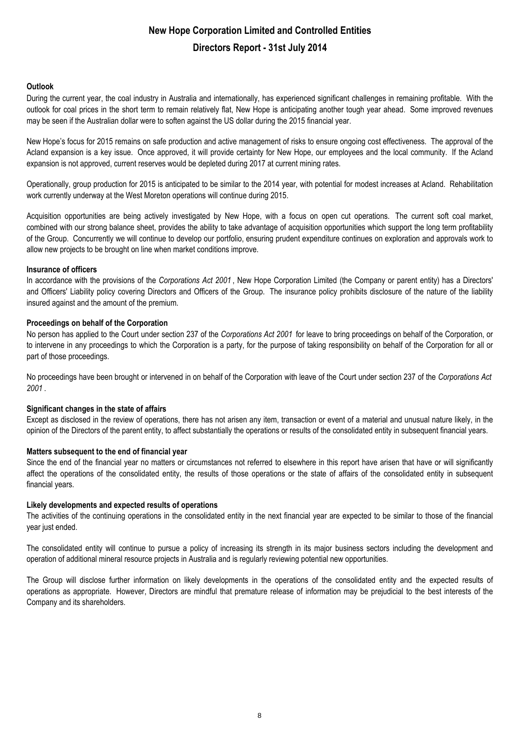### **Outlook**

During the current year, the coal industry in Australia and internationally, has experienced significant challenges in remaining profitable. With the outlook for coal prices in the short term to remain relatively flat, New Hope is anticipating another tough year ahead. Some improved revenues may be seen if the Australian dollar were to soften against the US dollar during the 2015 financial year.

New Hope's focus for 2015 remains on safe production and active management of risks to ensure ongoing cost effectiveness. The approval of the Acland expansion is a key issue. Once approved, it will provide certainty for New Hope, our employees and the local community. If the Acland expansion is not approved, current reserves would be depleted during 2017 at current mining rates.

Operationally, group production for 2015 is anticipated to be similar to the 2014 year, with potential for modest increases at Acland. Rehabilitation work currently underway at the West Moreton operations will continue during 2015.

Acquisition opportunities are being actively investigated by New Hope, with a focus on open cut operations. The current soft coal market, combined with our strong balance sheet, provides the ability to take advantage of acquisition opportunities which support the long term profitability of the Group. Concurrently we will continue to develop our portfolio, ensuring prudent expenditure continues on exploration and approvals work to allow new projects to be brought on line when market conditions improve.

### **Insurance of officers**

In accordance with the provisions of the *Corporations Act 2001* , New Hope Corporation Limited (the Company or parent entity) has a Directors' and Officers' Liability policy covering Directors and Officers of the Group. The insurance policy prohibits disclosure of the nature of the liability insured against and the amount of the premium.

### **Proceedings on behalf of the Corporation**

No person has applied to the Court under section 237 of the *Corporations Act 2001* for leave to bring proceedings on behalf of the Corporation, or to intervene in any proceedings to which the Corporation is a party, for the purpose of taking responsibility on behalf of the Corporation for all or part of those proceedings.

No proceedings have been brought or intervened in on behalf of the Corporation with leave of the Court under section 237 of the *Corporations Act 2001* .

### **Significant changes in the state of affairs**

Except as disclosed in the review of operations, there has not arisen any item, transaction or event of a material and unusual nature likely, in the opinion of the Directors of the parent entity, to affect substantially the operations or results of the consolidated entity in subsequent financial years.

### **Matters subsequent to the end of financial year**

Since the end of the financial year no matters or circumstances not referred to elsewhere in this report have arisen that have or will significantly affect the operations of the consolidated entity, the results of those operations or the state of affairs of the consolidated entity in subsequent financial years.

### **Likely developments and expected results of operations**

The activities of the continuing operations in the consolidated entity in the next financial year are expected to be similar to those of the financial year just ended.

The consolidated entity will continue to pursue a policy of increasing its strength in its major business sectors including the development and operation of additional mineral resource projects in Australia and is regularly reviewing potential new opportunities.

The Group will disclose further information on likely developments in the operations of the consolidated entity and the expected results of operations as appropriate. However, Directors are mindful that premature release of information may be prejudicial to the best interests of the Company and its shareholders.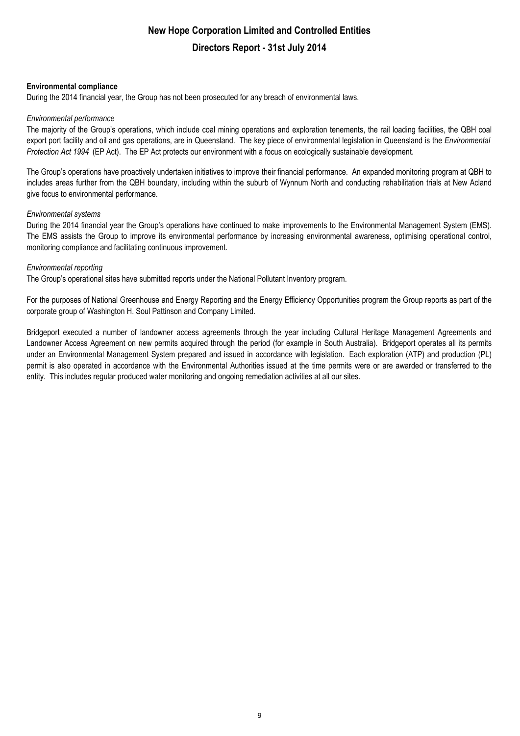### **Environmental compliance**

During the 2014 financial year, the Group has not been prosecuted for any breach of environmental laws.

### *Environmental performance*

The majority of the Group's operations, which include coal mining operations and exploration tenements, the rail loading facilities, the QBH coal export port facility and oil and gas operations, are in Queensland. The key piece of environmental legislation in Queensland is the *Environmental Protection Act 1994* (EP Act). The EP Act protects our environment with a focus on ecologically sustainable development.

The Group's operations have proactively undertaken initiatives to improve their financial performance. An expanded monitoring program at QBH to includes areas further from the QBH boundary, including within the suburb of Wynnum North and conducting rehabilitation trials at New Acland give focus to environmental performance.

### *Environmental systems*

During the 2014 financial year the Group's operations have continued to make improvements to the Environmental Management System (EMS). The EMS assists the Group to improve its environmental performance by increasing environmental awareness, optimising operational control, monitoring compliance and facilitating continuous improvement.

### *Environmental reporting*

The Group's operational sites have submitted reports under the National Pollutant Inventory program.

For the purposes of National Greenhouse and Energy Reporting and the Energy Efficiency Opportunities program the Group reports as part of the corporate group of Washington H. Soul Pattinson and Company Limited.

Bridgeport executed a number of landowner access agreements through the year including Cultural Heritage Management Agreements and Landowner Access Agreement on new permits acquired through the period (for example in South Australia). Bridgeport operates all its permits under an Environmental Management System prepared and issued in accordance with legislation. Each exploration (ATP) and production (PL) permit is also operated in accordance with the Environmental Authorities issued at the time permits were or are awarded or transferred to the entity. This includes regular produced water monitoring and ongoing remediation activities at all our sites.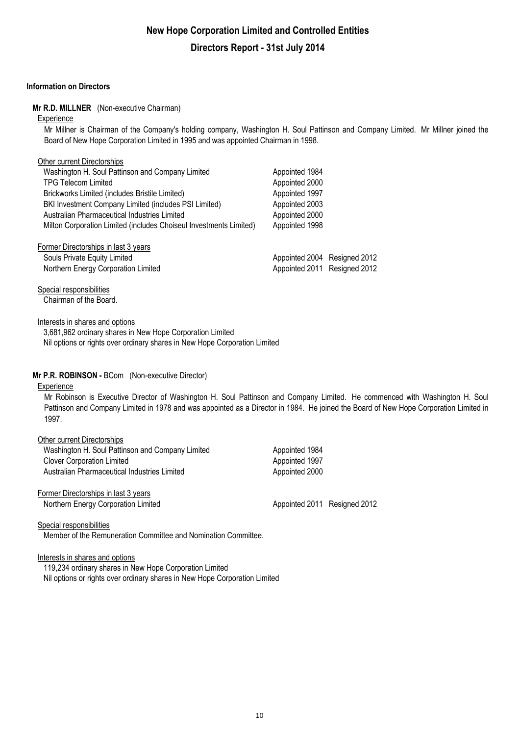### **Information on Directors**

### **Mr R.D. MILLNER** (Non-executive Chairman)

#### **Experience**

Mr Millner is Chairman of the Company's holding company, Washington H. Soul Pattinson and Company Limited. Mr Millner joined the Board of New Hope Corporation Limited in 1995 and was appointed Chairman in 1998.

### Other current Directorships

| Washington H. Soul Pattinson and Company Limited                   | Appointed 1984               |  |
|--------------------------------------------------------------------|------------------------------|--|
| <b>TPG Telecom Limited</b>                                         | Appointed 2000               |  |
| Brickworks Limited (includes Bristile Limited)                     | Appointed 1997               |  |
| BKI Investment Company Limited (includes PSI Limited)              | Appointed 2003               |  |
| Australian Pharmaceutical Industries Limited                       | Appointed 2000               |  |
| Milton Corporation Limited (includes Choiseul Investments Limited) | Appointed 1998               |  |
| Former Directorships in last 3 years                               |                              |  |
| Souls Private Equity Limited                                       | Appointed 2004 Resigned 2012 |  |
| Northern Energy Corporation Limited                                | Appointed 2011 Resigned 2012 |  |
|                                                                    |                              |  |

Special responsibilities Chairman of the Board.

### Interests in shares and options

3,681,962 ordinary shares in New Hope Corporation Limited Nil options or rights over ordinary shares in New Hope Corporation Limited

### **Mr P.R. ROBINSON -** BCom (Non-executive Director)

### **Experience**

Mr Robinson is Executive Director of Washington H. Soul Pattinson and Company Limited. He commenced with Washington H. Soul Pattinson and Company Limited in 1978 and was appointed as a Director in 1984. He joined the Board of New Hope Corporation Limited in 1997.

| Other current Directorships                      |                              |  |
|--------------------------------------------------|------------------------------|--|
| Washington H. Soul Pattinson and Company Limited | Appointed 1984               |  |
| <b>Clover Corporation Limited</b>                | Appointed 1997               |  |
| Australian Pharmaceutical Industries Limited     | Appointed 2000               |  |
| Former Directorships in last 3 years             |                              |  |
| Northern Energy Corporation Limited              | Appointed 2011 Resigned 2012 |  |

#### Special responsibilities

Member of the Remuneration Committee and Nomination Committee.

Interests in shares and options

119,234 ordinary shares in New Hope Corporation Limited Nil options or rights over ordinary shares in New Hope Corporation Limited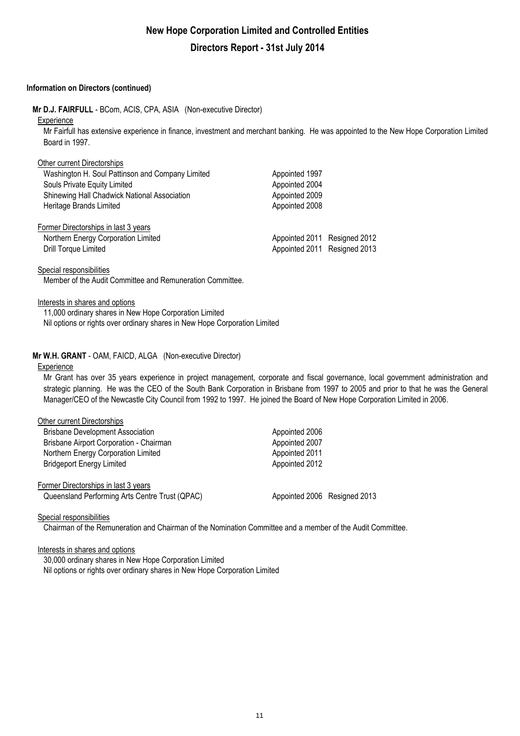### **Information on Directors (continued)**

**Mr D.J. FAIRFULL** - BCom, ACIS, CPA, ASIA (Non-executive Director)

#### **Experience**

Mr Fairfull has extensive experience in finance, investment and merchant banking. He was appointed to the New Hope Corporation Limited Board in 1997.

| Other current Directorships                      |                              |  |
|--------------------------------------------------|------------------------------|--|
| Washington H. Soul Pattinson and Company Limited | Appointed 1997               |  |
| Souls Private Equity Limited                     | Appointed 2004               |  |
| Shinewing Hall Chadwick National Association     | Appointed 2009               |  |
| Heritage Brands Limited                          | Appointed 2008               |  |
| Former Directorships in last 3 years             |                              |  |
| Northern Energy Corporation Limited              | Appointed 2011 Resigned 2012 |  |
| Drill Torque Limited                             | Appointed 2011 Resigned 2013 |  |
|                                                  |                              |  |

Special responsibilities

Member of the Audit Committee and Remuneration Committee.

### Interests in shares and options

11,000 ordinary shares in New Hope Corporation Limited Nil options or rights over ordinary shares in New Hope Corporation Limited

### **Mr W.H. GRANT** - OAM, FAICD, ALGA (Non-executive Director)

#### **Experience**

Mr Grant has over 35 years experience in project management, corporate and fiscal governance, local government administration and strategic planning. He was the CEO of the South Bank Corporation in Brisbane from 1997 to 2005 and prior to that he was the General Manager/CEO of the Newcastle City Council from 1992 to 1997. He joined the Board of New Hope Corporation Limited in 2006.

| Other current Directorships                    |                              |  |
|------------------------------------------------|------------------------------|--|
| <b>Brisbane Development Association</b>        | Appointed 2006               |  |
| Brisbane Airport Corporation - Chairman        | Appointed 2007               |  |
| Northern Energy Corporation Limited            | Appointed 2011               |  |
| <b>Bridgeport Energy Limited</b>               | Appointed 2012               |  |
| Former Directorships in last 3 years           |                              |  |
| Queensland Performing Arts Centre Trust (QPAC) | Appointed 2006 Resigned 2013 |  |

#### Special responsibilities

Chairman of the Remuneration and Chairman of the Nomination Committee and a member of the Audit Committee.

Interests in shares and options

30,000 ordinary shares in New Hope Corporation Limited Nil options or rights over ordinary shares in New Hope Corporation Limited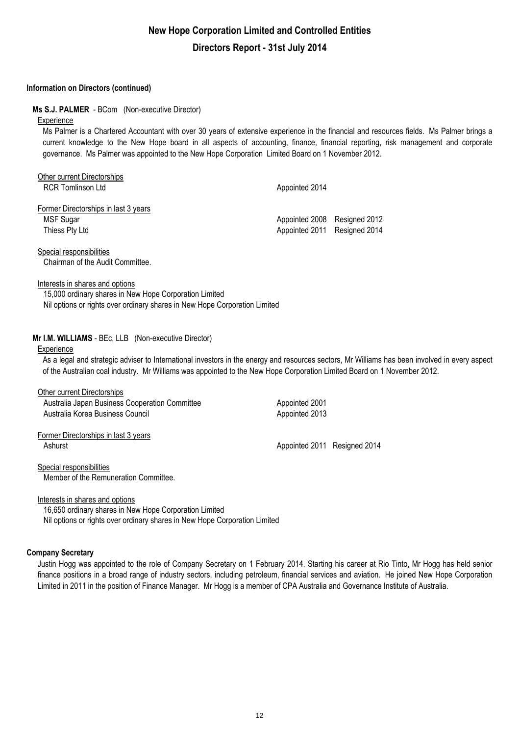### **Information on Directors (continued)**

### **Ms S.J. PALMER** - BCom (Non-executive Director)

### **Experience**

Ms Palmer is a Chartered Accountant with over 30 years of extensive experience in the financial and resources fields. Ms Palmer brings a current knowledge to the New Hope board in all aspects of accounting, finance, financial reporting, risk management and corporate governance. Ms Palmer was appointed to the New Hope Corporation Limited Board on 1 November 2012.

| Other current Directorships          |                              |  |
|--------------------------------------|------------------------------|--|
| <b>RCR Tomlinson Ltd</b>             | Appointed 2014               |  |
| Former Directorships in last 3 years |                              |  |
| MSF Sugar                            | Appointed 2008 Resigned 2012 |  |
| Thiess Pty Ltd                       | Appointed 2011 Resigned 2014 |  |
|                                      |                              |  |

Special responsibilities Chairman of the Audit Committee.

#### Interests in shares and options

Nil options or rights over ordinary shares in New Hope Corporation Limited 15,000 ordinary shares in New Hope Corporation Limited

### **Mr I.M. WILLIAMS** - BEc, LLB (Non-executive Director)

#### **Experience**

As a legal and strategic adviser to International investors in the energy and resources sectors, Mr Williams has been involved in every aspect of the Australian coal industry. Mr Williams was appointed to the New Hope Corporation Limited Board on 1 November 2012.

| Other current Directorships<br>Australia Japan Business Cooperation Committee | Appointed 2001               |  |
|-------------------------------------------------------------------------------|------------------------------|--|
| Australia Korea Business Council                                              | Appointed 2013               |  |
| Former Directorships in last 3 years<br>Ashurst                               | Appointed 2011 Resigned 2014 |  |
| Special responsibilities<br>Member of the Remuneration Committee.             |                              |  |

### Interests in shares and options

Nil options or rights over ordinary shares in New Hope Corporation Limited 16,650 ordinary shares in New Hope Corporation Limited

### **Company Secretary**

Justin Hogg was appointed to the role of Company Secretary on 1 February 2014. Starting his career at Rio Tinto, Mr Hogg has held senior finance positions in a broad range of industry sectors, including petroleum, financial services and aviation. He joined New Hope Corporation Limited in 2011 in the position of Finance Manager. Mr Hogg is a member of CPA Australia and Governance Institute of Australia.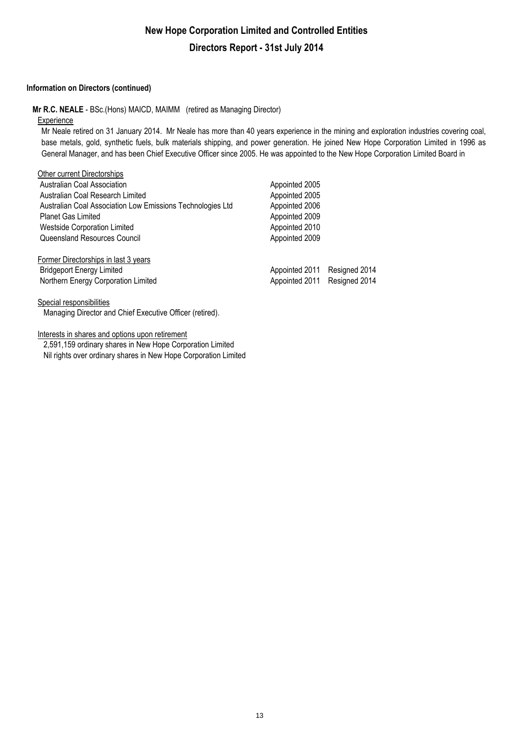### **Information on Directors (continued)**

**Mr R.C. NEALE** - BSc.(Hons) MAICD, MAIMM (retired as Managing Director)

#### **Experience**

Mr Neale retired on 31 January 2014. Mr Neale has more than 40 years experience in the mining and exploration industries covering coal, base metals, gold, synthetic fuels, bulk materials shipping, and power generation. He joined New Hope Corporation Limited in 1996 as General Manager, and has been Chief Executive Officer since 2005. He was appointed to the New Hope Corporation Limited Board in

| Other current Directorships                                |                |               |
|------------------------------------------------------------|----------------|---------------|
| <b>Australian Coal Association</b>                         | Appointed 2005 |               |
| Australian Coal Research Limited                           | Appointed 2005 |               |
| Australian Coal Association Low Emissions Technologies Ltd | Appointed 2006 |               |
| <b>Planet Gas Limited</b>                                  | Appointed 2009 |               |
| <b>Westside Corporation Limited</b>                        | Appointed 2010 |               |
| Queensland Resources Council                               | Appointed 2009 |               |
| Former Directorships in last 3 years                       |                |               |
| <b>Bridgeport Energy Limited</b>                           | Appointed 2011 | Resigned 2014 |
| Northern Energy Corporation Limited                        | Appointed 2011 | Resigned 2014 |
|                                                            |                |               |

### Special responsibilities

Managing Director and Chief Executive Officer (retired).

Interests in shares and options upon retirement

2,591,159 ordinary shares in New Hope Corporation Limited Nil rights over ordinary shares in New Hope Corporation Limited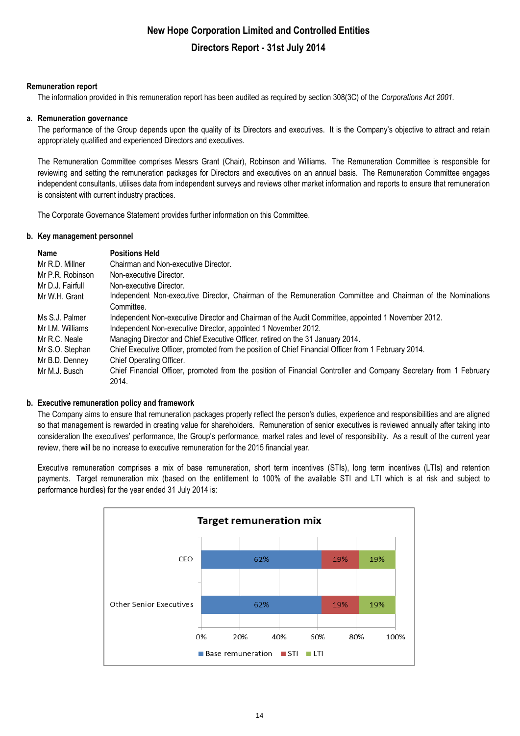### **Remuneration report**

The information provided in this remuneration report has been audited as required by section 308(3C) of the *Corporations Act 2001.*

### **a. Remuneration governance**

The performance of the Group depends upon the quality of its Directors and executives. It is the Company's objective to attract and retain appropriately qualified and experienced Directors and executives.

The Remuneration Committee comprises Messrs Grant (Chair), Robinson and Williams. The Remuneration Committee is responsible for reviewing and setting the remuneration packages for Directors and executives on an annual basis. The Remuneration Committee engages independent consultants, utilises data from independent surveys and reviews other market information and reports to ensure that remuneration is consistent with current industry practices.

The Corporate Governance Statement provides further information on this Committee.

### **b. Key management personnel**

| Name             | <b>Positions Held</b>                                                                                             |
|------------------|-------------------------------------------------------------------------------------------------------------------|
| Mr R.D. Millner  | Chairman and Non-executive Director.                                                                              |
| Mr P.R. Robinson | Non-executive Director.                                                                                           |
| Mr D.J. Fairfull | Non-executive Director.                                                                                           |
| Mr W.H. Grant    | Independent Non-executive Director, Chairman of the Remuneration Committee and Chairman of the Nominations        |
|                  | Committee.                                                                                                        |
| Ms S.J. Palmer   | Independent Non-executive Director and Chairman of the Audit Committee, appointed 1 November 2012.                |
| Mr I.M. Williams | Independent Non-executive Director, appointed 1 November 2012.                                                    |
| Mr R.C. Neale    | Managing Director and Chief Executive Officer, retired on the 31 January 2014.                                    |
| Mr S.O. Stephan  | Chief Executive Officer, promoted from the position of Chief Financial Officer from 1 February 2014.              |
| Mr B.D. Denney   | Chief Operating Officer.                                                                                          |
| Mr M.J. Busch    | Chief Financial Officer, promoted from the position of Financial Controller and Company Secretary from 1 February |
|                  | 2014.                                                                                                             |

### **b. Executive remuneration policy and framework**

The Company aims to ensure that remuneration packages properly reflect the person's duties, experience and responsibilities and are aligned so that management is rewarded in creating value for shareholders. Remuneration of senior executives is reviewed annually after taking into consideration the executives' performance, the Group's performance, market rates and level of responsibility. As a result of the current year review, there will be no increase to executive remuneration for the 2015 financial year.

Executive remuneration comprises a mix of base remuneration, short term incentives (STIs), long term incentives (LTIs) and retention payments. Target remuneration mix (based on the entitlement to 100% of the available STI and LTI which is at risk and subject to performance hurdles) for the year ended 31 July 2014 is:

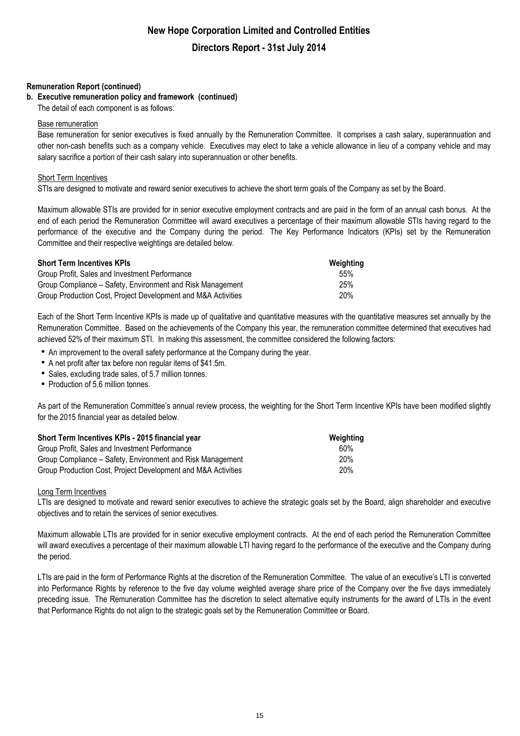### **Remuneration Report (continued)**

### **b. Executive remuneration policy and framework (continued)**

The detail of each component is as follows:

#### Base remuneration

Base remuneration for senior executives is fixed annually by the Remuneration Committee. It comprises a cash salary, superannuation and other non-cash benefits such as a company vehicle. Executives may elect to take a vehicle allowance in lieu of a company vehicle and may salary sacrifice a portion of their cash salary into superannuation or other benefits.

### Short Term Incentives

STIs are designed to motivate and reward senior executives to achieve the short term goals of the Company as set by the Board.

Maximum allowable STIs are provided for in senior executive employment contracts and are paid in the form of an annual cash bonus. At the end of each period the Remuneration Committee will award executives a percentage of their maximum allowable STIs having regard to the performance of the executive and the Company during the period. The Key Performance Indicators (KPIs) set by the Remuneration Committee and their respective weightings are detailed below.

| <b>Short Term Incentives KPIs</b>                             | Weighting |
|---------------------------------------------------------------|-----------|
| Group Profit, Sales and Investment Performance                | .55%      |
| Group Compliance – Safety, Environment and Risk Management    | 25%       |
| Group Production Cost, Project Development and M&A Activities | 20%       |

Each of the Short Term Incentive KPIs is made up of qualitative and quantitative measures with the quantitative measures set annually by the Remuneration Committee. Based on the achievements of the Company this year, the remuneration committee determined that executives had achieved 52% of their maximum STI. In making this assessment, the committee considered the following factors:

- An improvement to the overall safety performance at the Company during the year.
- A net profit after tax before non regular items of \$41.5m.
- Sales, excluding trade sales, of 5.7 million tonnes.
- Production of 5.6 million tonnes.

As part of the Remuneration Committee's annual review process, the weighting for the Short Term Incentive KPIs have been modified slightly for the 2015 financial year as detailed below.

| Short Term Incentives KPIs - 2015 financial year              | Weighting  |
|---------------------------------------------------------------|------------|
| Group Profit, Sales and Investment Performance                | 60%        |
| Group Compliance – Safety, Environment and Risk Management    | 20%        |
| Group Production Cost, Project Development and M&A Activities | <b>20%</b> |

### Long Term Incentives

LTIs are designed to motivate and reward senior executives to achieve the strategic goals set by the Board, align shareholder and executive objectives and to retain the services of senior executives.

Maximum allowable LTIs are provided for in senior executive employment contracts. At the end of each period the Remuneration Committee will award executives a percentage of their maximum allowable LTI having regard to the performance of the executive and the Company during the period.

LTIs are paid in the form of Performance Rights at the discretion of the Remuneration Committee. The value of an executive's LTI is converted into Performance Rights by reference to the five day volume weighted average share price of the Company over the five days immediately preceding issue. The Remuneration Committee has the discretion to select alternative equity instruments for the award of LTIs in the event that Performance Rights do not align to the strategic goals set by the Remuneration Committee or Board.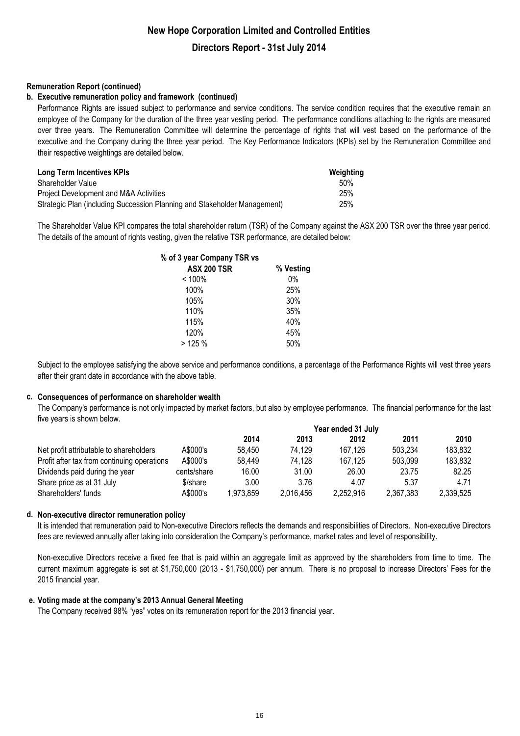### **Remuneration Report (continued)**

### **b. Executive remuneration policy and framework (continued)**

Performance Rights are issued subject to performance and service conditions. The service condition requires that the executive remain an employee of the Company for the duration of the three year vesting period. The performance conditions attaching to the rights are measured over three years. The Remuneration Committee will determine the percentage of rights that will vest based on the performance of the executive and the Company during the three year period. The Key Performance Indicators (KPIs) set by the Remuneration Committee and their respective weightings are detailed below.

| Long Term Incentives KPIs                                                 | Weighting |
|---------------------------------------------------------------------------|-----------|
| Shareholder Value                                                         | 50%       |
| Project Development and M&A Activities                                    | 25%       |
| Strategic Plan (including Succession Planning and Stakeholder Management) | 25%       |

The Shareholder Value KPI compares the total shareholder return (TSR) of the Company against the ASX 200 TSR over the three year period. The details of the amount of rights vesting, given the relative TSR performance, are detailed below:

| % of 3 year Company TSR vs |           |
|----------------------------|-----------|
| <b>ASX 200 TSR</b>         | % Vesting |
| < 100%                     | 0%        |
| 100%                       | 25%       |
| 105%                       | 30%       |
| 110%                       | 35%       |
| 115%                       | 40%       |
| 120%                       | 45%       |
| >125%                      | 50%       |

Subject to the employee satisfying the above service and performance conditions, a percentage of the Performance Rights will vest three years after their grant date in accordance with the above table.

### **c. Consequences of performance on shareholder wealth**

The Company's performance is not only impacted by market factors, but also by employee performance. The financial performance for the last five years is shown below.

|                                             |             | Year ended 31 July |           |           |           |           |
|---------------------------------------------|-------------|--------------------|-----------|-----------|-----------|-----------|
|                                             |             | 2014               | 2013      | 2012      | 2011      | 2010      |
| Net profit attributable to shareholders     | A\$000's    | 58,450             | 74.129    | 167.126   | 503.234   | 183,832   |
| Profit after tax from continuing operations | A\$000's    | 58,449             | 74,128    | 167.125   | 503.099   | 183,832   |
| Dividends paid during the year              | cents/share | 16.00              | 31.00     | 26.00     | 23.75     | 82.25     |
| Share price as at 31 July                   | \$/share    | 3.00               | 3.76      | 4.07      | 5.37      | 4.71      |
| Shareholders' funds                         | A\$000's    | 1,973,859          | 2,016,456 | 2,252,916 | 2,367,383 | 2,339,525 |

### **d. Non-executive director remuneration policy**

It is intended that remuneration paid to Non-executive Directors reflects the demands and responsibilities of Directors. Non-executive Directors fees are reviewed annually after taking into consideration the Company's performance, market rates and level of responsibility.

Non-executive Directors receive a fixed fee that is paid within an aggregate limit as approved by the shareholders from time to time. The current maximum aggregate is set at \$1,750,000 (2013 - \$1,750,000) per annum. There is no proposal to increase Directors' Fees for the 2015 financial year.

### **e. Voting made at the company's 2013 Annual General Meeting**

The Company received 98% "yes" votes on its remuneration report for the 2013 financial year.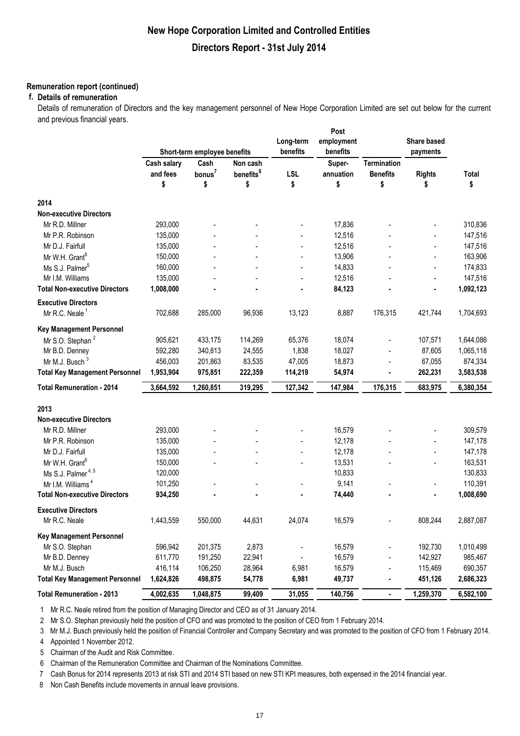### **Remuneration report (continued)**

### **f. Details of remuneration**

Details of remuneration of Directors and the key management personnel of New Hope Corporation Limited are set out below for the current and previous financial years.

|                                       |                              |                    |                       | Long-term  | Post<br>employment |                    | Share based    |           |
|---------------------------------------|------------------------------|--------------------|-----------------------|------------|--------------------|--------------------|----------------|-----------|
|                                       | Short-term employee benefits |                    | benefits              | benefits   |                    | payments           |                |           |
|                                       | Cash salary                  | Cash               | Non cash              |            | Super-             | <b>Termination</b> |                |           |
|                                       | and fees                     | bonus <sup>7</sup> | benefits <sup>8</sup> | <b>LSL</b> | annuation          | <b>Benefits</b>    | <b>Rights</b>  | Total     |
|                                       | \$                           | \$                 | \$                    | \$         | \$                 | \$                 | \$             | \$        |
| 2014                                  |                              |                    |                       |            |                    |                    |                |           |
| <b>Non-executive Directors</b>        |                              |                    |                       |            |                    |                    |                |           |
| Mr R.D. Millner                       | 293,000                      |                    |                       |            | 17,836             |                    |                | 310,836   |
| Mr P.R. Robinson                      | 135,000                      |                    |                       |            | 12,516             |                    |                | 147,516   |
| Mr D.J. Fairfull                      | 135,000                      |                    |                       |            | 12,516             |                    |                | 147,516   |
| Mr W.H. Grant <sup>6</sup>            | 150,000                      |                    |                       |            | 13,906             |                    |                | 163,906   |
| Ms S.J. Palmer <sup>5</sup>           | 160,000                      |                    |                       |            | 14,833             |                    | ÷              | 174,833   |
| Mr I.M. Williams                      | 135,000                      |                    |                       |            | 12,516             |                    | $\overline{a}$ | 147,516   |
| <b>Total Non-executive Directors</b>  | 1,008,000                    |                    |                       |            | 84,123             |                    | ä,             | 1,092,123 |
| <b>Executive Directors</b>            |                              |                    |                       |            |                    |                    |                |           |
| Mr R.C. Neale <sup>1</sup>            | 702,688                      | 285,000            | 96,936                | 13,123     | 8,887              | 176,315            | 421,744        | 1,704,693 |
| <b>Key Management Personnel</b>       |                              |                    |                       |            |                    |                    |                |           |
| Mr S.O. Stephan <sup>2</sup>          | 905,621                      | 433,175            | 114,269               | 65,376     | 18,074             |                    | 107,571        | 1,644,086 |
| Mr B.D. Denney                        | 592,280                      | 340,813            | 24,555                | 1,838      | 18,027             |                    | 87,605         | 1,065,118 |
| Mr M.J. Busch <sup>3</sup>            | 456,003                      | 201,863            | 83,535                | 47,005     | 18,873             |                    | 67,055         | 874,334   |
| <b>Total Key Management Personnel</b> | 1,953,904                    | 975,851            | 222,359               | 114,219    | 54,974             |                    | 262,231        | 3,583,538 |
| <b>Total Remuneration - 2014</b>      | 3,664,592                    | 1,260,851          | 319,295               | 127,342    | 147,984            | 176,315            | 683,975        | 6,380,354 |
|                                       |                              |                    |                       |            |                    |                    |                |           |
| 2013                                  |                              |                    |                       |            |                    |                    |                |           |
| <b>Non-executive Directors</b>        |                              |                    |                       |            |                    |                    |                |           |
| Mr R.D. Millner                       | 293,000                      |                    |                       |            | 16,579             |                    |                | 309,579   |
| Mr P.R. Robinson                      | 135,000                      |                    |                       |            | 12,178             |                    | $\overline{a}$ | 147,178   |
| Mr D.J. Fairfull                      | 135,000                      |                    |                       |            | 12,178             |                    |                | 147,178   |
| Mr W.H. Grant <sup>6</sup>            | 150,000                      |                    |                       |            | 13,531             |                    | -              | 163,531   |
| Ms S.J. Palmer <sup>4,5</sup>         | 120,000                      |                    |                       |            | 10,833             |                    |                | 130,833   |
| Mr I.M. Williams <sup>4</sup>         | 101,250                      |                    |                       |            | 9,141              |                    | ÷              | 110,391   |
| <b>Total Non-executive Directors</b>  | 934,250                      |                    |                       |            | 74,440             |                    |                | 1,008,690 |
| <b>Executive Directors</b>            |                              |                    |                       |            |                    |                    |                |           |
| Mr R.C. Neale                         | 1,443,559                    | 550,000            | 44,631                | 24,074     | 16,579             |                    | 808,244        | 2,887,087 |
| <b>Key Management Personnel</b>       |                              |                    |                       |            |                    |                    |                |           |
| Mr S.O. Stephan                       | 596,942                      | 201,375            | 2,873                 |            | 16,579             |                    | 192,730        | 1,010,499 |
| Mr B.D. Denney                        | 611,770                      | 191,250            | 22,941                |            | 16,579             |                    | 142,927        | 985,467   |
| Mr M.J. Busch                         | 416,114                      | 106,250            | 28,964                | 6,981      | 16,579             |                    | 115,469        | 690,357   |
| <b>Total Key Management Personnel</b> | 1,624,826                    | 498,875            | 54,778                | 6,981      | 49,737             |                    | 451,126        | 2,686,323 |
| <b>Total Remuneration - 2013</b>      | 4,002,635                    | 1,048,875          | 99,409                | 31,055     | 140,756            | ۰                  | 1,259,370      | 6,582,100 |

1 Mr R.C. Neale retired from the position of Managing Director and CEO as of 31 January 2014.

2 Mr S.O. Stephan previously held the position of CFO and was promoted to the position of CEO from 1 February 2014.

3 Mr M.J. Busch previously held the position of Financial Controller and Company Secretary and was promoted to the position of CFO from 1 February 2014.

4 Appointed 1 November 2012.

5 Chairman of the Audit and Risk Committee.

6 Chairman of the Remuneration Committee and Chairman of the Nominations Committee.

7 Cash Bonus for 2014 represents 2013 at risk STI and 2014 STI based on new STI KPI measures, both expensed in the 2014 financial year.

8 Non Cash Benefits include movements in annual leave provisions.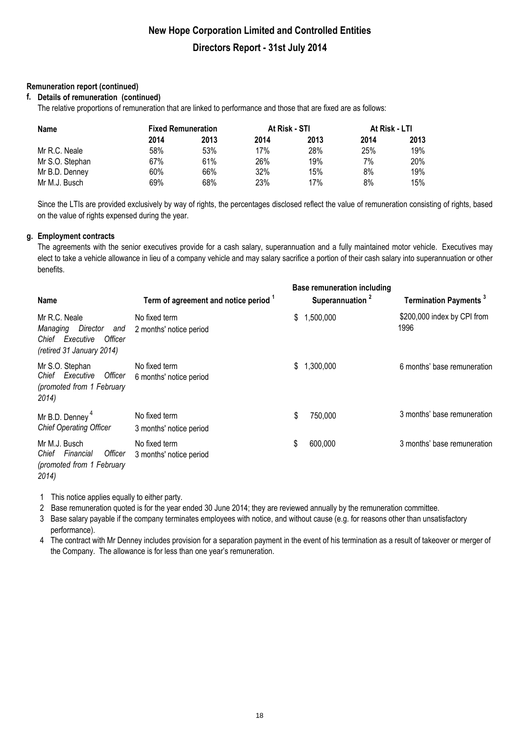### **Remuneration report (continued)**

### **f. Details of remuneration (continued)**

The relative proportions of remuneration that are linked to performance and those that are fixed are as follows:

| <b>Name</b>     | <b>Fixed Remuneration</b> |      | At Risk - STI |      | At Risk - LTI |      |
|-----------------|---------------------------|------|---------------|------|---------------|------|
|                 | 2014                      | 2013 | 2014          | 2013 | 2014          | 2013 |
| Mr R.C. Neale   | 58%                       | 53%  | 17%           | 28%  | 25%           | 19%  |
| Mr S.O. Stephan | 67%                       | 61%  | 26%           | 19%  | 7%            | 20%  |
| Mr B.D. Denney  | 60%                       | 66%  | 32%           | 15%  | 8%            | 19%  |
| Mr M.J. Busch   | 69%                       | 68%  | 23%           | 17%  | 8%            | 15%  |

Since the LTIs are provided exclusively by way of rights, the percentages disclosed reflect the value of remuneration consisting of rights, based on the value of rights expensed during the year.

### **g. Employment contracts**

The agreements with the senior executives provide for a cash salary, superannuation and a fully maintained motor vehicle. Executives may elect to take a vehicle allowance in lieu of a company vehicle and may salary sacrifice a portion of their cash salary into superannuation or other benefits.

| <b>Name</b>                                                                                                | Term of agreement and notice period 1    | <b>Base remuneration including</b><br>Superannuation <sup>2</sup> | <b>Termination Payments</b> <sup>3</sup> |
|------------------------------------------------------------------------------------------------------------|------------------------------------------|-------------------------------------------------------------------|------------------------------------------|
| Mr R.C. Neale<br>Director<br>Managing<br>and<br>Officer<br>Executive<br>Chief<br>(retired 31 January 2014) | No fixed term<br>2 months' notice period | ,500,000<br>\$                                                    | \$200,000 index by CPI from<br>1996      |
| Mr S.O. Stephan<br>Chief Executive<br>Officer<br>(promoted from 1 February<br>2014)                        | No fixed term<br>6 months' notice period | 1,300,000<br>S                                                    | 6 months' base remuneration              |
| Mr B.D. Denney <sup>4</sup><br><b>Chief Operating Officer</b>                                              | No fixed term<br>3 months' notice period | \$<br>750,000                                                     | 3 months' base remuneration              |
| Mr M.J. Busch<br>Financial<br>Officer<br>Chief<br>(promoted from 1 February<br>2014)                       | No fixed term<br>3 months' notice period | \$<br>600,000                                                     | 3 months' base remuneration              |

1 This notice applies equally to either party.

2 Base remuneration quoted is for the year ended 30 June 2014; they are reviewed annually by the remuneration committee.

3 Base salary payable if the company terminates employees with notice, and without cause (e.g. for reasons other than unsatisfactory performance).

4 The contract with Mr Denney includes provision for a separation payment in the event of his termination as a result of takeover or merger of the Company. The allowance is for less than one year's remuneration.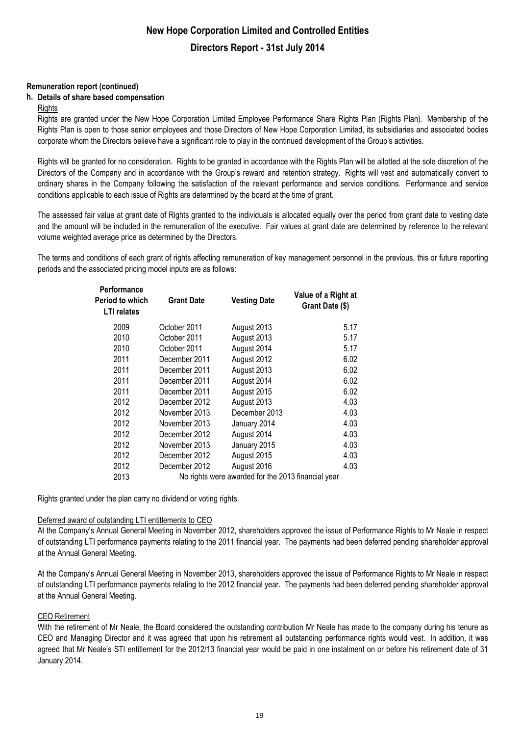### **Remuneration report (continued)**

### **h. Details of share based compensation**

### **Rights**

Rights are granted under the New Hope Corporation Limited Employee Performance Share Rights Plan (Rights Plan). Membership of the Rights Plan is open to those senior employees and those Directors of New Hope Corporation Limited, its subsidiaries and associated bodies corporate whom the Directors believe have a significant role to play in the continued development of the Group's activities.

Rights will be granted for no consideration. Rights to be granted in accordance with the Rights Plan will be allotted at the sole discretion of the Directors of the Company and in accordance with the Group's reward and retention strategy. Rights will vest and automatically convert to ordinary shares in the Company following the satisfaction of the relevant performance and service conditions. Performance and service conditions applicable to each issue of Rights are determined by the board at the time of grant.

The assessed fair value at grant date of Rights granted to the individuals is allocated equally over the period from grant date to vesting date and the amount will be included in the remuneration of the executive. Fair values at grant date are determined by reference to the relevant volume weighted average price as determined by the Directors.

The terms and conditions of each grant of rights affecting remuneration of key management personnel in the previous, this or future reporting periods and the associated pricing model inputs are as follows:

| <b>Performance</b><br>Period to which<br><b>LTI</b> relates | <b>Grant Date</b> | <b>Vesting Date</b>                                | Value of a Right at<br>Grant Date (\$) |
|-------------------------------------------------------------|-------------------|----------------------------------------------------|----------------------------------------|
| 2009                                                        | October 2011      | August 2013                                        | 5.17                                   |
| 2010                                                        | October 2011      | August 2013                                        | 5.17                                   |
| 2010                                                        | October 2011      | August 2014                                        | 5.17                                   |
| 2011                                                        | December 2011     | August 2012                                        | 6.02                                   |
| 2011                                                        | December 2011     | August 2013                                        | 6.02                                   |
| 2011                                                        | December 2011     | August 2014                                        | 6.02                                   |
| 2011                                                        | December 2011     | August 2015                                        | 6.02                                   |
| 2012                                                        | December 2012     | August 2013                                        | 4.03                                   |
| 2012                                                        | November 2013     | December 2013                                      | 4.03                                   |
| 2012                                                        | November 2013     | January 2014                                       | 4.03                                   |
| 2012                                                        | December 2012     | August 2014                                        | 4.03                                   |
| 2012                                                        | November 2013     | January 2015                                       | 4.03                                   |
| 2012                                                        | December 2012     | August 2015                                        | 4.03                                   |
| 2012                                                        | December 2012     | August 2016                                        | 4.03                                   |
| 2013                                                        |                   | No rights were awarded for the 2013 financial year |                                        |

Rights granted under the plan carry no dividend or voting rights.

### Deferred award of outstanding LTI entitlements to CEO

At the Company's Annual General Meeting in November 2012, shareholders approved the issue of Performance Rights to Mr Neale in respect of outstanding LTI performance payments relating to the 2011 financial year. The payments had been deferred pending shareholder approval at the Annual General Meeting.

At the Company's Annual General Meeting in November 2013, shareholders approved the issue of Performance Rights to Mr Neale in respect of outstanding LTI performance payments relating to the 2012 financial year. The payments had been deferred pending shareholder approval at the Annual General Meeting.

### CEO Retirement

With the retirement of Mr Neale, the Board considered the outstanding contribution Mr Neale has made to the company during his tenure as CEO and Managing Director and it was agreed that upon his retirement all outstanding performance rights would vest. In addition, it was agreed that Mr Neale's STI entitlement for the 2012/13 financial year would be paid in one instalment on or before his retirement date of 31 January 2014.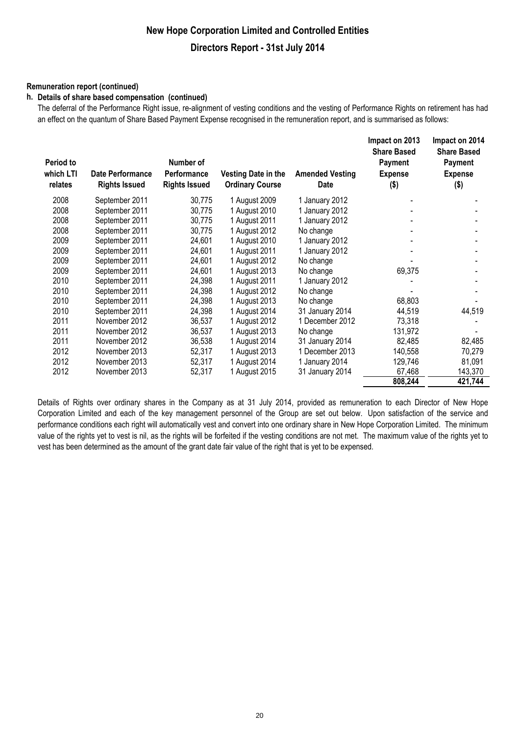### **Remuneration report (continued)**

#### **h. Details of share based compensation (continued)**

The deferral of the Performance Right issue, re-alignment of vesting conditions and the vesting of Performance Rights on retirement has had an effect on the quantum of Share Based Payment Expense recognised in the remuneration report, and is summarised as follows:

| Period to<br>which LTI<br>relates | <b>Date Performance</b><br><b>Rights Issued</b> | Number of<br>Performance<br><b>Rights Issued</b> | <b>Vesting Date in the</b><br><b>Ordinary Course</b> | <b>Amended Vesting</b><br>Date | Impact on 2013<br><b>Share Based</b><br>Payment<br><b>Expense</b><br>$($ \$) | Impact on 2014<br><b>Share Based</b><br>Payment<br><b>Expense</b><br>$($ \$) |
|-----------------------------------|-------------------------------------------------|--------------------------------------------------|------------------------------------------------------|--------------------------------|------------------------------------------------------------------------------|------------------------------------------------------------------------------|
| 2008                              | September 2011                                  | 30,775                                           | 1 August 2009                                        | 1 January 2012                 |                                                                              |                                                                              |
| 2008                              | September 2011                                  | 30,775                                           | 1 August 2010                                        | 1 January 2012                 |                                                                              |                                                                              |
| 2008                              | September 2011                                  | 30,775                                           | 1 August 2011                                        | 1 January 2012                 |                                                                              |                                                                              |
| 2008                              | September 2011                                  | 30,775                                           | 1 August 2012                                        | No change                      |                                                                              |                                                                              |
| 2009                              | September 2011                                  | 24,601                                           | 1 August 2010                                        | 1 January 2012                 |                                                                              |                                                                              |
| 2009                              | September 2011                                  | 24,601                                           | 1 August 2011                                        | 1 January 2012                 |                                                                              |                                                                              |
| 2009                              | September 2011                                  | 24,601                                           | 1 August 2012                                        | No change                      |                                                                              |                                                                              |
| 2009                              | September 2011                                  | 24,601                                           | 1 August 2013                                        | No change                      | 69,375                                                                       |                                                                              |
| 2010                              | September 2011                                  | 24,398                                           | 1 August 2011                                        | 1 January 2012                 |                                                                              |                                                                              |
| 2010                              | September 2011                                  | 24,398                                           | 1 August 2012                                        | No change                      |                                                                              |                                                                              |
| 2010                              | September 2011                                  | 24,398                                           | 1 August 2013                                        | No change                      | 68,803                                                                       |                                                                              |
| 2010                              | September 2011                                  | 24,398                                           | 1 August 2014                                        | 31 January 2014                | 44,519                                                                       | 44,519                                                                       |
| 2011                              | November 2012                                   | 36,537                                           | 1 August 2012                                        | 1 December 2012                | 73,318                                                                       |                                                                              |
| 2011                              | November 2012                                   | 36,537                                           | 1 August 2013                                        | No change                      | 131,972                                                                      |                                                                              |
| 2011                              | November 2012                                   | 36,538                                           | 1 August 2014                                        | 31 January 2014                | 82,485                                                                       | 82,485                                                                       |
| 2012                              | November 2013                                   | 52,317                                           | 1 August 2013                                        | 1 December 2013                | 140,558                                                                      | 70,279                                                                       |
| 2012                              | November 2013                                   | 52,317                                           | 1 August 2014                                        | 1 January 2014                 | 129,746                                                                      | 81,091                                                                       |
| 2012                              | November 2013                                   | 52,317                                           | 1 August 2015                                        | 31 January 2014                | 67,468                                                                       | 143,370                                                                      |
|                                   |                                                 |                                                  |                                                      |                                | 808,244                                                                      | 421,744                                                                      |

Details of Rights over ordinary shares in the Company as at 31 July 2014, provided as remuneration to each Director of New Hope Corporation Limited and each of the key management personnel of the Group are set out below. Upon satisfaction of the service and performance conditions each right will automatically vest and convert into one ordinary share in New Hope Corporation Limited. The minimum value of the rights yet to vest is nil, as the rights will be forfeited if the vesting conditions are not met. The maximum value of the rights yet to vest has been determined as the amount of the grant date fair value of the right that is yet to be expensed.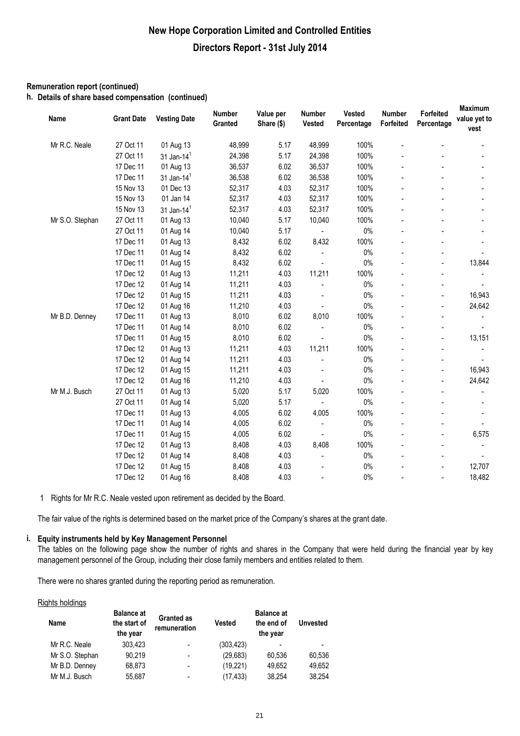### **Remuneration report (continued)**

**h. Details of share based compensation (continued)**

| Name            | <b>Grant Date</b> | <b>Vesting Date</b>    | Number<br>Granted | Value per<br>Share (\$) | <b>Number</b><br>Vested | <b>Vested</b><br>Percentage | Number<br>Forfeited | Forfeited<br>Percentage  | <b>Maximum</b><br>value yet to<br>vest |
|-----------------|-------------------|------------------------|-------------------|-------------------------|-------------------------|-----------------------------|---------------------|--------------------------|----------------------------------------|
| Mr R.C. Neale   | 27 Oct 11         | 01 Aug 13              | 48,999            | 5.17                    | 48,999                  | 100%                        |                     |                          |                                        |
|                 | 27 Oct 11         | 31 Jan-14 <sup>1</sup> | 24,398            | 5.17                    | 24,398                  | 100%                        |                     |                          |                                        |
|                 | 17 Dec 11         | 01 Aug 13              | 36,537            | 6.02                    | 36,537                  | 100%                        |                     |                          |                                        |
|                 | 17 Dec 11         | 31 Jan-14 $1$          | 36,538            | 6.02                    | 36,538                  | 100%                        |                     |                          |                                        |
|                 | 15 Nov 13         | 01 Dec 13              | 52,317            | 4.03                    | 52,317                  | 100%                        |                     |                          |                                        |
|                 | 15 Nov 13         | 01 Jan 14              | 52,317            | 4.03                    | 52,317                  | 100%                        |                     |                          |                                        |
|                 | 15 Nov 13         | 31 Jan-14 $1$          | 52,317            | 4.03                    | 52,317                  | 100%                        |                     |                          |                                        |
| Mr S.O. Stephan | 27 Oct 11         | 01 Aug 13              | 10,040            | 5.17                    | 10,040                  | 100%                        |                     |                          |                                        |
|                 | 27 Oct 11         | 01 Aug 14              | 10,040            | 5.17                    | $\blacksquare$          | $0\%$                       |                     |                          |                                        |
|                 | 17 Dec 11         | 01 Aug 13              | 8,432             | 6.02                    | 8,432                   | 100%                        |                     |                          |                                        |
|                 | 17 Dec 11         | 01 Aug 14              | 8,432             | 6.02                    |                         | $0\%$                       |                     |                          |                                        |
|                 | 17 Dec 11         | 01 Aug 15              | 8,432             | 6.02                    |                         | $0\%$                       |                     |                          | 13,844                                 |
|                 | 17 Dec 12         | 01 Aug 13              | 11,211            | 4.03                    | 11,211                  | 100%                        |                     |                          |                                        |
|                 | 17 Dec 12         | 01 Aug 14              | 11,211            | 4.03                    |                         | $0\%$                       |                     |                          |                                        |
|                 | 17 Dec 12         | 01 Aug 15              | 11,211            | 4.03                    |                         | $0\%$                       |                     | $\overline{a}$           | 16,943                                 |
|                 | 17 Dec 12         | 01 Aug 16              | 11,210            | 4.03                    |                         | $0\%$                       |                     |                          | 24,642                                 |
| Mr B.D. Denney  | 17 Dec 11         | 01 Aug 13              | 8,010             | 6.02                    | 8,010                   | 100%                        |                     |                          |                                        |
|                 | 17 Dec 11         | 01 Aug 14              | 8,010             | 6.02                    |                         | $0\%$                       |                     |                          |                                        |
|                 | 17 Dec 11         | 01 Aug 15              | 8,010             | 6.02                    |                         | $0\%$                       |                     | $\overline{a}$           | 13,151                                 |
|                 | 17 Dec 12         | 01 Aug 13              | 11,211            | 4.03                    | 11,211                  | 100%                        |                     |                          |                                        |
|                 | 17 Dec 12         | 01 Aug 14              | 11,211            | 4.03                    |                         | $0\%$                       |                     |                          |                                        |
|                 | 17 Dec 12         | 01 Aug 15              | 11,211            | 4.03                    |                         | $0\%$                       |                     | $\overline{\phantom{a}}$ | 16,943                                 |
|                 | 17 Dec 12         | 01 Aug 16              | 11,210            | 4.03                    |                         | $0\%$                       |                     | $\overline{a}$           | 24,642                                 |
| Mr M.J. Busch   | 27 Oct 11         | 01 Aug 13              | 5,020             | 5.17                    | 5,020                   | 100%                        |                     |                          |                                        |
|                 | 27 Oct 11         | 01 Aug 14              | 5,020             | 5.17                    |                         | $0\%$                       |                     |                          |                                        |
|                 | 17 Dec 11         | 01 Aug 13              | 4,005             | 6.02                    | 4,005                   | 100%                        |                     |                          |                                        |
|                 | 17 Dec 11         | 01 Aug 14              | 4,005             | 6.02                    | $\blacksquare$          | $0\%$                       |                     |                          |                                        |
|                 | 17 Dec 11         | 01 Aug 15              | 4,005             | 6.02                    |                         | 0%                          |                     |                          | 6,575                                  |
|                 | 17 Dec 12         | 01 Aug 13              | 8,408             | 4.03                    | 8,408                   | 100%                        |                     |                          |                                        |
|                 | 17 Dec 12         | 01 Aug 14              | 8,408             | 4.03                    |                         | $0\%$                       |                     |                          |                                        |
|                 | 17 Dec 12         | 01 Aug 15              | 8,408             | 4.03                    |                         | $0\%$                       |                     |                          | 12,707                                 |
|                 | 17 Dec 12         | 01 Aug 16              | 8,408             | 4.03                    |                         | $0\%$                       |                     |                          | 18,482                                 |

1 Rights for Mr R.C. Neale vested upon retirement as decided by the Board.

The fair value of the rights is determined based on the market price of the Company's shares at the grant date.

### **i. Equity instruments held by Key Management Personnel**

The tables on the following page show the number of rights and shares in the Company that were held during the financial year by key management personnel of the Group, including their close family members and entities related to them.

There were no shares granted during the reporting period as remuneration.

#### Rights holdings

| Name            | <b>Balance at</b><br>the start of<br>the year | <b>Granted as</b><br>remuneration | Vested     | <b>Balance at</b><br>the end of<br>the year | <b>Unvested</b> |
|-----------------|-----------------------------------------------|-----------------------------------|------------|---------------------------------------------|-----------------|
| Mr R.C. Neale   | 303.423                                       | $\overline{\phantom{0}}$          | (303, 423) |                                             |                 |
| Mr S.O. Stephan | 90.219                                        | -                                 | (29,683)   | 60,536                                      | 60,536          |
| Mr B.D. Denney  | 68,873                                        |                                   | (19,221)   | 49.652                                      | 49,652          |
| Mr M.J. Busch   | 55.687                                        | -                                 | (17, 433)  | 38,254                                      | 38.254          |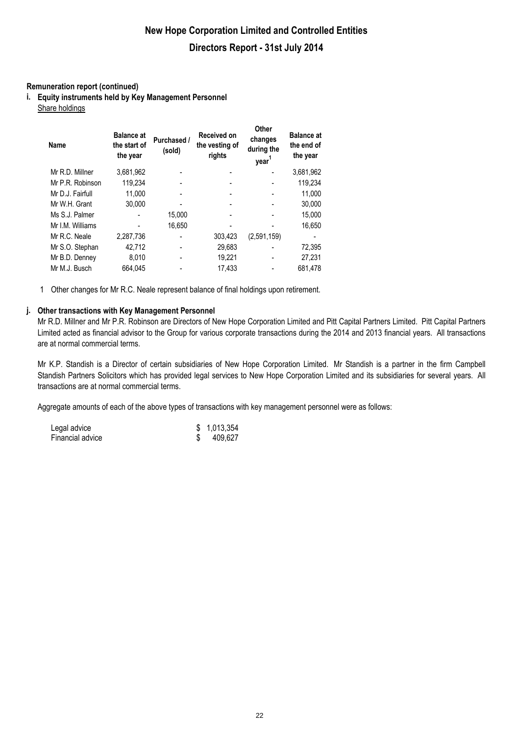### **Remuneration report (continued)**

**i. Equity instruments held by Key Management Personnel** Share holdings

| Name             | <b>Balance at</b><br>the start of<br>the year | Purchased /<br>(sold) | <b>Received on</b><br>the vesting of<br>rights | Other<br>changes<br>during the<br>year <sup>1</sup> | <b>Balance at</b><br>the end of<br>the year |
|------------------|-----------------------------------------------|-----------------------|------------------------------------------------|-----------------------------------------------------|---------------------------------------------|
| Mr R.D. Millner  | 3,681,962                                     |                       |                                                |                                                     | 3,681,962                                   |
| Mr P.R. Robinson | 119,234                                       |                       |                                                |                                                     | 119,234                                     |
| Mr D.J. Fairfull | 11.000                                        |                       |                                                |                                                     | 11,000                                      |
| Mr W.H. Grant    | 30.000                                        |                       |                                                |                                                     | 30.000                                      |
| Ms S.J. Palmer   |                                               | 15,000                |                                                |                                                     | 15,000                                      |
| Mr I.M. Williams |                                               | 16,650                |                                                |                                                     | 16,650                                      |
| Mr R.C. Neale    | 2,287,736                                     |                       | 303,423                                        | (2,591,159)                                         |                                             |
| Mr S.O. Stephan  | 42,712                                        |                       | 29,683                                         |                                                     | 72,395                                      |
| Mr B.D. Denney   | 8,010                                         |                       | 19,221                                         |                                                     | 27,231                                      |
| Mr M.J. Busch    | 664.045                                       |                       | 17.433                                         |                                                     | 681.478                                     |

1 Other changes for Mr R.C. Neale represent balance of final holdings upon retirement.

### **j. Other transactions with Key Management Personnel**

Mr R.D. Millner and Mr P.R. Robinson are Directors of New Hope Corporation Limited and Pitt Capital Partners Limited. Pitt Capital Partners Limited acted as financial advisor to the Group for various corporate transactions during the 2014 and 2013 financial years. All transactions are at normal commercial terms.

Mr K.P. Standish is a Director of certain subsidiaries of New Hope Corporation Limited. Mr Standish is a partner in the firm Campbell Standish Partners Solicitors which has provided legal services to New Hope Corporation Limited and its subsidiaries for several years. All transactions are at normal commercial terms.

Aggregate amounts of each of the above types of transactions with key management personnel were as follows:

| Legal advice     | \$1,013,354 |
|------------------|-------------|
| Financial advice | 409,627     |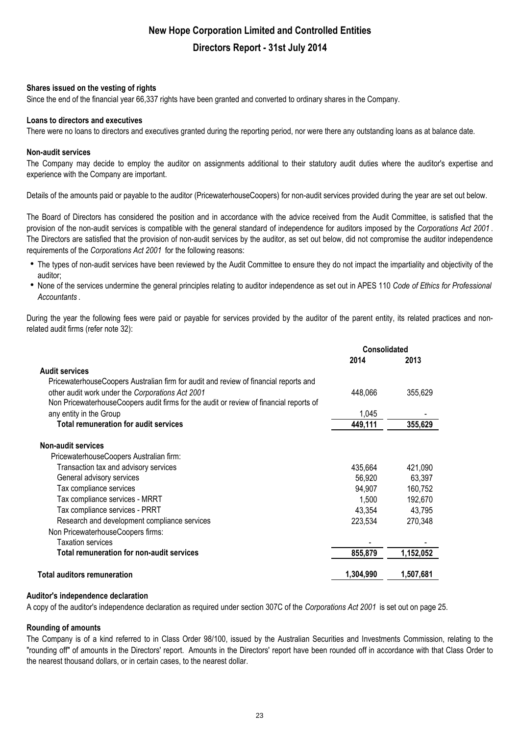### **Shares issued on the vesting of rights**

Since the end of the financial year 66,337 rights have been granted and converted to ordinary shares in the Company.

### **Loans to directors and executives**

There were no loans to directors and executives granted during the reporting period, nor were there any outstanding loans as at balance date.

### **Non-audit services**

The Company may decide to employ the auditor on assignments additional to their statutory audit duties where the auditor's expertise and experience with the Company are important.

Details of the amounts paid or payable to the auditor (PricewaterhouseCoopers) for non-audit services provided during the year are set out below.

The Board of Directors has considered the position and in accordance with the advice received from the Audit Committee, is satisfied that the provision of the non-audit services is compatible with the general standard of independence for auditors imposed by the *Corporations Act 2001* . The Directors are satisfied that the provision of non-audit services by the auditor, as set out below, did not compromise the auditor independence requirements of the *Corporations Act 2001* for the following reasons:

- The types of non-audit services have been reviewed by the Audit Committee to ensure they do not impact the impartiality and objectivity of the auditor;
- h None of the services undermine the general principles relating to auditor independence as set out in APES 110 *Code of Ethics for Professional Accountants* .

During the year the following fees were paid or payable for services provided by the auditor of the parent entity, its related practices and nonrelated audit firms (refer note 32):

|                                                                                        | <b>Consolidated</b> |           |
|----------------------------------------------------------------------------------------|---------------------|-----------|
|                                                                                        | 2014                | 2013      |
| <b>Audit services</b>                                                                  |                     |           |
| PricewaterhouseCoopers Australian firm for audit and review of financial reports and   |                     |           |
| other audit work under the Corporations Act 2001                                       | 448,066             | 355,629   |
| Non PricewaterhouseCoopers audit firms for the audit or review of financial reports of |                     |           |
| any entity in the Group                                                                | 1,045               |           |
| <b>Total remuneration for audit services</b>                                           | 449,111             | 355,629   |
| <b>Non-audit services</b>                                                              |                     |           |
| PricewaterhouseCoopers Australian firm:                                                |                     |           |
| Transaction tax and advisory services                                                  | 435,664             | 421,090   |
| General advisory services                                                              | 56,920              | 63,397    |
| Tax compliance services                                                                | 94,907              | 160,752   |
| Tax compliance services - MRRT                                                         | 1,500               | 192,670   |
| Tax compliance services - PRRT                                                         | 43,354              | 43,795    |
| Research and development compliance services                                           | 223,534             | 270,348   |
| Non PricewaterhouseCoopers firms:                                                      |                     |           |
| <b>Taxation services</b>                                                               |                     |           |
| <b>Total remuneration for non-audit services</b>                                       | 855,879             | 1,152,052 |
| <b>Total auditors remuneration</b>                                                     | 1,304,990           | 1,507,681 |

### **Auditor's independence declaration**

A copy of the auditor's independence declaration as required under section 307C of the *Corporations Act 2001* is set out on page 25.

### **Rounding of amounts**

The Company is of a kind referred to in Class Order 98/100, issued by the Australian Securities and Investments Commission, relating to the "rounding off" of amounts in the Directors' report. Amounts in the Directors' report have been rounded off in accordance with that Class Order to the nearest thousand dollars, or in certain cases, to the nearest dollar.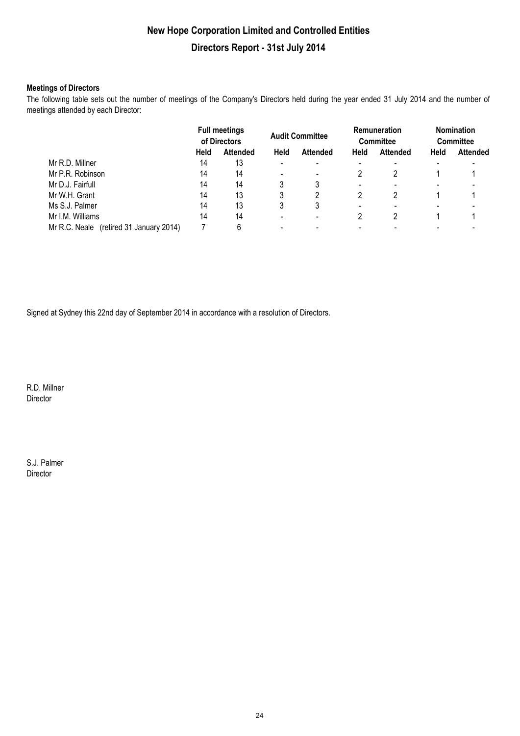### **Meetings of Directors**

The following table sets out the number of meetings of the Company's Directors held during the year ended 31 July 2014 and the number of meetings attended by each Director:

|                                            | <b>Full meetings</b><br>of Directors |                 | <b>Audit Committee</b> |                 | <b>Remuneration</b><br><b>Committee</b> |                 | <b>Nomination</b><br><b>Committee</b> |                 |
|--------------------------------------------|--------------------------------------|-----------------|------------------------|-----------------|-----------------------------------------|-----------------|---------------------------------------|-----------------|
|                                            | Held                                 | <b>Attended</b> | Held                   | <b>Attended</b> | Held                                    | <b>Attended</b> | <b>Held</b>                           | <b>Attended</b> |
| Mr R.D. Millner                            | 14                                   | 13              |                        |                 |                                         |                 |                                       |                 |
| Mr P.R. Robinson                           | 14                                   | 14              |                        |                 |                                         |                 |                                       |                 |
| Mr D.J. Fairfull                           | 14                                   | 14              |                        |                 | -                                       |                 |                                       |                 |
| Mr W.H. Grant                              | 14                                   | 13              |                        |                 |                                         |                 |                                       |                 |
| Ms S.J. Palmer                             | 14                                   | 13              | 3                      |                 |                                         |                 |                                       |                 |
| Mr I.M. Williams                           | 14                                   | 14              |                        |                 |                                         |                 |                                       |                 |
| (retired 31 January 2014)<br>Mr R.C. Neale |                                      | 6               |                        |                 |                                         |                 |                                       |                 |

Signed at Sydney this 22nd day of September 2014 in accordance with a resolution of Directors.

R.D. Millner Director

S.J. Palmer Director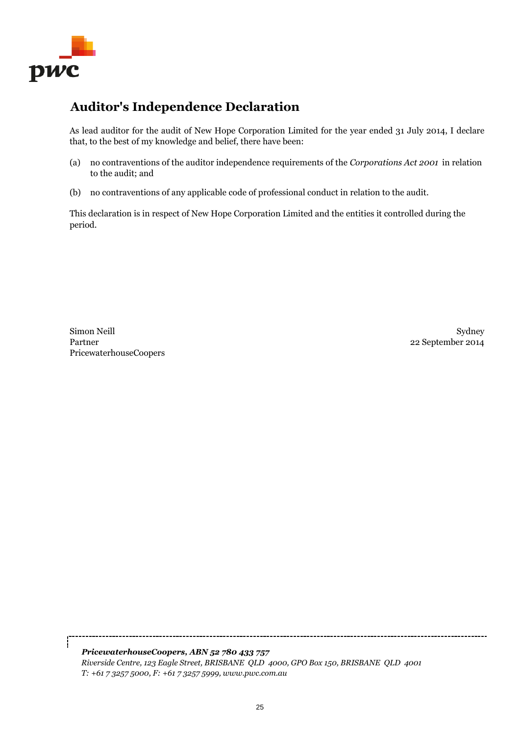

# **Auditor's Independence Declaration**

As lead auditor for the audit of New Hope Corporation Limited for the year ended 31 July 2014, I declare that, to the best of my knowledge and belief, there have been:

- (a) no contraventions of the auditor independence requirements of the *Corporations Act 2001* in relation to the audit; and
- (b) no contraventions of any applicable code of professional conduct in relation to the audit.

This declaration is in respect of New Hope Corporation Limited and the entities it controlled during the period.

PricewaterhouseCoopers Simon Neill Partner

Sydney 22 September 2014

*PricewaterhouseCoopers, ABN 52 780 433 757 Riverside Centre, 123 Eagle Street, BRISBANE QLD 4000, GPO Box 150, BRISBANE QLD 4001 T: +61 7 3257 5000, F: +61 7 3257 5999, www.pwc.com.au*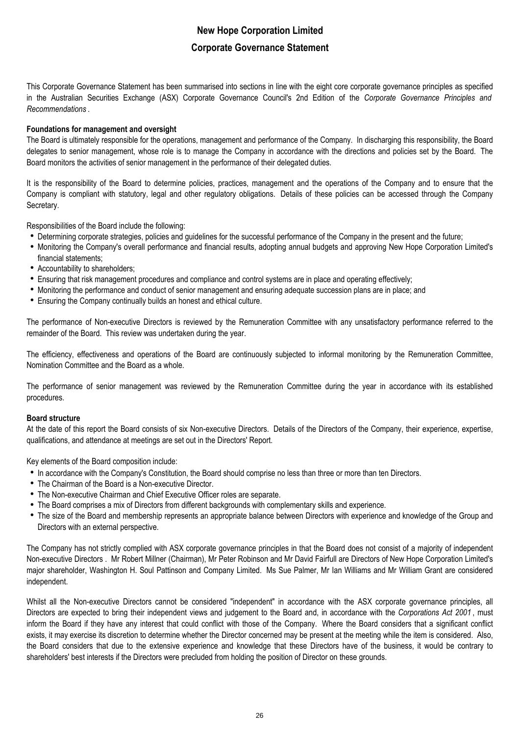This Corporate Governance Statement has been summarised into sections in line with the eight core corporate governance principles as specified in the Australian Securities Exchange (ASX) Corporate Governance Council's 2nd Edition of the *Corporate Governance Principles and Recommendations* .

### **Foundations for management and oversight**

The Board is ultimately responsible for the operations, management and performance of the Company. In discharging this responsibility, the Board delegates to senior management, whose role is to manage the Company in accordance with the directions and policies set by the Board. The Board monitors the activities of senior management in the performance of their delegated duties.

It is the responsibility of the Board to determine policies, practices, management and the operations of the Company and to ensure that the Company is compliant with statutory, legal and other regulatory obligations. Details of these policies can be accessed through the Company Secretary.

Responsibilities of the Board include the following:

- Determining corporate strategies, policies and guidelines for the successful performance of the Company in the present and the future;
- Monitoring the Company's overall performance and financial results, adopting annual budgets and approving New Hope Corporation Limited's financial statements;
- Accountability to shareholders;
- Ensuring that risk management procedures and compliance and control systems are in place and operating effectively;
- Monitoring the performance and conduct of senior management and ensuring adequate succession plans are in place; and
- Ensuring the Company continually builds an honest and ethical culture.

The performance of Non-executive Directors is reviewed by the Remuneration Committee with any unsatisfactory performance referred to the remainder of the Board. This review was undertaken during the year.

The efficiency, effectiveness and operations of the Board are continuously subjected to informal monitoring by the Remuneration Committee, Nomination Committee and the Board as a whole.

The performance of senior management was reviewed by the Remuneration Committee during the year in accordance with its established procedures.

### **Board structure**

At the date of this report the Board consists of six Non-executive Directors. Details of the Directors of the Company, their experience, expertise, qualifications, and attendance at meetings are set out in the Directors' Report.

Key elements of the Board composition include:

- In accordance with the Company's Constitution, the Board should comprise no less than three or more than ten Directors.
- The Chairman of the Board is a Non-executive Director.
- The Non-executive Chairman and Chief Executive Officer roles are separate.
- The Board comprises a mix of Directors from different backgrounds with complementary skills and experience.
- The size of the Board and membership represents an appropriate balance between Directors with experience and knowledge of the Group and Directors with an external perspective.

The Company has not strictly complied with ASX corporate governance principles in that the Board does not consist of a majority of independent Non-executive Directors . Mr Robert Millner (Chairman), Mr Peter Robinson and Mr David Fairfull are Directors of New Hope Corporation Limited's major shareholder, Washington H. Soul Pattinson and Company Limited. Ms Sue Palmer, Mr Ian Williams and Mr William Grant are considered independent.

Whilst all the Non-executive Directors cannot be considered "independent" in accordance with the ASX corporate governance principles, all Directors are expected to bring their independent views and judgement to the Board and, in accordance with the *Corporations Act 2001* , must inform the Board if they have any interest that could conflict with those of the Company. Where the Board considers that a significant conflict exists, it may exercise its discretion to determine whether the Director concerned may be present at the meeting while the item is considered. Also, the Board considers that due to the extensive experience and knowledge that these Directors have of the business, it would be contrary to shareholders' best interests if the Directors were precluded from holding the position of Director on these grounds.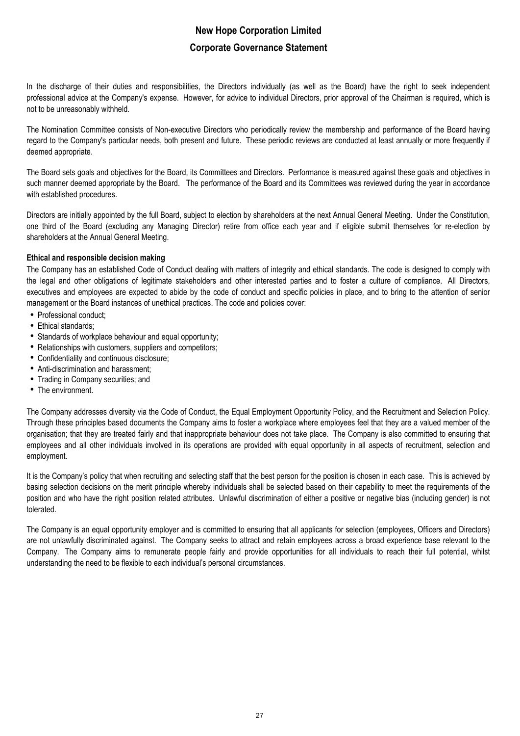In the discharge of their duties and responsibilities, the Directors individually (as well as the Board) have the right to seek independent professional advice at the Company's expense. However, for advice to individual Directors, prior approval of the Chairman is required, which is not to be unreasonably withheld.

The Nomination Committee consists of Non-executive Directors who periodically review the membership and performance of the Board having regard to the Company's particular needs, both present and future. These periodic reviews are conducted at least annually or more frequently if deemed appropriate.

The Board sets goals and objectives for the Board, its Committees and Directors. Performance is measured against these goals and objectives in such manner deemed appropriate by the Board. The performance of the Board and its Committees was reviewed during the year in accordance with established procedures.

Directors are initially appointed by the full Board, subject to election by shareholders at the next Annual General Meeting. Under the Constitution, one third of the Board (excluding any Managing Director) retire from office each year and if eligible submit themselves for re-election by shareholders at the Annual General Meeting.

### **Ethical and responsible decision making**

The Company has an established Code of Conduct dealing with matters of integrity and ethical standards. The code is designed to comply with the legal and other obligations of legitimate stakeholders and other interested parties and to foster a culture of compliance. All Directors, executives and employees are expected to abide by the code of conduct and specific policies in place, and to bring to the attention of senior management or the Board instances of unethical practices. The code and policies cover:

- Professional conduct;
- Ethical standards;
- Standards of workplace behaviour and equal opportunity;
- Relationships with customers, suppliers and competitors;
- Confidentiality and continuous disclosure;
- Anti-discrimination and harassment;
- Trading in Company securities; and
- The environment.

The Company addresses diversity via the Code of Conduct, the Equal Employment Opportunity Policy, and the Recruitment and Selection Policy. Through these principles based documents the Company aims to foster a workplace where employees feel that they are a valued member of the organisation; that they are treated fairly and that inappropriate behaviour does not take place. The Company is also committed to ensuring that employees and all other individuals involved in its operations are provided with equal opportunity in all aspects of recruitment, selection and employment.

It is the Company's policy that when recruiting and selecting staff that the best person for the position is chosen in each case. This is achieved by basing selection decisions on the merit principle whereby individuals shall be selected based on their capability to meet the requirements of the position and who have the right position related attributes. Unlawful discrimination of either a positive or negative bias (including gender) is not tolerated.

The Company is an equal opportunity employer and is committed to ensuring that all applicants for selection (employees, Officers and Directors) are not unlawfully discriminated against. The Company seeks to attract and retain employees across a broad experience base relevant to the Company. The Company aims to remunerate people fairly and provide opportunities for all individuals to reach their full potential, whilst understanding the need to be flexible to each individual's personal circumstances.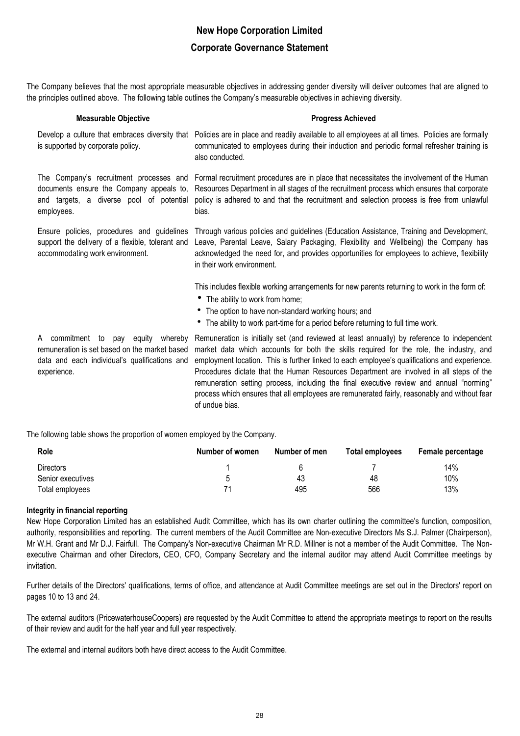The Company believes that the most appropriate measurable objectives in addressing gender diversity will deliver outcomes that are aligned to the principles outlined above. The following table outlines the Company's measurable objectives in achieving diversity.

| <b>Measurable Objective</b>                                                                                                       | <b>Progress Achieved</b>                                                                                                                                                                                                                                                                                                                                                       |
|-----------------------------------------------------------------------------------------------------------------------------------|--------------------------------------------------------------------------------------------------------------------------------------------------------------------------------------------------------------------------------------------------------------------------------------------------------------------------------------------------------------------------------|
| Develop a culture that embraces diversity that<br>is supported by corporate policy.                                               | Policies are in place and readily available to all employees at all times. Policies are formally<br>communicated to employees during their induction and periodic formal refresher training is<br>also conducted.                                                                                                                                                              |
| and targets, a diverse pool of potential<br>employees.                                                                            | The Company's recruitment processes and Formal recruitment procedures are in place that necessitates the involvement of the Human<br>documents ensure the Company appeals to, Resources Department in all stages of the recruitment process which ensures that corporate<br>policy is adhered to and that the recruitment and selection process is free from unlawful<br>bias. |
| Ensure policies, procedures and guidelines<br>support the delivery of a flexible, tolerant and<br>accommodating work environment. | Through various policies and guidelines (Education Assistance, Training and Development,<br>Leave, Parental Leave, Salary Packaging, Flexibility and Wellbeing) the Company has<br>acknowledged the need for, and provides opportunities for employees to achieve, flexibility<br>in their work environment.                                                                   |
|                                                                                                                                   | This includes flexible working arrangements for new parents returning to work in the form of:<br>• The ability to work from home;<br>• The option to have non-standard working hours; and<br>• The ability to work part-time for a period before returning to full time work.                                                                                                  |
| A commitment<br>equity<br>to<br>pav                                                                                               | whereby Remuneration is initially set (and reviewed at least annually) by reference to independent<br>comuneration is set bosed on the market bosed worket data which accounts for beth the skills required for the rele the industry and                                                                                                                                      |

experience.

remuneration is set based on the market based market data which accounts for both the skills required for the role, the industry, and data and each individual's qualifications and employment location. This is further linked to each employee's qualifications and experience. Procedures dictate that the Human Resources Department are involved in all steps of the remuneration setting process, including the final executive review and annual "norming" process which ensures that all employees are remunerated fairly, reasonably and without fear of undue bias.

The following table shows the proportion of women employed by the Company.

| Role              | Number of women | Number of men | Total employees | Female percentage |
|-------------------|-----------------|---------------|-----------------|-------------------|
| <b>Directors</b>  |                 | h             |                 | 14%               |
| Senior executives | ∽               | 43            | 48              | 10%               |
| Total employees   | 71              | 495           | 566             | 13%               |

### **Integrity in financial reporting**

New Hope Corporation Limited has an established Audit Committee, which has its own charter outlining the committee's function, composition, authority, responsibilities and reporting. The current members of the Audit Committee are Non-executive Directors Ms S.J. Palmer (Chairperson), Mr W.H. Grant and Mr D.J. Fairfull. The Company's Non-executive Chairman Mr R.D. Millner is not a member of the Audit Committee. The Nonexecutive Chairman and other Directors, CEO, CFO, Company Secretary and the internal auditor may attend Audit Committee meetings by invitation.

Further details of the Directors' qualifications, terms of office, and attendance at Audit Committee meetings are set out in the Directors' report on pages 10 to 13 and 24.

The external auditors (PricewaterhouseCoopers) are requested by the Audit Committee to attend the appropriate meetings to report on the results of their review and audit for the half year and full year respectively.

The external and internal auditors both have direct access to the Audit Committee.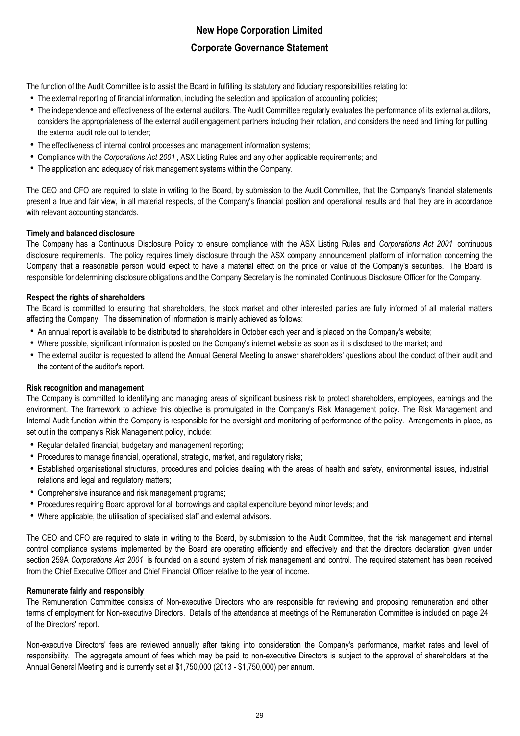The function of the Audit Committee is to assist the Board in fulfilling its statutory and fiduciary responsibilities relating to:

- The external reporting of financial information, including the selection and application of accounting policies;
- The independence and effectiveness of the external auditors. The Audit Committee regularly evaluates the performance of its external auditors, considers the appropriateness of the external audit engagement partners including their rotation, and considers the need and timing for putting the external audit role out to tender;
- The effectiveness of internal control processes and management information systems;
- Compliance with the *Corporations Act 2001* , ASX Listing Rules and any other applicable requirements; and
- The application and adequacy of risk management systems within the Company.

The CEO and CFO are required to state in writing to the Board, by submission to the Audit Committee, that the Company's financial statements present a true and fair view, in all material respects, of the Company's financial position and operational results and that they are in accordance with relevant accounting standards.

### **Timely and balanced disclosure**

The Company has a Continuous Disclosure Policy to ensure compliance with the ASX Listing Rules and *Corporations Act 2001* continuous disclosure requirements. The policy requires timely disclosure through the ASX company announcement platform of information concerning the Company that a reasonable person would expect to have a material effect on the price or value of the Company's securities. The Board is responsible for determining disclosure obligations and the Company Secretary is the nominated Continuous Disclosure Officer for the Company.

### **Respect the rights of shareholders**

The Board is committed to ensuring that shareholders, the stock market and other interested parties are fully informed of all material matters affecting the Company. The dissemination of information is mainly achieved as follows:

- An annual report is available to be distributed to shareholders in October each year and is placed on the Company's website;
- Where possible, significant information is posted on the Company's internet website as soon as it is disclosed to the market; and
- The external auditor is requested to attend the Annual General Meeting to answer shareholders' questions about the conduct of their audit and the content of the auditor's report.

### **Risk recognition and management**

The Company is committed to identifying and managing areas of significant business risk to protect shareholders, employees, earnings and the environment. The framework to achieve this objective is promulgated in the Company's Risk Management policy. The Risk Management and Internal Audit function within the Company is responsible for the oversight and monitoring of performance of the policy. Arrangements in place, as set out in the company's Risk Management policy, include:

- Regular detailed financial, budgetary and management reporting;
- Procedures to manage financial, operational, strategic, market, and regulatory risks;
- h Established organisational structures, procedures and policies dealing with the areas of health and safety, environmental issues, industrial relations and legal and regulatory matters;
- Comprehensive insurance and risk management programs;
- Procedures requiring Board approval for all borrowings and capital expenditure beyond minor levels; and
- Where applicable, the utilisation of specialised staff and external advisors.

The CEO and CFO are required to state in writing to the Board, by submission to the Audit Committee, that the risk management and internal control compliance systems implemented by the Board are operating efficiently and effectively and that the directors declaration given under section 259A *Corporations Act 2001* is founded on a sound system of risk management and control. The required statement has been received from the Chief Executive Officer and Chief Financial Officer relative to the year of income.

### **Remunerate fairly and responsibly**

The Remuneration Committee consists of Non-executive Directors who are responsible for reviewing and proposing remuneration and other terms of employment for Non-executive Directors. Details of the attendance at meetings of the Remuneration Committee is included on page 24 of the Directors' report.

Non-executive Directors' fees are reviewed annually after taking into consideration the Company's performance, market rates and level of responsibility. The aggregate amount of fees which may be paid to non-executive Directors is subject to the approval of shareholders at the Annual General Meeting and is currently set at \$1,750,000 (2013 - \$1,750,000) per annum.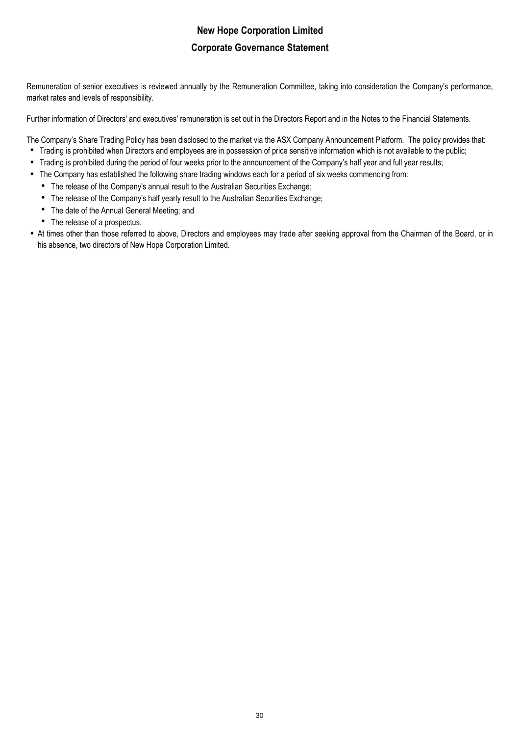Remuneration of senior executives is reviewed annually by the Remuneration Committee, taking into consideration the Company's performance, market rates and levels of responsibility.

Further information of Directors' and executives' remuneration is set out in the Directors Report and in the Notes to the Financial Statements.

The Company's Share Trading Policy has been disclosed to the market via the ASX Company Announcement Platform. The policy provides that:

- Trading is prohibited when Directors and employees are in possession of price sensitive information which is not available to the public;
- Trading is prohibited during the period of four weeks prior to the announcement of the Company's half year and full year results;
- The Company has established the following share trading windows each for a period of six weeks commencing from:
	- The release of the Company's annual result to the Australian Securities Exchange;
	- The release of the Company's half yearly result to the Australian Securities Exchange;
	- The date of the Annual General Meeting; and
	- The release of a prospectus.
- At times other than those referred to above, Directors and employees may trade after seeking approval from the Chairman of the Board, or in his absence, two directors of New Hope Corporation Limited.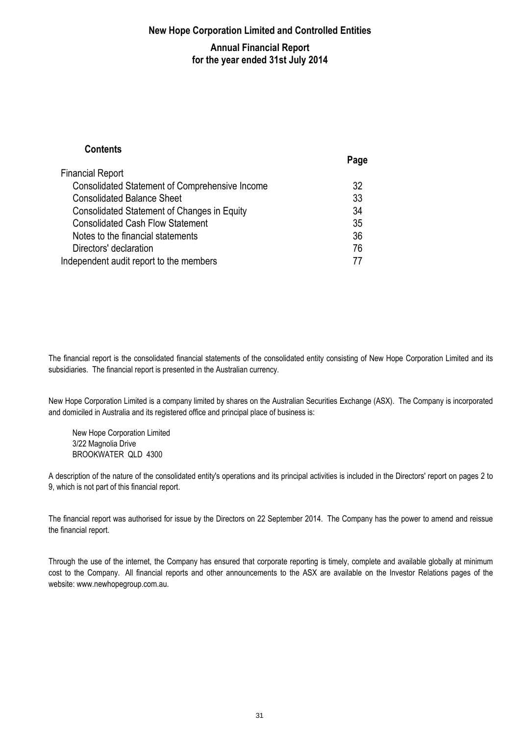### **New Hope Corporation Limited and Controlled Entities**

### **Annual Financial Report for the year ended 31st July 2014**

### **Contents Page** Financial Report Consolidated Statement of Comprehensive Income 32 Consolidated Balance Sheet 33 Consolidated Statement of Changes in Equity 34 Consolidated Cash Flow Statement 35 Notes to the financial statements 36 Directors' declaration 76 Independent audit report to the members 77

The financial report is the consolidated financial statements of the consolidated entity consisting of New Hope Corporation Limited and its subsidiaries. The financial report is presented in the Australian currency.

New Hope Corporation Limited is a company limited by shares on the Australian Securities Exchange (ASX). The Company is incorporated and domiciled in Australia and its registered office and principal place of business is:

New Hope Corporation Limited 3/22 Magnolia Drive BROOKWATER QLD 4300

A description of the nature of the consolidated entity's operations and its principal activities is included in the Directors' report on pages 2 to 9, which is not part of this financial report.

The financial report was authorised for issue by the Directors on 22 September 2014. The Company has the power to amend and reissue the financial report.

Through the use of the internet, the Company has ensured that corporate reporting is timely, complete and available globally at minimum cost to the Company. All financial reports and other announcements to the ASX are available on the Investor Relations pages of the website: www.newhopegroup.com.au.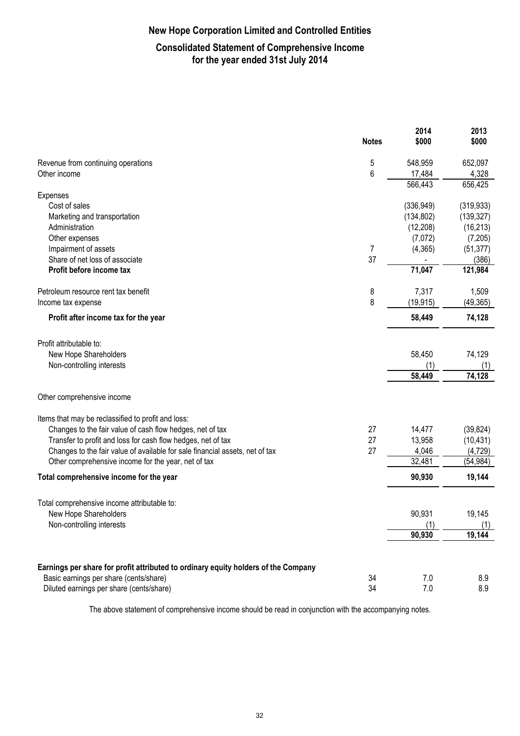# **New Hope Corporation Limited and Controlled Entities**

### **Consolidated Statement of Comprehensive Income for the year ended 31st July 2014**

|                                                                                    | <b>Notes</b> | 2014<br>\$000           | 2013<br>\$000           |
|------------------------------------------------------------------------------------|--------------|-------------------------|-------------------------|
| Revenue from continuing operations                                                 | 5            | 548,959                 | 652,097                 |
| Other income                                                                       | 6            | 17,484                  | 4,328                   |
|                                                                                    |              | 566,443                 | 656,425                 |
| Expenses                                                                           |              |                         |                         |
| Cost of sales                                                                      |              | (336, 949)              | (319, 933)              |
| Marketing and transportation                                                       |              | (134, 802)              | (139, 327)              |
| Administration                                                                     |              | (12, 208)               | (16, 213)               |
| Other expenses                                                                     |              | (7,072)                 | (7, 205)                |
| Impairment of assets                                                               | 7            | (4, 365)                | (51, 377)               |
| Share of net loss of associate                                                     | 37           |                         | (386)                   |
| Profit before income tax                                                           |              | 71,047                  | 121,984                 |
| Petroleum resource rent tax benefit                                                | 8            | 7,317                   | 1,509                   |
| Income tax expense                                                                 | 8            | (19, 915)               | (49, 365)               |
| Profit after income tax for the year                                               |              | 58,449                  | 74,128                  |
| Profit attributable to:<br>New Hope Shareholders<br>Non-controlling interests      |              | 58,450<br>(1)<br>58,449 | 74,129<br>(1)<br>74,128 |
| Other comprehensive income                                                         |              |                         |                         |
| Items that may be reclassified to profit and loss:                                 |              |                         |                         |
| Changes to the fair value of cash flow hedges, net of tax                          | 27           | 14,477                  | (39, 824)               |
| Transfer to profit and loss for cash flow hedges, net of tax                       | 27           | 13,958                  | (10, 431)               |
| Changes to the fair value of available for sale financial assets, net of tax       | 27           | 4,046                   | (4, 729)                |
| Other comprehensive income for the year, net of tax                                |              | 32,481                  | (54, 984)               |
| Total comprehensive income for the year                                            |              | 90,930                  | 19,144                  |
| Total comprehensive income attributable to:                                        |              |                         |                         |
| New Hope Shareholders                                                              |              | 90,931                  | 19,145                  |
| Non-controlling interests                                                          |              | (1)                     | (1)                     |
|                                                                                    |              | 90,930                  | 19,144                  |
| Earnings per share for profit attributed to ordinary equity holders of the Company |              |                         |                         |
| Basic earnings per share (cents/share)                                             | 34           | 7.0                     | 8.9                     |
| Diluted earnings per share (cents/share)                                           | 34           | 7.0                     | 8.9                     |

The above statement of comprehensive income should be read in conjunction with the accompanying notes.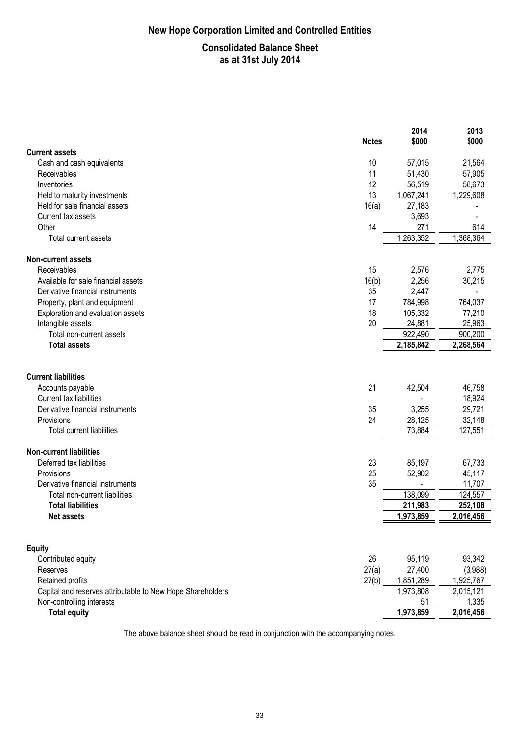# **New Hope Corporation Limited and Controlled Entities**

### **Consolidated Balance Sheet as at 31st July 2014**

|                                                                                                               | <b>Notes</b> | 2014<br>\$000    | 2013<br>\$000     |
|---------------------------------------------------------------------------------------------------------------|--------------|------------------|-------------------|
| <b>Current assets</b>                                                                                         |              |                  |                   |
| Cash and cash equivalents                                                                                     | 10           | 57,015           | 21,564            |
| Receivables                                                                                                   | 11           | 51,430           | 57,905            |
| Inventories                                                                                                   | 12           | 56,519           | 58,673            |
| Held to maturity investments                                                                                  | 13           | 1,067,241        | 1,229,608         |
| Held for sale financial assets                                                                                | 16(a)        | 27,183           |                   |
| Current tax assets                                                                                            |              | 3,693            |                   |
| Other                                                                                                         | 14           | 271              | 614               |
| Total current assets                                                                                          |              | 1,263,352        | 1,368,364         |
| <b>Non-current assets</b>                                                                                     |              |                  |                   |
| Receivables                                                                                                   | 15           | 2,576            | 2,775             |
| Available for sale financial assets                                                                           | 16(b)        | 2,256            | 30,215            |
| Derivative financial instruments                                                                              | 35           | 2,447            |                   |
| Property, plant and equipment                                                                                 | 17           | 784,998          | 764,037           |
| Exploration and evaluation assets                                                                             | 18           | 105,332          | 77,210            |
| Intangible assets                                                                                             | 20           | 24,881           | 25,963            |
| Total non-current assets                                                                                      |              | 922,490          | 900,200           |
| <b>Total assets</b>                                                                                           |              | 2,185,842        | 2,268,564         |
| <b>Current liabilities</b><br>Accounts payable<br>Current tax liabilities<br>Derivative financial instruments | 21<br>35     | 42,504<br>3,255  | 46,758<br>18,924  |
|                                                                                                               | 24           |                  | 29,721            |
| Provisions<br><b>Total current liabilities</b>                                                                |              | 28,125<br>73,884 | 32,148<br>127,551 |
|                                                                                                               |              |                  |                   |
| <b>Non-current liabilities</b>                                                                                |              |                  |                   |
| Deferred tax liabilities                                                                                      | 23           | 85,197           | 67,733            |
| Provisions                                                                                                    | 25           | 52,902           | 45,117            |
| Derivative financial instruments                                                                              | 35           |                  | 11,707            |
| Total non-current liabilities                                                                                 |              | 138,099          | 124,557           |
| <b>Total liabilities</b>                                                                                      |              | 211,983          | 252,108           |
| Net assets                                                                                                    |              | 1,973,859        | 2,016,456         |
|                                                                                                               |              |                  |                   |
| <b>Equity</b>                                                                                                 | 26           | 95,119           | 93,342            |
| Contributed equity                                                                                            |              |                  |                   |
| Reserves                                                                                                      | 27(a)        | 27,400           | (3,988)           |
| Retained profits                                                                                              | 27(b)        | 1,851,289        | 1,925,767         |
| Capital and reserves attributable to New Hope Shareholders<br>Non-controlling interests                       |              | 1,973,808        | 2,015,121         |
|                                                                                                               |              | 51               | 1,335             |
| <b>Total equity</b>                                                                                           |              | 1,973,859        | 2,016,456         |

The above balance sheet should be read in conjunction with the accompanying notes.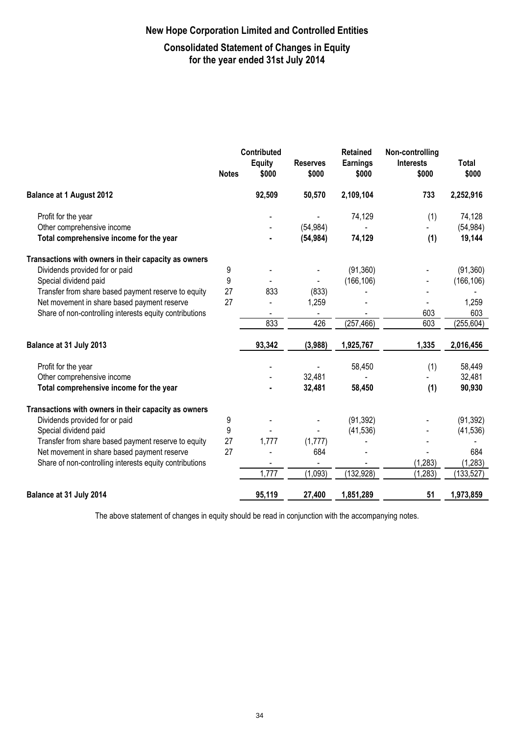# **Consolidated Statement of Changes in Equity for the year ended 31st July 2014**

|                                                         |              | Contributed            |                          | <b>Retained</b>          | Non-controlling           |                |
|---------------------------------------------------------|--------------|------------------------|--------------------------|--------------------------|---------------------------|----------------|
|                                                         | <b>Notes</b> | <b>Equity</b><br>\$000 | <b>Reserves</b><br>\$000 | <b>Earnings</b><br>\$000 | <b>Interests</b><br>\$000 | Total<br>\$000 |
| <b>Balance at 1 August 2012</b>                         |              | 92,509                 | 50,570                   | 2,109,104                | 733                       | 2,252,916      |
| Profit for the year                                     |              |                        |                          | 74,129                   | (1)                       | 74,128         |
| Other comprehensive income                              |              |                        | (54, 984)                |                          |                           | (54, 984)      |
| Total comprehensive income for the year                 |              |                        | (54, 984)                | 74,129                   | (1)                       | 19,144         |
| Transactions with owners in their capacity as owners    |              |                        |                          |                          |                           |                |
| Dividends provided for or paid                          | 9            |                        |                          | (91, 360)                |                           | (91, 360)      |
| Special dividend paid                                   | 9            |                        |                          | (166, 106)               |                           | (166, 106)     |
| Transfer from share based payment reserve to equity     | 27           | 833                    | (833)                    |                          |                           |                |
| Net movement in share based payment reserve             | 27           |                        | 1,259                    |                          |                           | 1,259          |
| Share of non-controlling interests equity contributions |              |                        |                          |                          | 603                       | 603            |
|                                                         |              | 833                    | 426                      | (257, 466)               | 603                       | (255, 604)     |
| Balance at 31 July 2013                                 |              | 93,342                 | (3,988)                  | 1,925,767                | 1,335                     | 2,016,456      |
| Profit for the year                                     |              |                        |                          | 58,450                   | (1)                       | 58,449         |
| Other comprehensive income                              |              |                        | 32,481                   |                          |                           | 32,481         |
| Total comprehensive income for the year                 |              |                        | 32,481                   | 58,450                   | (1)                       | 90,930         |
| Transactions with owners in their capacity as owners    |              |                        |                          |                          |                           |                |
| Dividends provided for or paid                          | 9            |                        |                          | (91, 392)                |                           | (91, 392)      |
| Special dividend paid                                   | 9            |                        |                          | (41, 536)                |                           | (41, 536)      |
| Transfer from share based payment reserve to equity     | 27           | 1,777                  | (1,777)                  |                          |                           |                |
| Net movement in share based payment reserve             | 27           |                        | 684                      |                          |                           | 684            |
| Share of non-controlling interests equity contributions |              |                        |                          |                          | (1, 283)                  | (1, 283)       |
|                                                         |              | 1,777                  | (1,093)                  | (132, 928)               | (1, 283)                  | (133, 527)     |
| Balance at 31 July 2014                                 |              | 95,119                 | 27,400                   | 1,851,289                | 51                        | 1,973,859      |

The above statement of changes in equity should be read in conjunction with the accompanying notes.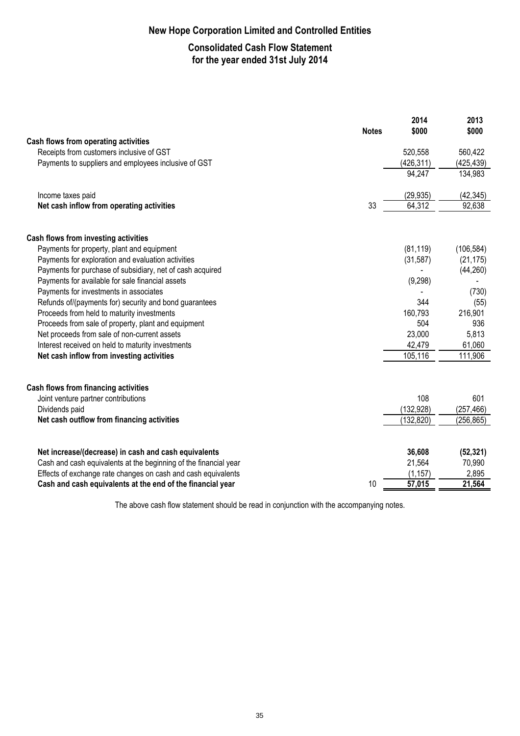# **Consolidated Cash Flow Statement for the year ended 31st July 2014**

|                                                                  | <b>Notes</b> | 2014<br>\$000 | 2013<br>\$000 |
|------------------------------------------------------------------|--------------|---------------|---------------|
| Cash flows from operating activities                             |              |               |               |
| Receipts from customers inclusive of GST                         |              | 520,558       | 560,422       |
| Payments to suppliers and employees inclusive of GST             |              | (426, 311)    | (425, 439)    |
|                                                                  |              | 94,247        | 134,983       |
| Income taxes paid                                                |              | (29, 935)     | (42, 345)     |
| Net cash inflow from operating activities                        | 33           | 64,312        | 92,638        |
| Cash flows from investing activities                             |              |               |               |
| Payments for property, plant and equipment                       |              | (81, 119)     | (106, 584)    |
| Payments for exploration and evaluation activities               |              | (31, 587)     | (21, 175)     |
| Payments for purchase of subsidiary, net of cash acquired        |              |               | (44, 260)     |
| Payments for available for sale financial assets                 |              | (9, 298)      |               |
| Payments for investments in associates                           |              |               | (730)         |
| Refunds of/(payments for) security and bond guarantees           |              | 344           | (55)          |
| Proceeds from held to maturity investments                       |              | 160,793       | 216,901       |
| Proceeds from sale of property, plant and equipment              |              | 504           | 936           |
| Net proceeds from sale of non-current assets                     |              | 23,000        | 5,813         |
| Interest received on held to maturity investments                |              | 42,479        | 61,060        |
| Net cash inflow from investing activities                        |              | 105,116       | 111,906       |
| Cash flows from financing activities                             |              |               |               |
| Joint venture partner contributions                              |              | 108           | 601           |
| Dividends paid                                                   |              | (132, 928)    | (257, 466)    |
| Net cash outflow from financing activities                       |              | (132, 820)    | (256, 865)    |
| Net increase/(decrease) in cash and cash equivalents             |              | 36,608        | (52, 321)     |
| Cash and cash equivalents at the beginning of the financial year |              | 21,564        | 70,990        |
| Effects of exchange rate changes on cash and cash equivalents    |              | (1, 157)      | 2,895         |
| Cash and cash equivalents at the end of the financial year       | 10           | 57,015        | 21,564        |

The above cash flow statement should be read in conjunction with the accompanying notes.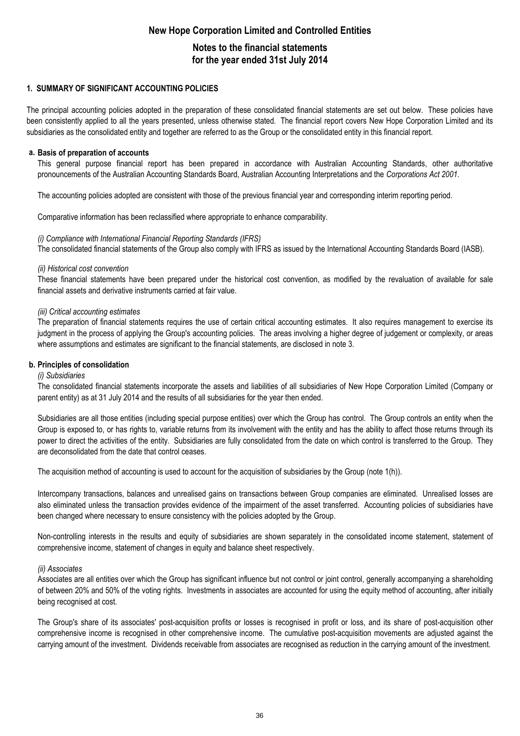# **New Hope Corporation Limited and Controlled Entities Notes to the financial statements for the year ended 31st July 2014**

#### **1. SUMMARY OF SIGNIFICANT ACCOUNTING POLICIES**

The principal accounting policies adopted in the preparation of these consolidated financial statements are set out below. These policies have been consistently applied to all the years presented, unless otherwise stated. The financial report covers New Hope Corporation Limited and its subsidiaries as the consolidated entity and together are referred to as the Group or the consolidated entity in this financial report.

#### **a. Basis of preparation of accounts**

This general purpose financial report has been prepared in accordance with Australian Accounting Standards, other authoritative pronouncements of the Australian Accounting Standards Board, Australian Accounting Interpretations and the *Corporations Act 2001.*

The accounting policies adopted are consistent with those of the previous financial year and corresponding interim reporting period.

Comparative information has been reclassified where appropriate to enhance comparability.

#### *(i) Compliance with International Financial Reporting Standards (IFRS)*

The consolidated financial statements of the Group also comply with IFRS as issued by the International Accounting Standards Board (IASB).

#### *(ii) Historical cost convention*

These financial statements have been prepared under the historical cost convention, as modified by the revaluation of available for sale financial assets and derivative instruments carried at fair value.

#### *(iii) Critical accounting estimates*

The preparation of financial statements requires the use of certain critical accounting estimates. It also requires management to exercise its judgment in the process of applying the Group's accounting policies. The areas involving a higher degree of judgement or complexity, or areas where assumptions and estimates are significant to the financial statements, are disclosed in note 3.

#### **b. Principles of consolidation**

#### *(i) Subsidiaries*

The consolidated financial statements incorporate the assets and liabilities of all subsidiaries of New Hope Corporation Limited (Company or parent entity) as at 31 July 2014 and the results of all subsidiaries for the year then ended.

Subsidiaries are all those entities (including special purpose entities) over which the Group has control. The Group controls an entity when the Group is exposed to, or has rights to, variable returns from its involvement with the entity and has the ability to affect those returns through its power to direct the activities of the entity. Subsidiaries are fully consolidated from the date on which control is transferred to the Group. They are deconsolidated from the date that control ceases.

The acquisition method of accounting is used to account for the acquisition of subsidiaries by the Group (note 1(h)).

Intercompany transactions, balances and unrealised gains on transactions between Group companies are eliminated. Unrealised losses are also eliminated unless the transaction provides evidence of the impairment of the asset transferred. Accounting policies of subsidiaries have been changed where necessary to ensure consistency with the policies adopted by the Group.

Non-controlling interests in the results and equity of subsidiaries are shown separately in the consolidated income statement, statement of comprehensive income, statement of changes in equity and balance sheet respectively.

#### *(ii) Associates*

Associates are all entities over which the Group has significant influence but not control or joint control, generally accompanying a shareholding of between 20% and 50% of the voting rights. Investments in associates are accounted for using the equity method of accounting, after initially being recognised at cost.

The Group's share of its associates' post-acquisition profits or losses is recognised in profit or loss, and its share of post-acquisition other comprehensive income is recognised in other comprehensive income. The cumulative post-acquisition movements are adjusted against the carrying amount of the investment. Dividends receivable from associates are recognised as reduction in the carrying amount of the investment.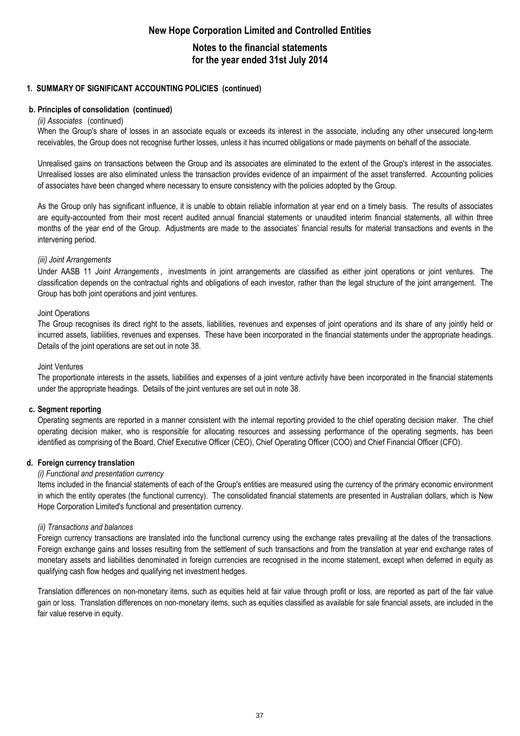### **Notes to the financial statements for the year ended 31st July 2014**

#### **1. SUMMARY OF SIGNIFICANT ACCOUNTING POLICIES (continued)**

#### **b. Principles of consolidation (continued)**

#### *(ii) Associates* (continued)

When the Group's share of losses in an associate equals or exceeds its interest in the associate, including any other unsecured long-term receivables, the Group does not recognise further losses, unless it has incurred obligations or made payments on behalf of the associate.

Unrealised gains on transactions between the Group and its associates are eliminated to the extent of the Group's interest in the associates. Unrealised losses are also eliminated unless the transaction provides evidence of an impairment of the asset transferred. Accounting policies of associates have been changed where necessary to ensure consistency with the policies adopted by the Group.

As the Group only has significant influence, it is unable to obtain reliable information at year end on a timely basis. The results of associates are equity-accounted from their most recent audited annual financial statements or unaudited interim financial statements, all within three months of the year end of the Group. Adjustments are made to the associates' financial results for material transactions and events in the intervening period.

#### *(iii) Joint Arrangements*

Under AASB 11 *Joint Arrangements ,* investments in joint arrangements are classified as either joint operations or joint ventures. The classification depends on the contractual rights and obligations of each investor, rather than the legal structure of the joint arrangement. The Group has both joint operations and joint ventures.

#### Joint Operations

The Group recognises its direct right to the assets, liabilities, revenues and expenses of joint operations and its share of any jointly held or incurred assets, liabilities, revenues and expenses. These have been incorporated in the financial statements under the appropriate headings. Details of the joint operations are set out in note 38.

#### Joint Ventures

The proportionate interests in the assets, liabilities and expenses of a joint venture activity have been incorporated in the financial statements under the appropriate headings. Details of the joint ventures are set out in note 38.

#### **c. Segment reporting**

Operating segments are reported in a manner consistent with the internal reporting provided to the chief operating decision maker. The chief operating decision maker, who is responsible for allocating resources and assessing performance of the operating segments, has been identified as comprising of the Board, Chief Executive Officer (CEO), Chief Operating Officer (COO) and Chief Financial Officer (CFO).

#### **d. Foreign currency translation**

#### *(i) Functional and presentation currency*

Items included in the financial statements of each of the Group's entities are measured using the currency of the primary economic environment in which the entity operates (the functional currency). The consolidated financial statements are presented in Australian dollars, which is New Hope Corporation Limited's functional and presentation currency.

#### *(ii) Transactions and balances*

Foreign currency transactions are translated into the functional currency using the exchange rates prevailing at the dates of the transactions. Foreign exchange gains and losses resulting from the settlement of such transactions and from the translation at year end exchange rates of monetary assets and liabilities denominated in foreign currencies are recognised in the income statement, except when deferred in equity as qualifying cash flow hedges and qualifying net investment hedges.

Translation differences on non-monetary items, such as equities held at fair value through profit or loss, are reported as part of the fair value gain or loss. Translation differences on non-monetary items, such as equities classified as available for sale financial assets, are included in the fair value reserve in equity.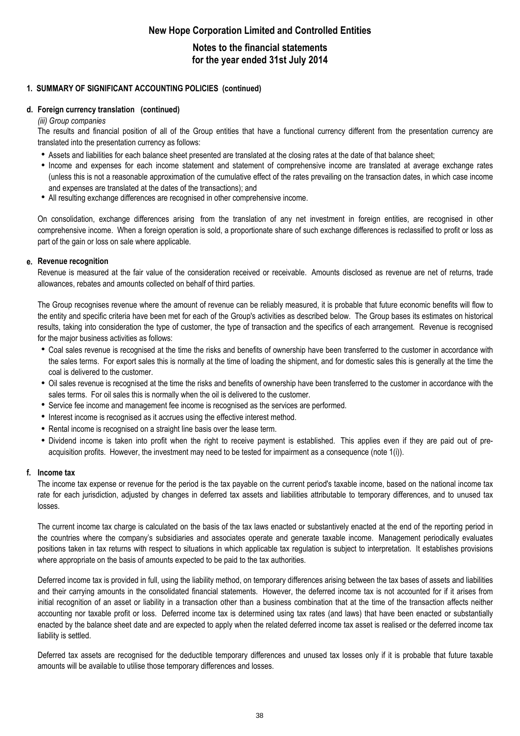# **Notes to the financial statements for the year ended 31st July 2014**

#### **1. SUMMARY OF SIGNIFICANT ACCOUNTING POLICIES (continued)**

#### **d. Foreign currency translation (continued)**

#### *(iii) Group companies*

The results and financial position of all of the Group entities that have a functional currency different from the presentation currency are translated into the presentation currency as follows:

- Assets and liabilities for each balance sheet presented are translated at the closing rates at the date of that balance sheet;
- h Income and expenses for each income statement and statement of comprehensive income are translated at average exchange rates (unless this is not a reasonable approximation of the cumulative effect of the rates prevailing on the transaction dates, in which case income and expenses are translated at the dates of the transactions); and
- All resulting exchange differences are recognised in other comprehensive income.

On consolidation, exchange differences arising from the translation of any net investment in foreign entities, are recognised in other comprehensive income. When a foreign operation is sold, a proportionate share of such exchange differences is reclassified to profit or loss as part of the gain or loss on sale where applicable.

#### **e. Revenue recognition**

Revenue is measured at the fair value of the consideration received or receivable. Amounts disclosed as revenue are net of returns, trade allowances, rebates and amounts collected on behalf of third parties.

The Group recognises revenue where the amount of revenue can be reliably measured, it is probable that future economic benefits will flow to the entity and specific criteria have been met for each of the Group's activities as described below. The Group bases its estimates on historical results, taking into consideration the type of customer, the type of transaction and the specifics of each arrangement. Revenue is recognised for the major business activities as follows:

- Coal sales revenue is recognised at the time the risks and benefits of ownership have been transferred to the customer in accordance with the sales terms. For export sales this is normally at the time of loading the shipment, and for domestic sales this is generally at the time the coal is delivered to the customer.
- Oil sales revenue is recognised at the time the risks and benefits of ownership have been transferred to the customer in accordance with the sales terms. For oil sales this is normally when the oil is delivered to the customer.
- Service fee income and management fee income is recognised as the services are performed.
- Interest income is recognised as it accrues using the effective interest method.
- Rental income is recognised on a straight line basis over the lease term.
- Dividend income is taken into profit when the right to receive payment is established. This applies even if they are paid out of preacquisition profits. However, the investment may need to be tested for impairment as a consequence (note 1(i)).

#### **f. Income tax**

The income tax expense or revenue for the period is the tax payable on the current period's taxable income, based on the national income tax rate for each jurisdiction, adjusted by changes in deferred tax assets and liabilities attributable to temporary differences, and to unused tax losses.

The current income tax charge is calculated on the basis of the tax laws enacted or substantively enacted at the end of the reporting period in the countries where the company's subsidiaries and associates operate and generate taxable income. Management periodically evaluates positions taken in tax returns with respect to situations in which applicable tax regulation is subject to interpretation. It establishes provisions where appropriate on the basis of amounts expected to be paid to the tax authorities.

Deferred income tax is provided in full, using the liability method, on temporary differences arising between the tax bases of assets and liabilities and their carrying amounts in the consolidated financial statements. However, the deferred income tax is not accounted for if it arises from initial recognition of an asset or liability in a transaction other than a business combination that at the time of the transaction affects neither accounting nor taxable profit or loss. Deferred income tax is determined using tax rates (and laws) that have been enacted or substantially enacted by the balance sheet date and are expected to apply when the related deferred income tax asset is realised or the deferred income tax liability is settled.

Deferred tax assets are recognised for the deductible temporary differences and unused tax losses only if it is probable that future taxable amounts will be available to utilise those temporary differences and losses.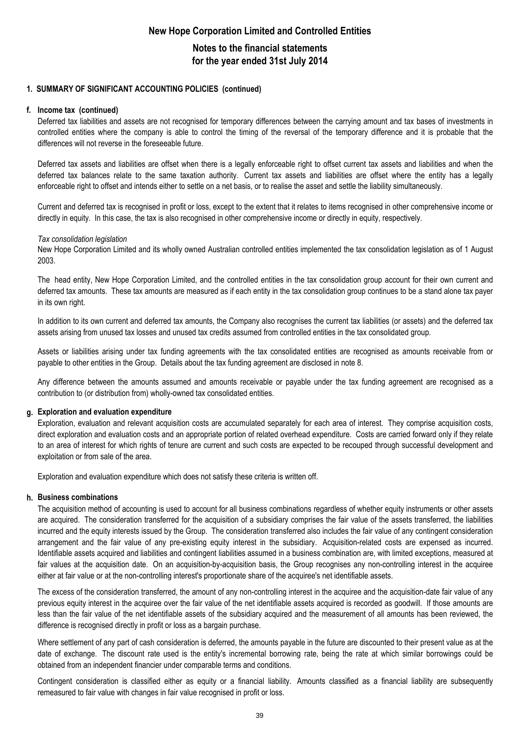### **Notes to the financial statements for the year ended 31st July 2014**

#### **1. SUMMARY OF SIGNIFICANT ACCOUNTING POLICIES (continued)**

#### **f. Income tax (continued)**

Deferred tax liabilities and assets are not recognised for temporary differences between the carrying amount and tax bases of investments in controlled entities where the company is able to control the timing of the reversal of the temporary difference and it is probable that the differences will not reverse in the foreseeable future.

Deferred tax assets and liabilities are offset when there is a legally enforceable right to offset current tax assets and liabilities and when the deferred tax balances relate to the same taxation authority. Current tax assets and liabilities are offset where the entity has a legally enforceable right to offset and intends either to settle on a net basis, or to realise the asset and settle the liability simultaneously.

Current and deferred tax is recognised in profit or loss, except to the extent that it relates to items recognised in other comprehensive income or directly in equity. In this case, the tax is also recognised in other comprehensive income or directly in equity, respectively.

#### *Tax consolidation legislation*

New Hope Corporation Limited and its wholly owned Australian controlled entities implemented the tax consolidation legislation as of 1 August 2003.

The head entity, New Hope Corporation Limited, and the controlled entities in the tax consolidation group account for their own current and deferred tax amounts. These tax amounts are measured as if each entity in the tax consolidation group continues to be a stand alone tax payer in its own right.

In addition to its own current and deferred tax amounts, the Company also recognises the current tax liabilities (or assets) and the deferred tax assets arising from unused tax losses and unused tax credits assumed from controlled entities in the tax consolidated group.

Assets or liabilities arising under tax funding agreements with the tax consolidated entities are recognised as amounts receivable from or payable to other entities in the Group. Details about the tax funding agreement are disclosed in note 8.

Any difference between the amounts assumed and amounts receivable or payable under the tax funding agreement are recognised as a contribution to (or distribution from) wholly-owned tax consolidated entities.

#### **g. Exploration and evaluation expenditure**

Exploration, evaluation and relevant acquisition costs are accumulated separately for each area of interest. They comprise acquisition costs, direct exploration and evaluation costs and an appropriate portion of related overhead expenditure. Costs are carried forward only if they relate to an area of interest for which rights of tenure are current and such costs are expected to be recouped through successful development and exploitation or from sale of the area.

Exploration and evaluation expenditure which does not satisfy these criteria is written off.

#### **h. Business combinations**

The acquisition method of accounting is used to account for all business combinations regardless of whether equity instruments or other assets are acquired. The consideration transferred for the acquisition of a subsidiary comprises the fair value of the assets transferred, the liabilities incurred and the equity interests issued by the Group. The consideration transferred also includes the fair value of any contingent consideration arrangement and the fair value of any pre-existing equity interest in the subsidiary. Acquisition-related costs are expensed as incurred. Identifiable assets acquired and liabilities and contingent liabilities assumed in a business combination are, with limited exceptions, measured at fair values at the acquisition date. On an acquisition-by-acquisition basis, the Group recognises any non-controlling interest in the acquiree either at fair value or at the non-controlling interest's proportionate share of the acquiree's net identifiable assets.

The excess of the consideration transferred, the amount of any non-controlling interest in the acquiree and the acquisition-date fair value of any previous equity interest in the acquiree over the fair value of the net identifiable assets acquired is recorded as goodwill. If those amounts are less than the fair value of the net identifiable assets of the subsidiary acquired and the measurement of all amounts has been reviewed, the difference is recognised directly in profit or loss as a bargain purchase.

Where settlement of any part of cash consideration is deferred, the amounts payable in the future are discounted to their present value as at the date of exchange. The discount rate used is the entity's incremental borrowing rate, being the rate at which similar borrowings could be obtained from an independent financier under comparable terms and conditions.

Contingent consideration is classified either as equity or a financial liability. Amounts classified as a financial liability are subsequently remeasured to fair value with changes in fair value recognised in profit or loss.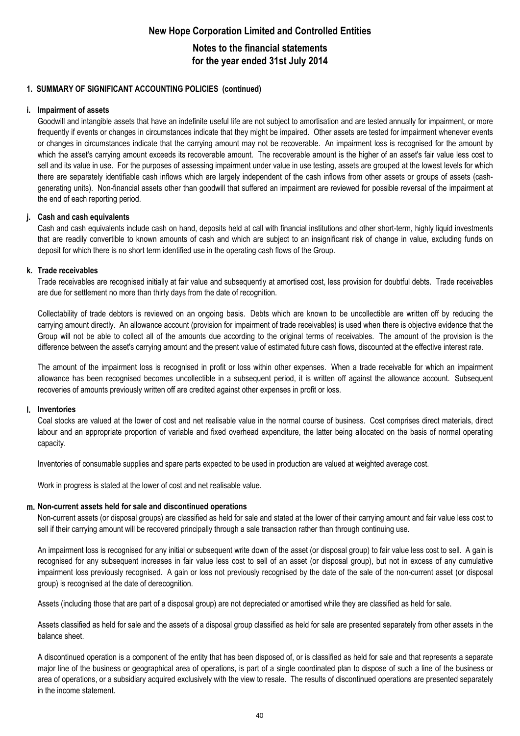## **Notes to the financial statements for the year ended 31st July 2014**

#### **1. SUMMARY OF SIGNIFICANT ACCOUNTING POLICIES (continued)**

#### **i. Impairment of assets**

Goodwill and intangible assets that have an indefinite useful life are not subject to amortisation and are tested annually for impairment, or more frequently if events or changes in circumstances indicate that they might be impaired. Other assets are tested for impairment whenever events or changes in circumstances indicate that the carrying amount may not be recoverable. An impairment loss is recognised for the amount by which the asset's carrying amount exceeds its recoverable amount. The recoverable amount is the higher of an asset's fair value less cost to sell and its value in use. For the purposes of assessing impairment under value in use testing, assets are grouped at the lowest levels for which there are separately identifiable cash inflows which are largely independent of the cash inflows from other assets or groups of assets (cashgenerating units). Non-financial assets other than goodwill that suffered an impairment are reviewed for possible reversal of the impairment at the end of each reporting period.

#### **j. Cash and cash equivalents**

Cash and cash equivalents include cash on hand, deposits held at call with financial institutions and other short-term, highly liquid investments that are readily convertible to known amounts of cash and which are subject to an insignificant risk of change in value, excluding funds on deposit for which there is no short term identified use in the operating cash flows of the Group.

#### **k. Trade receivables**

Trade receivables are recognised initially at fair value and subsequently at amortised cost, less provision for doubtful debts. Trade receivables are due for settlement no more than thirty days from the date of recognition.

Collectability of trade debtors is reviewed on an ongoing basis. Debts which are known to be uncollectible are written off by reducing the carrying amount directly. An allowance account (provision for impairment of trade receivables) is used when there is objective evidence that the Group will not be able to collect all of the amounts due according to the original terms of receivables. The amount of the provision is the difference between the asset's carrying amount and the present value of estimated future cash flows, discounted at the effective interest rate.

The amount of the impairment loss is recognised in profit or loss within other expenses. When a trade receivable for which an impairment allowance has been recognised becomes uncollectible in a subsequent period, it is written off against the allowance account. Subsequent recoveries of amounts previously written off are credited against other expenses in profit or loss.

#### **l. Inventories**

Coal stocks are valued at the lower of cost and net realisable value in the normal course of business. Cost comprises direct materials, direct labour and an appropriate proportion of variable and fixed overhead expenditure, the latter being allocated on the basis of normal operating capacity.

Inventories of consumable supplies and spare parts expected to be used in production are valued at weighted average cost.

Work in progress is stated at the lower of cost and net realisable value.

#### **m. Non-current assets held for sale and discontinued operations**

Non-current assets (or disposal groups) are classified as held for sale and stated at the lower of their carrying amount and fair value less cost to sell if their carrying amount will be recovered principally through a sale transaction rather than through continuing use.

An impairment loss is recognised for any initial or subsequent write down of the asset (or disposal group) to fair value less cost to sell. A gain is recognised for any subsequent increases in fair value less cost to sell of an asset (or disposal group), but not in excess of any cumulative impairment loss previously recognised. A gain or loss not previously recognised by the date of the sale of the non-current asset (or disposal group) is recognised at the date of derecognition.

Assets (including those that are part of a disposal group) are not depreciated or amortised while they are classified as held for sale.

Assets classified as held for sale and the assets of a disposal group classified as held for sale are presented separately from other assets in the balance sheet.

A discontinued operation is a component of the entity that has been disposed of, or is classified as held for sale and that represents a separate major line of the business or geographical area of operations, is part of a single coordinated plan to dispose of such a line of the business or area of operations, or a subsidiary acquired exclusively with the view to resale. The results of discontinued operations are presented separately in the income statement.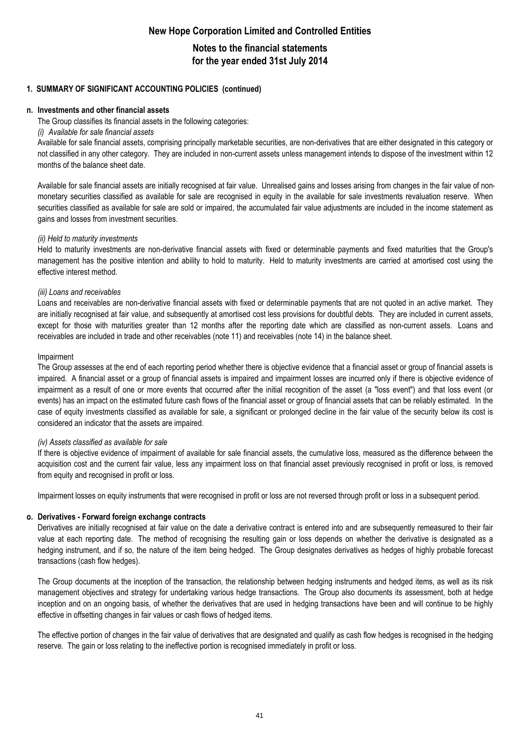**Notes to the financial statements for the year ended 31st July 2014**

#### **1. SUMMARY OF SIGNIFICANT ACCOUNTING POLICIES (continued)**

#### **n. Investments and other financial assets**

The Group classifies its financial assets in the following categories:

#### *(i) Available for sale financial assets*

Available for sale financial assets, comprising principally marketable securities, are non-derivatives that are either designated in this category or not classified in any other category. They are included in non-current assets unless management intends to dispose of the investment within 12 months of the balance sheet date.

Available for sale financial assets are initially recognised at fair value. Unrealised gains and losses arising from changes in the fair value of nonmonetary securities classified as available for sale are recognised in equity in the available for sale investments revaluation reserve. When securities classified as available for sale are sold or impaired, the accumulated fair value adjustments are included in the income statement as gains and losses from investment securities.

#### *(ii) Held to maturity investments*

Held to maturity investments are non-derivative financial assets with fixed or determinable payments and fixed maturities that the Group's management has the positive intention and ability to hold to maturity. Held to maturity investments are carried at amortised cost using the effective interest method.

#### *(iii) Loans and receivables*

Loans and receivables are non-derivative financial assets with fixed or determinable payments that are not quoted in an active market. They are initially recognised at fair value, and subsequently at amortised cost less provisions for doubtful debts. They are included in current assets, except for those with maturities greater than 12 months after the reporting date which are classified as non-current assets. Loans and receivables are included in trade and other receivables (note 11) and receivables (note 14) in the balance sheet.

#### Impairment

The Group assesses at the end of each reporting period whether there is objective evidence that a financial asset or group of financial assets is impaired. A financial asset or a group of financial assets is impaired and impairment losses are incurred only if there is objective evidence of impairment as a result of one or more events that occurred after the initial recognition of the asset (a "loss event") and that loss event (or events) has an impact on the estimated future cash flows of the financial asset or group of financial assets that can be reliably estimated. In the case of equity investments classified as available for sale, a significant or prolonged decline in the fair value of the security below its cost is considered an indicator that the assets are impaired.

#### *(iv) Assets classified as available for sale*

If there is objective evidence of impairment of available for sale financial assets, the cumulative loss, measured as the difference between the acquisition cost and the current fair value, less any impairment loss on that financial asset previously recognised in profit or loss, is removed from equity and recognised in profit or loss.

Impairment losses on equity instruments that were recognised in profit or loss are not reversed through profit or loss in a subsequent period.

#### **o. Derivatives - Forward foreign exchange contracts**

Derivatives are initially recognised at fair value on the date a derivative contract is entered into and are subsequently remeasured to their fair value at each reporting date. The method of recognising the resulting gain or loss depends on whether the derivative is designated as a hedging instrument, and if so, the nature of the item being hedged. The Group designates derivatives as hedges of highly probable forecast transactions (cash flow hedges).

The Group documents at the inception of the transaction, the relationship between hedging instruments and hedged items, as well as its risk management objectives and strategy for undertaking various hedge transactions. The Group also documents its assessment, both at hedge inception and on an ongoing basis, of whether the derivatives that are used in hedging transactions have been and will continue to be highly effective in offsetting changes in fair values or cash flows of hedged items.

The effective portion of changes in the fair value of derivatives that are designated and qualify as cash flow hedges is recognised in the hedging reserve. The gain or loss relating to the ineffective portion is recognised immediately in profit or loss.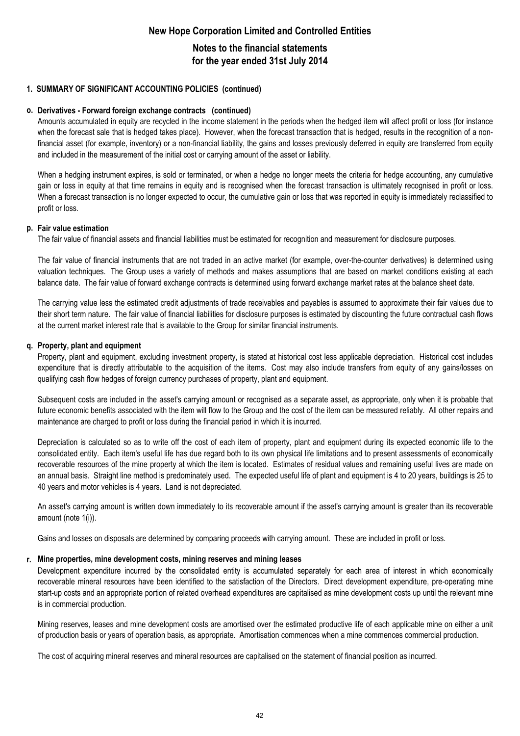### **Notes to the financial statements for the year ended 31st July 2014**

#### **1. SUMMARY OF SIGNIFICANT ACCOUNTING POLICIES (continued)**

#### **o. Derivatives - Forward foreign exchange contracts (continued)**

Amounts accumulated in equity are recycled in the income statement in the periods when the hedged item will affect profit or loss (for instance when the forecast sale that is hedged takes place). However, when the forecast transaction that is hedged, results in the recognition of a nonfinancial asset (for example, inventory) or a non-financial liability, the gains and losses previously deferred in equity are transferred from equity and included in the measurement of the initial cost or carrying amount of the asset or liability.

When a hedging instrument expires, is sold or terminated, or when a hedge no longer meets the criteria for hedge accounting, any cumulative gain or loss in equity at that time remains in equity and is recognised when the forecast transaction is ultimately recognised in profit or loss. When a forecast transaction is no longer expected to occur, the cumulative gain or loss that was reported in equity is immediately reclassified to profit or loss.

#### **p. Fair value estimation**

The fair value of financial assets and financial liabilities must be estimated for recognition and measurement for disclosure purposes.

The fair value of financial instruments that are not traded in an active market (for example, over-the-counter derivatives) is determined using valuation techniques. The Group uses a variety of methods and makes assumptions that are based on market conditions existing at each balance date. The fair value of forward exchange contracts is determined using forward exchange market rates at the balance sheet date.

The carrying value less the estimated credit adjustments of trade receivables and payables is assumed to approximate their fair values due to their short term nature. The fair value of financial liabilities for disclosure purposes is estimated by discounting the future contractual cash flows at the current market interest rate that is available to the Group for similar financial instruments.

#### **q. Property, plant and equipment**

Property, plant and equipment, excluding investment property, is stated at historical cost less applicable depreciation. Historical cost includes expenditure that is directly attributable to the acquisition of the items. Cost may also include transfers from equity of any gains/losses on qualifying cash flow hedges of foreign currency purchases of property, plant and equipment.

Subsequent costs are included in the asset's carrying amount or recognised as a separate asset, as appropriate, only when it is probable that future economic benefits associated with the item will flow to the Group and the cost of the item can be measured reliably. All other repairs and maintenance are charged to profit or loss during the financial period in which it is incurred.

Depreciation is calculated so as to write off the cost of each item of property, plant and equipment during its expected economic life to the consolidated entity. Each item's useful life has due regard both to its own physical life limitations and to present assessments of economically recoverable resources of the mine property at which the item is located. Estimates of residual values and remaining useful lives are made on an annual basis. Straight line method is predominately used. The expected useful life of plant and equipment is 4 to 20 years, buildings is 25 to 40 years and motor vehicles is 4 years. Land is not depreciated.

An asset's carrying amount is written down immediately to its recoverable amount if the asset's carrying amount is greater than its recoverable amount (note 1(i)).

Gains and losses on disposals are determined by comparing proceeds with carrying amount. These are included in profit or loss.

#### **r. Mine properties, mine development costs, mining reserves and mining leases**

Development expenditure incurred by the consolidated entity is accumulated separately for each area of interest in which economically recoverable mineral resources have been identified to the satisfaction of the Directors. Direct development expenditure, pre-operating mine start-up costs and an appropriate portion of related overhead expenditures are capitalised as mine development costs up until the relevant mine is in commercial production.

Mining reserves, leases and mine development costs are amortised over the estimated productive life of each applicable mine on either a unit of production basis or years of operation basis, as appropriate. Amortisation commences when a mine commences commercial production.

The cost of acquiring mineral reserves and mineral resources are capitalised on the statement of financial position as incurred.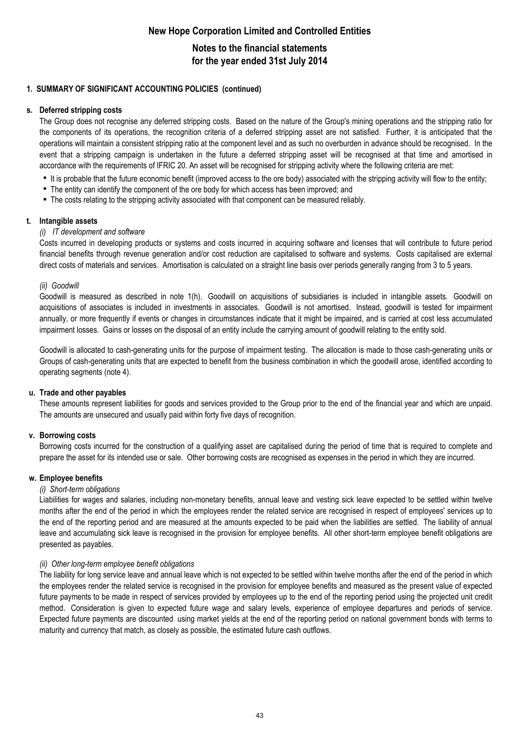### **Notes to the financial statements for the year ended 31st July 2014**

#### **1. SUMMARY OF SIGNIFICANT ACCOUNTING POLICIES (continued)**

#### **s. Deferred stripping costs**

The Group does not recognise any deferred stripping costs. Based on the nature of the Group's mining operations and the stripping ratio for the components of its operations, the recognition criteria of a deferred stripping asset are not satisfied. Further, it is anticipated that the operations will maintain a consistent stripping ratio at the component level and as such no overburden in advance should be recognised. In the event that a stripping campaign is undertaken in the future a deferred stripping asset will be recognised at that time and amortised in accordance with the requirements of IFRIC 20. An asset will be recognised for stripping activity where the following criteria are met:

- It is probable that the future economic benefit (improved access to the ore body) associated with the stripping activity will flow to the entity;
- The entity can identify the component of the ore body for which access has been improved; and
- The costs relating to the stripping activity associated with that component can be measured reliably.

#### **t. Intangible assets**

#### *(i) IT development and software*

Costs incurred in developing products or systems and costs incurred in acquiring software and licenses that will contribute to future period financial benefits through revenue generation and/or cost reduction are capitalised to software and systems. Costs capitalised are external direct costs of materials and services. Amortisation is calculated on a straight line basis over periods generally ranging from 3 to 5 years.

#### *(ii) Goodwill*

Goodwill is measured as described in note 1(h). Goodwill on acquisitions of subsidiaries is included in intangible assets. Goodwill on acquisitions of associates is included in investments in associates. Goodwill is not amortised. Instead, goodwill is tested for impairment annually, or more frequently if events or changes in circumstances indicate that it might be impaired, and is carried at cost less accumulated impairment losses. Gains or losses on the disposal of an entity include the carrying amount of goodwill relating to the entity sold.

Goodwill is allocated to cash-generating units for the purpose of impairment testing. The allocation is made to those cash-generating units or Groups of cash-generating units that are expected to benefit from the business combination in which the goodwill arose, identified according to operating segments (note 4).

#### **u. Trade and other payables**

These amounts represent liabilities for goods and services provided to the Group prior to the end of the financial year and which are unpaid. The amounts are unsecured and usually paid within forty five days of recognition.

#### **v. Borrowing costs**

Borrowing costs incurred for the construction of a qualifying asset are capitalised during the period of time that is required to complete and prepare the asset for its intended use or sale. Other borrowing costs are recognised as expenses in the period in which they are incurred.

#### **w. Employee benefits**

#### *(i) Short-term obligations*

Liabilities for wages and salaries, including non-monetary benefits, annual leave and vesting sick leave expected to be settled within twelve months after the end of the period in which the employees render the related service are recognised in respect of employees' services up to the end of the reporting period and are measured at the amounts expected to be paid when the liabilities are settled. The liability of annual leave and accumulating sick leave is recognised in the provision for employee benefits. All other short-term employee benefit obligations are presented as payables.

#### *(ii) Other long-term employee benefit obligations*

The liability for long service leave and annual leave which is not expected to be settled within twelve months after the end of the period in which the employees render the related service is recognised in the provision for employee benefits and measured as the present value of expected future payments to be made in respect of services provided by employees up to the end of the reporting period using the projected unit credit method. Consideration is given to expected future wage and salary levels, experience of employee departures and periods of service. Expected future payments are discounted using market yields at the end of the reporting period on national government bonds with terms to maturity and currency that match, as closely as possible, the estimated future cash outflows.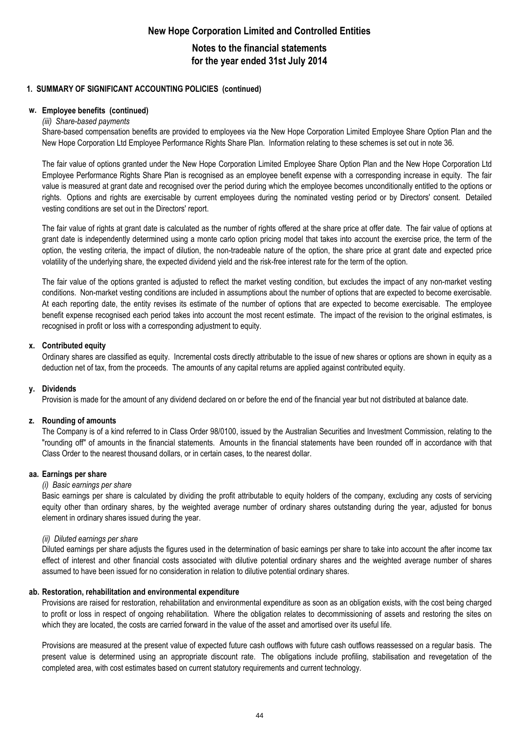**Notes to the financial statements for the year ended 31st July 2014**

#### **1. SUMMARY OF SIGNIFICANT ACCOUNTING POLICIES (continued)**

#### **w. Employee benefits (continued)**

#### *(iii) Share-based payments*

Share-based compensation benefits are provided to employees via the New Hope Corporation Limited Employee Share Option Plan and the New Hope Corporation Ltd Employee Performance Rights Share Plan. Information relating to these schemes is set out in note 36.

The fair value of options granted under the New Hope Corporation Limited Employee Share Option Plan and the New Hope Corporation Ltd Employee Performance Rights Share Plan is recognised as an employee benefit expense with a corresponding increase in equity. The fair value is measured at grant date and recognised over the period during which the employee becomes unconditionally entitled to the options or rights. Options and rights are exercisable by current employees during the nominated vesting period or by Directors' consent. Detailed vesting conditions are set out in the Directors' report.

The fair value of rights at grant date is calculated as the number of rights offered at the share price at offer date. The fair value of options at grant date is independently determined using a monte carlo option pricing model that takes into account the exercise price, the term of the option, the vesting criteria, the impact of dilution, the non-tradeable nature of the option, the share price at grant date and expected price volatility of the underlying share, the expected dividend yield and the risk-free interest rate for the term of the option.

The fair value of the options granted is adjusted to reflect the market vesting condition, but excludes the impact of any non-market vesting conditions. Non-market vesting conditions are included in assumptions about the number of options that are expected to become exercisable. At each reporting date, the entity revises its estimate of the number of options that are expected to become exercisable. The employee benefit expense recognised each period takes into account the most recent estimate. The impact of the revision to the original estimates, is recognised in profit or loss with a corresponding adjustment to equity.

#### **x. Contributed equity**

Ordinary shares are classified as equity. Incremental costs directly attributable to the issue of new shares or options are shown in equity as a deduction net of tax, from the proceeds. The amounts of any capital returns are applied against contributed equity.

#### **y. Dividends**

Provision is made for the amount of any dividend declared on or before the end of the financial year but not distributed at balance date.

#### **z. Rounding of amounts**

The Company is of a kind referred to in Class Order 98/0100, issued by the Australian Securities and Investment Commission, relating to the "rounding off" of amounts in the financial statements. Amounts in the financial statements have been rounded off in accordance with that Class Order to the nearest thousand dollars, or in certain cases, to the nearest dollar.

#### **aa. Earnings per share**

#### *(i) Basic earnings per share*

Basic earnings per share is calculated by dividing the profit attributable to equity holders of the company, excluding any costs of servicing equity other than ordinary shares, by the weighted average number of ordinary shares outstanding during the year, adjusted for bonus element in ordinary shares issued during the year.

#### *(ii) Diluted earnings per share*

Diluted earnings per share adjusts the figures used in the determination of basic earnings per share to take into account the after income tax effect of interest and other financial costs associated with dilutive potential ordinary shares and the weighted average number of shares assumed to have been issued for no consideration in relation to dilutive potential ordinary shares.

#### **ab. Restoration, rehabilitation and environmental expenditure**

Provisions are raised for restoration, rehabilitation and environmental expenditure as soon as an obligation exists, with the cost being charged to profit or loss in respect of ongoing rehabilitation. Where the obligation relates to decommissioning of assets and restoring the sites on which they are located, the costs are carried forward in the value of the asset and amortised over its useful life.

Provisions are measured at the present value of expected future cash outflows with future cash outflows reassessed on a regular basis. The present value is determined using an appropriate discount rate. The obligations include profiling, stabilisation and revegetation of the completed area, with cost estimates based on current statutory requirements and current technology.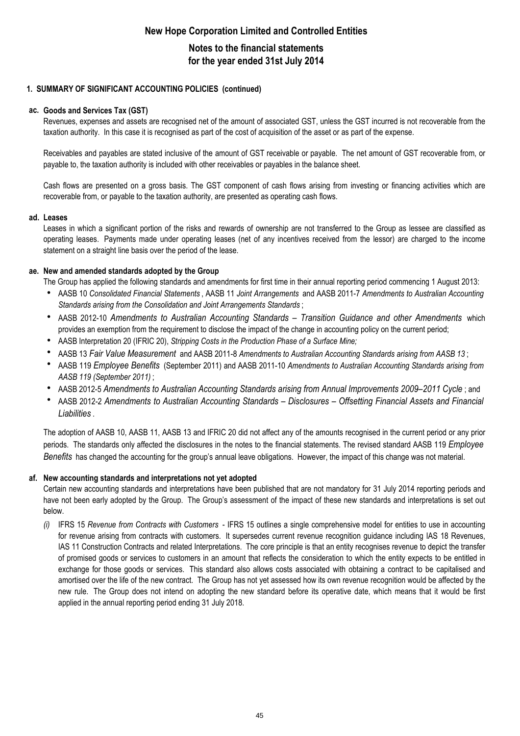## **Notes to the financial statements for the year ended 31st July 2014**

### **1. SUMMARY OF SIGNIFICANT ACCOUNTING POLICIES (continued)**

#### **ac. Goods and Services Tax (GST)**

Revenues, expenses and assets are recognised net of the amount of associated GST, unless the GST incurred is not recoverable from the taxation authority. In this case it is recognised as part of the cost of acquisition of the asset or as part of the expense.

Receivables and payables are stated inclusive of the amount of GST receivable or payable. The net amount of GST recoverable from, or payable to, the taxation authority is included with other receivables or payables in the balance sheet.

Cash flows are presented on a gross basis. The GST component of cash flows arising from investing or financing activities which are recoverable from, or payable to the taxation authority, are presented as operating cash flows.

#### **ad. Leases**

Leases in which a significant portion of the risks and rewards of ownership are not transferred to the Group as lessee are classified as operating leases. Payments made under operating leases (net of any incentives received from the lessor) are charged to the income statement on a straight line basis over the period of the lease.

#### **ae. New and amended standards adopted by the Group**

The Group has applied the following standards and amendments for first time in their annual reporting period commencing 1 August 2013:

- h AASB 10 *Consolidated Financial Statements* , AASB 11 *Joint Arrangements* and AASB 2011-7 *Amendments to Australian Accounting Standards arising from the Consolidation and Joint Arrangements Standards* ;
- h AASB 2012-10 *Amendments to Australian Accounting Standards – Transition Guidance and other Amendments* which provides an exemption from the requirement to disclose the impact of the change in accounting policy on the current period;
- $\bullet$ AASB Interpretation 20 (IFRIC 20), *Stripping Costs in the Production Phase of a Surface Mine;*
- $\bullet$ AASB 13 *Fair Value Measurement* and AASB 2011-8 *Amendments to Australian Accounting Standards arising from AASB 13* ;
- $\bullet$ AASB 119 *Employee Benefits* (September 2011) and AASB 2011-10 *Amendments to Australian Accounting Standards arising from AASB 119 (September 2011)* ;
- $\bullet$ AASB 2012-5 *Amendments to Australian Accounting Standards arising from Annual Improvements 2009–2011 Cycle* ; and
- $\bullet$ AASB 2012-2 *Amendments to Australian Accounting Standards – Disclosures – Offsetting Financial Assets and Financial Liabilities* .

The adoption of AASB 10, AASB 11, AASB 13 and IFRIC 20 did not affect any of the amounts recognised in the current period or any prior periods. The standards only affected the disclosures in the notes to the financial statements. The revised standard AASB 119 *Employee Benefits* has changed the accounting for the group's annual leave obligations. However, the impact of this change was not material.

#### **af. New accounting standards and interpretations not yet adopted**

Certain new accounting standards and interpretations have been published that are not mandatory for 31 July 2014 reporting periods and have not been early adopted by the Group. The Group's assessment of the impact of these new standards and interpretations is set out below.

*(i)* IFRS 15 *Revenue from Contracts with Customers* - IFRS 15 outlines a single comprehensive model for entities to use in accounting for revenue arising from contracts with customers. It supersedes current revenue recognition guidance including IAS 18 Revenues, IAS 11 Construction Contracts and related Interpretations. The core principle is that an entity recognises revenue to depict the transfer of promised goods or services to customers in an amount that reflects the consideration to which the entity expects to be entitled in exchange for those goods or services. This standard also allows costs associated with obtaining a contract to be capitalised and amortised over the life of the new contract. The Group has not yet assessed how its own revenue recognition would be affected by the new rule. The Group does not intend on adopting the new standard before its operative date, which means that it would be first applied in the annual reporting period ending 31 July 2018.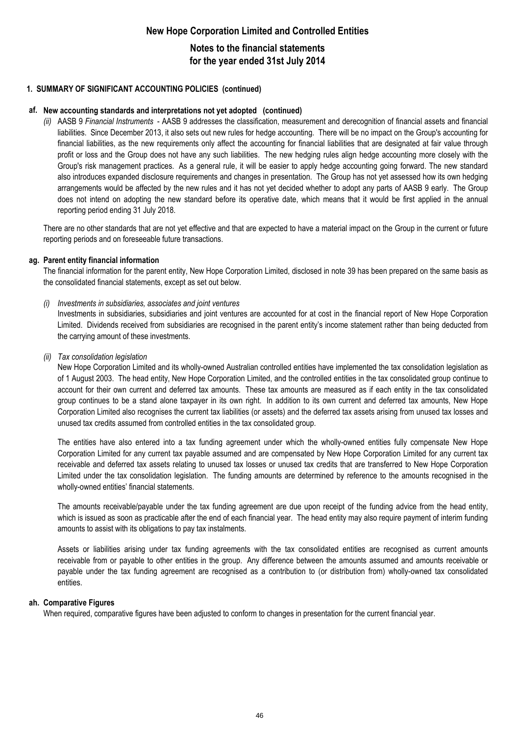## **Notes to the financial statements for the year ended 31st July 2014**

#### **1. SUMMARY OF SIGNIFICANT ACCOUNTING POLICIES (continued)**

#### **af. New accounting standards and interpretations not yet adopted (continued)**

*(ii)* AASB 9 *Financial Instruments* - AASB 9 addresses the classification, measurement and derecognition of financial assets and financial liabilities. Since December 2013, it also sets out new rules for hedge accounting. There will be no impact on the Group's accounting for financial liabilities, as the new requirements only affect the accounting for financial liabilities that are designated at fair value through profit or loss and the Group does not have any such liabilities. The new hedging rules align hedge accounting more closely with the Group's risk management practices. As a general rule, it will be easier to apply hedge accounting going forward. The new standard also introduces expanded disclosure requirements and changes in presentation. The Group has not yet assessed how its own hedging arrangements would be affected by the new rules and it has not yet decided whether to adopt any parts of AASB 9 early. The Group does not intend on adopting the new standard before its operative date, which means that it would be first applied in the annual reporting period ending 31 July 2018.

There are no other standards that are not yet effective and that are expected to have a material impact on the Group in the current or future reporting periods and on foreseeable future transactions.

#### **ag. Parent entity financial information**

The financial information for the parent entity, New Hope Corporation Limited, disclosed in note 39 has been prepared on the same basis as the consolidated financial statements, except as set out below.

#### *(i) Investments in subsidiaries, associates and joint ventures*

Investments in subsidiaries, subsidiaries and joint ventures are accounted for at cost in the financial report of New Hope Corporation Limited. Dividends received from subsidiaries are recognised in the parent entity's income statement rather than being deducted from the carrying amount of these investments.

#### *(ii) Tax consolidation legislation*

New Hope Corporation Limited and its wholly-owned Australian controlled entities have implemented the tax consolidation legislation as of 1 August 2003. The head entity, New Hope Corporation Limited, and the controlled entities in the tax consolidated group continue to account for their own current and deferred tax amounts. These tax amounts are measured as if each entity in the tax consolidated group continues to be a stand alone taxpayer in its own right. In addition to its own current and deferred tax amounts, New Hope Corporation Limited also recognises the current tax liabilities (or assets) and the deferred tax assets arising from unused tax losses and unused tax credits assumed from controlled entities in the tax consolidated group.

The entities have also entered into a tax funding agreement under which the wholly-owned entities fully compensate New Hope Corporation Limited for any current tax payable assumed and are compensated by New Hope Corporation Limited for any current tax receivable and deferred tax assets relating to unused tax losses or unused tax credits that are transferred to New Hope Corporation Limited under the tax consolidation legislation. The funding amounts are determined by reference to the amounts recognised in the wholly-owned entities' financial statements.

The amounts receivable/payable under the tax funding agreement are due upon receipt of the funding advice from the head entity, which is issued as soon as practicable after the end of each financial year. The head entity may also require payment of interim funding amounts to assist with its obligations to pay tax instalments.

Assets or liabilities arising under tax funding agreements with the tax consolidated entities are recognised as current amounts receivable from or payable to other entities in the group. Any difference between the amounts assumed and amounts receivable or payable under the tax funding agreement are recognised as a contribution to (or distribution from) wholly-owned tax consolidated entities.

#### **ah. Comparative Figures**

When required, comparative figures have been adjusted to conform to changes in presentation for the current financial year.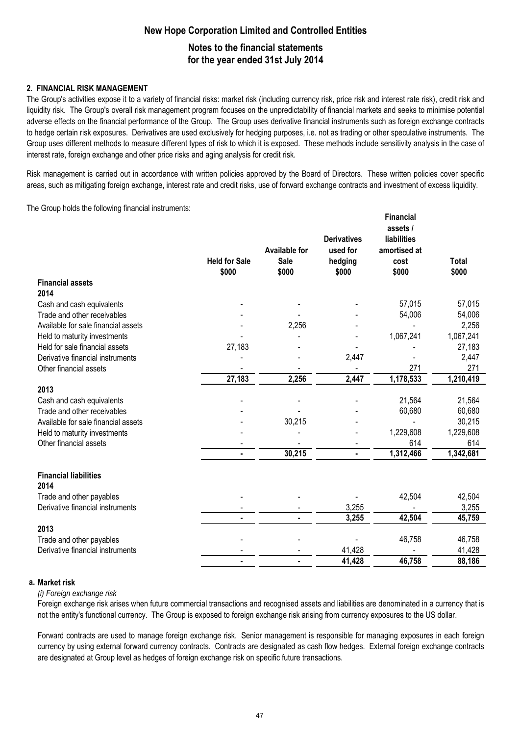# **New Hope Corporation Limited and Controlled Entities Notes to the financial statements**

### **for the year ended 31st July 2014**

### **2. FINANCIAL RISK MANAGEMENT**

The Group's activities expose it to a variety of financial risks: market risk (including currency risk, price risk and interest rate risk), credit risk and liquidity risk. The Group's overall risk management program focuses on the unpredictability of financial markets and seeks to minimise potential adverse effects on the financial performance of the Group. The Group uses derivative financial instruments such as foreign exchange contracts to hedge certain risk exposures. Derivatives are used exclusively for hedging purposes, i.e. not as trading or other speculative instruments. The Group uses different methods to measure different types of risk to which it is exposed. These methods include sensitivity analysis in the case of interest rate, foreign exchange and other price risks and aging analysis for credit risk.

Risk management is carried out in accordance with written policies approved by the Board of Directors. These written policies cover specific areas, such as mitigating foreign exchange, interest rate and credit risks, use of forward exchange contracts and investment of excess liquidity.

The Group holds the following financial instruments:

|                                     |                      |                      |                    | <b>Financial</b>               |              |
|-------------------------------------|----------------------|----------------------|--------------------|--------------------------------|--------------|
|                                     |                      |                      | <b>Derivatives</b> | assets /<br><b>liabilities</b> |              |
|                                     |                      | <b>Available for</b> | used for           | amortised at                   |              |
|                                     | <b>Held for Sale</b> | Sale                 | hedging            | cost                           | <b>Total</b> |
|                                     | \$000                | \$000                | \$000              | \$000                          | \$000        |
| <b>Financial assets</b>             |                      |                      |                    |                                |              |
| 2014                                |                      |                      |                    |                                |              |
| Cash and cash equivalents           |                      |                      |                    | 57,015                         | 57,015       |
| Trade and other receivables         |                      |                      |                    | 54,006                         | 54,006       |
| Available for sale financial assets |                      | 2,256                |                    |                                | 2,256        |
| Held to maturity investments        |                      |                      |                    | 1,067,241                      | 1,067,241    |
| Held for sale financial assets      | 27,183               |                      |                    |                                | 27,183       |
| Derivative financial instruments    |                      |                      | 2,447              |                                | 2,447        |
| Other financial assets              |                      |                      |                    | 271                            | 271          |
|                                     | 27,183               | 2,256                | 2,447              | 1,178,533                      | 1,210,419    |
| 2013                                |                      |                      |                    |                                |              |
| Cash and cash equivalents           |                      |                      |                    | 21,564                         | 21,564       |
| Trade and other receivables         |                      |                      |                    | 60,680                         | 60,680       |
| Available for sale financial assets |                      | 30,215               |                    | $\blacksquare$                 | 30,215       |
| Held to maturity investments        |                      |                      |                    | 1,229,608                      | 1,229,608    |
| Other financial assets              |                      |                      |                    | 614                            | 614          |
|                                     |                      | 30,215               |                    | 1,312,466                      | 1,342,681    |
| <b>Financial liabilities</b>        |                      |                      |                    |                                |              |
| 2014                                |                      |                      |                    |                                |              |
| Trade and other payables            |                      |                      |                    | 42,504                         | 42,504       |
| Derivative financial instruments    |                      |                      | 3,255              |                                | 3,255        |
|                                     | ٠                    |                      | 3,255              | 42,504                         | 45,759       |
| 2013                                |                      |                      |                    |                                |              |
| Trade and other payables            |                      |                      |                    | 46,758                         | 46,758       |
| Derivative financial instruments    |                      |                      | 41,428             |                                | 41,428       |
|                                     | ٠                    | ٠                    | 41,428             | 46,758                         | 88,186       |
|                                     |                      |                      |                    |                                |              |

#### **a. Market risk**

*(i) Foreign exchange risk*

Foreign exchange risk arises when future commercial transactions and recognised assets and liabilities are denominated in a currency that is not the entity's functional currency. The Group is exposed to foreign exchange risk arising from currency exposures to the US dollar.

Forward contracts are used to manage foreign exchange risk. Senior management is responsible for managing exposures in each foreign currency by using external forward currency contracts. Contracts are designated as cash flow hedges. External foreign exchange contracts are designated at Group level as hedges of foreign exchange risk on specific future transactions.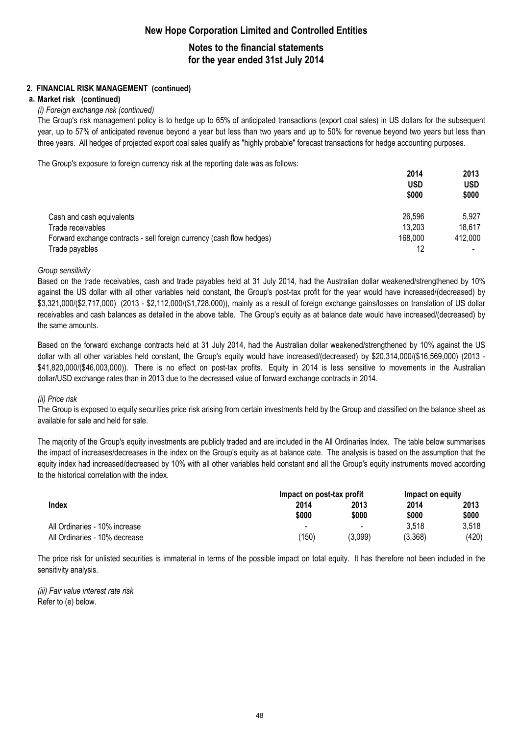## **Notes to the financial statements for the year ended 31st July 2014**

### **2. FINANCIAL RISK MANAGEMENT (continued)**

#### **a. Market risk (continued)**

#### *(i) Foreign exchange risk (continued)*

The Group's risk management policy is to hedge up to 65% of anticipated transactions (export coal sales) in US dollars for the subsequent year, up to 57% of anticipated revenue beyond a year but less than two years and up to 50% for revenue beyond two years but less than three years. All hedges of projected export coal sales qualify as "highly probable" forecast transactions for hedge accounting purposes.

The Group's exposure to foreign currency risk at the reporting date was as follows:

|                                                                       | 2014       | 2013       |
|-----------------------------------------------------------------------|------------|------------|
|                                                                       | <b>USD</b> | <b>USD</b> |
|                                                                       | \$000      | \$000      |
| Cash and cash equivalents                                             | 26,596     | 5,927      |
| Trade receivables                                                     | 13,203     | 18,617     |
| Forward exchange contracts - sell foreign currency (cash flow hedges) | 168,000    | 412,000    |
| Trade payables                                                        | 12         |            |

#### *Group sensitivity*

Based on the trade receivables, cash and trade payables held at 31 July 2014, had the Australian dollar weakened/strengthened by 10% against the US dollar with all other variables held constant, the Group's post-tax profit for the year would have increased/(decreased) by \$3,321,000/(\$2,717,000) (2013 - \$2,112,000/(\$1,728,000)), mainly as a result of foreign exchange gains/losses on translation of US dollar receivables and cash balances as detailed in the above table. The Group's equity as at balance date would have increased/(decreased) by the same amounts.

Based on the forward exchange contracts held at 31 July 2014, had the Australian dollar weakened/strengthened by 10% against the US dollar with all other variables held constant, the Group's equity would have increased/(decreased) by \$20,314,000/(\$16,569,000) (2013 - \$41,820,000/(\$46,003,000)). There is no effect on post-tax profits. Equity in 2014 is less sensitive to movements in the Australian dollar/USD exchange rates than in 2013 due to the decreased value of forward exchange contracts in 2014.

#### *(ii) Price risk*

The Group is exposed to equity securities price risk arising from certain investments held by the Group and classified on the balance sheet as available for sale and held for sale.

The majority of the Group's equity investments are publicly traded and are included in the All Ordinaries Index. The table below summarises the impact of increases/decreases in the index on the Group's equity as at balance date. The analysis is based on the assumption that the equity index had increased/decreased by 10% with all other variables held constant and all the Group's equity instruments moved according to the historical correlation with the index.

|                               |                          | Impact on post-tax profit |         |               |
|-------------------------------|--------------------------|---------------------------|---------|---------------|
| <b>Index</b>                  | 2014                     | 2013                      | 2014    | 2013<br>\$000 |
|                               | \$000                    | \$000                     | \$000   |               |
| All Ordinaries - 10% increase | $\overline{\phantom{a}}$ | $\overline{\phantom{0}}$  | 3.518   | 3.518         |
| All Ordinaries - 10% decrease | 150                      | (3.099)                   | (3,368) | (420)         |

The price risk for unlisted securities is immaterial in terms of the possible impact on total equity. It has therefore not been included in the sensitivity analysis.

*(iii) Fair value interest rate risk* Refer to (e) below.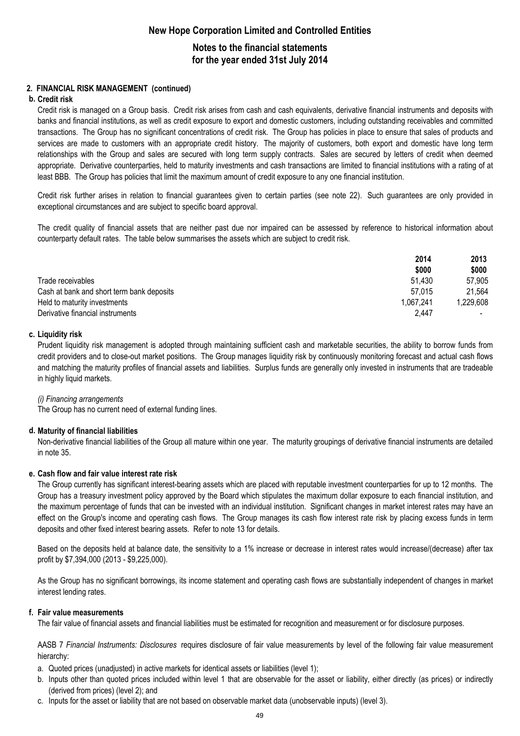### **Notes to the financial statements for the year ended 31st July 2014**

### **2. FINANCIAL RISK MANAGEMENT (continued)**

#### **b. Credit risk**

Credit risk is managed on a Group basis. Credit risk arises from cash and cash equivalents, derivative financial instruments and deposits with banks and financial institutions, as well as credit exposure to export and domestic customers, including outstanding receivables and committed transactions. The Group has no significant concentrations of credit risk. The Group has policies in place to ensure that sales of products and services are made to customers with an appropriate credit history. The majority of customers, both export and domestic have long term relationships with the Group and sales are secured with long term supply contracts. Sales are secured by letters of credit when deemed appropriate. Derivative counterparties, held to maturity investments and cash transactions are limited to financial institutions with a rating of at least BBB. The Group has policies that limit the maximum amount of credit exposure to any one financial institution.

Credit risk further arises in relation to financial guarantees given to certain parties (see note 22). Such guarantees are only provided in exceptional circumstances and are subject to specific board approval.

The credit quality of financial assets that are neither past due nor impaired can be assessed by reference to historical information about counterparty default rates. The table below summarises the assets which are subject to credit risk.

|                                           | 2014      | 2013     |
|-------------------------------------------|-----------|----------|
|                                           | \$000     | \$000    |
| Trade receivables                         | 51.430    | 57.905   |
| Cash at bank and short term bank deposits | 57.015    | 21.564   |
| Held to maturity investments              | 1.067.241 | .229.608 |
| Derivative financial instruments          | 2.447     | $\sim$   |

#### **c. Liquidity risk**

Prudent liquidity risk management is adopted through maintaining sufficient cash and marketable securities, the ability to borrow funds from credit providers and to close-out market positions. The Group manages liquidity risk by continuously monitoring forecast and actual cash flows and matching the maturity profiles of financial assets and liabilities. Surplus funds are generally only invested in instruments that are tradeable in highly liquid markets.

#### *(i) Financing arrangements*

The Group has no current need of external funding lines.

#### **d. Maturity of financial liabilities**

Non-derivative financial liabilities of the Group all mature within one year. The maturity groupings of derivative financial instruments are detailed in note 35.

#### **e. Cash flow and fair value interest rate risk**

The Group currently has significant interest-bearing assets which are placed with reputable investment counterparties for up to 12 months. The Group has a treasury investment policy approved by the Board which stipulates the maximum dollar exposure to each financial institution, and the maximum percentage of funds that can be invested with an individual institution. Significant changes in market interest rates may have an effect on the Group's income and operating cash flows. The Group manages its cash flow interest rate risk by placing excess funds in term deposits and other fixed interest bearing assets. Refer to note 13 for details.

Based on the deposits held at balance date, the sensitivity to a 1% increase or decrease in interest rates would increase/(decrease) after tax profit by \$7,394,000 (2013 - \$9,225,000).

As the Group has no significant borrowings, its income statement and operating cash flows are substantially independent of changes in market interest lending rates.

#### **f. Fair value measurements**

The fair value of financial assets and financial liabilities must be estimated for recognition and measurement or for disclosure purposes.

AASB 7 *Financial Instruments: Disclosures* requires disclosure of fair value measurements by level of the following fair value measurement hierarchy:

- a. Quoted prices (unadjusted) in active markets for identical assets or liabilities (level 1);
- b. Inputs other than quoted prices included within level 1 that are observable for the asset or liability, either directly (as prices) or indirectly (derived from prices) (level 2); and
- c. Inputs for the asset or liability that are not based on observable market data (unobservable inputs) (level 3).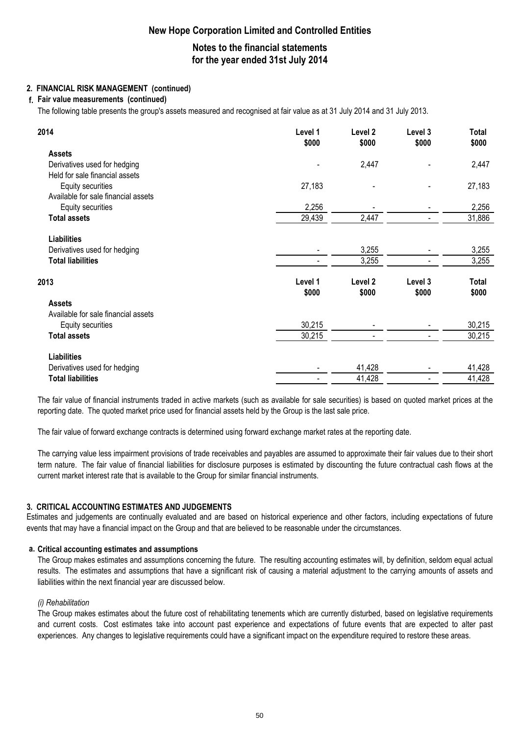## **Notes to the financial statements for the year ended 31st July 2014**

### **2. FINANCIAL RISK MANAGEMENT (continued)**

#### **f. Fair value measurements (continued)**

The following table presents the group's assets measured and recognised at fair value as at 31 July 2014 and 31 July 2013.

| 2014                                | Level 1<br>\$000 | Level 2<br>\$000   | Level 3<br>\$000 | <b>Total</b><br>\$000 |
|-------------------------------------|------------------|--------------------|------------------|-----------------------|
| <b>Assets</b>                       |                  |                    |                  |                       |
| Derivatives used for hedging        |                  | 2,447              |                  | 2,447                 |
| Held for sale financial assets      |                  |                    |                  |                       |
| Equity securities                   | 27,183           |                    |                  | 27,183                |
| Available for sale financial assets |                  |                    |                  |                       |
| Equity securities                   | 2,256            |                    |                  | 2,256                 |
| <b>Total assets</b>                 | 29,439           | 2,447              |                  | 31,886                |
| <b>Liabilities</b>                  |                  |                    |                  |                       |
| Derivatives used for hedging        |                  | 3,255              |                  | 3,255                 |
| <b>Total liabilities</b>            |                  | 3,255              |                  | 3,255                 |
| 2013                                | Level 1          | Level <sub>2</sub> | Level 3          | Total                 |
|                                     | \$000            | \$000              | \$000            | \$000                 |
| <b>Assets</b>                       |                  |                    |                  |                       |
| Available for sale financial assets |                  |                    |                  |                       |
| Equity securities                   | 30,215           |                    |                  | 30,215                |
| <b>Total assets</b>                 | 30,215           |                    |                  | 30,215                |
| <b>Liabilities</b>                  |                  |                    |                  |                       |
| Derivatives used for hedging        |                  | 41,428             |                  | 41,428                |
| <b>Total liabilities</b>            |                  | 41,428             |                  | 41,428                |

The fair value of financial instruments traded in active markets (such as available for sale securities) is based on quoted market prices at the reporting date. The quoted market price used for financial assets held by the Group is the last sale price.

The fair value of forward exchange contracts is determined using forward exchange market rates at the reporting date.

The carrying value less impairment provisions of trade receivables and payables are assumed to approximate their fair values due to their short term nature. The fair value of financial liabilities for disclosure purposes is estimated by discounting the future contractual cash flows at the current market interest rate that is available to the Group for similar financial instruments.

#### **3. CRITICAL ACCOUNTING ESTIMATES AND JUDGEMENTS**

Estimates and judgements are continually evaluated and are based on historical experience and other factors, including expectations of future events that may have a financial impact on the Group and that are believed to be reasonable under the circumstances.

#### **a. Critical accounting estimates and assumptions**

The Group makes estimates and assumptions concerning the future. The resulting accounting estimates will, by definition, seldom equal actual results. The estimates and assumptions that have a significant risk of causing a material adjustment to the carrying amounts of assets and liabilities within the next financial year are discussed below.

#### *(i) Rehabilitation*

The Group makes estimates about the future cost of rehabilitating tenements which are currently disturbed, based on legislative requirements and current costs. Cost estimates take into account past experience and expectations of future events that are expected to alter past experiences. Any changes to legislative requirements could have a significant impact on the expenditure required to restore these areas.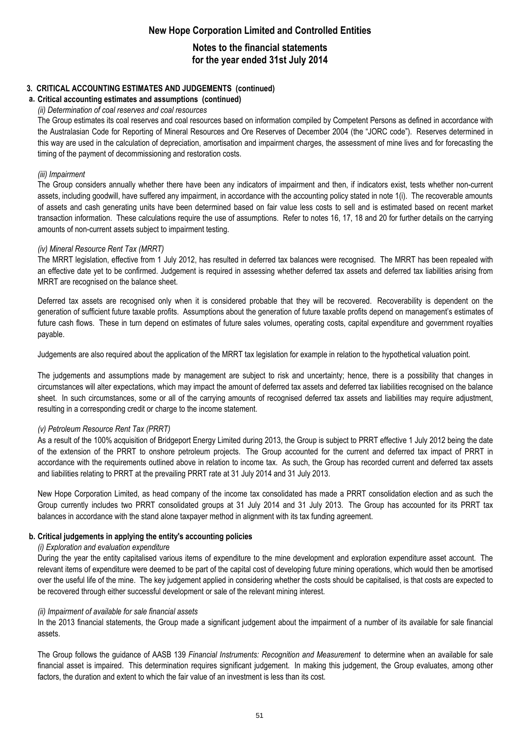## **Notes to the financial statements for the year ended 31st July 2014**

### **3. CRITICAL ACCOUNTING ESTIMATES AND JUDGEMENTS (continued)**

#### **a. Critical accounting estimates and assumptions (continued)**

#### *(ii) Determination of coal reserves and coal resources*

The Group estimates its coal reserves and coal resources based on information compiled by Competent Persons as defined in accordance with the Australasian Code for Reporting of Mineral Resources and Ore Reserves of December 2004 (the "JORC code"). Reserves determined in this way are used in the calculation of depreciation, amortisation and impairment charges, the assessment of mine lives and for forecasting the timing of the payment of decommissioning and restoration costs.

#### *(iii) Impairment*

The Group considers annually whether there have been any indicators of impairment and then, if indicators exist, tests whether non-current assets, including goodwill, have suffered any impairment, in accordance with the accounting policy stated in note 1(i). The recoverable amounts of assets and cash generating units have been determined based on fair value less costs to sell and is estimated based on recent market transaction information. These calculations require the use of assumptions. Refer to notes 16, 17, 18 and 20 for further details on the carrying amounts of non-current assets subject to impairment testing.

#### *(iv) Mineral Resource Rent Tax (MRRT)*

The MRRT legislation, effective from 1 July 2012, has resulted in deferred tax balances were recognised. The MRRT has been repealed with an effective date yet to be confirmed. Judgement is required in assessing whether deferred tax assets and deferred tax liabilities arising from MRRT are recognised on the balance sheet.

Deferred tax assets are recognised only when it is considered probable that they will be recovered. Recoverability is dependent on the generation of sufficient future taxable profits. Assumptions about the generation of future taxable profits depend on management's estimates of future cash flows. These in turn depend on estimates of future sales volumes, operating costs, capital expenditure and government royalties payable.

Judgements are also required about the application of the MRRT tax legislation for example in relation to the hypothetical valuation point.

The judgements and assumptions made by management are subject to risk and uncertainty; hence, there is a possibility that changes in circumstances will alter expectations, which may impact the amount of deferred tax assets and deferred tax liabilities recognised on the balance sheet. In such circumstances, some or all of the carrying amounts of recognised deferred tax assets and liabilities may require adjustment, resulting in a corresponding credit or charge to the income statement.

#### *(v) Petroleum Resource Rent Tax (PRRT)*

As a result of the 100% acquisition of Bridgeport Energy Limited during 2013, the Group is subject to PRRT effective 1 July 2012 being the date of the extension of the PRRT to onshore petroleum projects. The Group accounted for the current and deferred tax impact of PRRT in accordance with the requirements outlined above in relation to income tax. As such, the Group has recorded current and deferred tax assets and liabilities relating to PRRT at the prevailing PRRT rate at 31 July 2014 and 31 July 2013.

New Hope Corporation Limited, as head company of the income tax consolidated has made a PRRT consolidation election and as such the Group currently includes two PRRT consolidated groups at 31 July 2014 and 31 July 2013. The Group has accounted for its PRRT tax balances in accordance with the stand alone taxpayer method in alignment with its tax funding agreement.

#### **b. Critical judgements in applying the entity's accounting policies**

#### *(i) Exploration and evaluation expenditure*

During the year the entity capitalised various items of expenditure to the mine development and exploration expenditure asset account. The relevant items of expenditure were deemed to be part of the capital cost of developing future mining operations, which would then be amortised over the useful life of the mine. The key judgement applied in considering whether the costs should be capitalised, is that costs are expected to be recovered through either successful development or sale of the relevant mining interest.

#### *(ii) Impairment of available for sale financial assets*

In the 2013 financial statements, the Group made a significant judgement about the impairment of a number of its available for sale financial assets.

The Group follows the guidance of AASB 139 *Financial Instruments: Recognition and Measurement* to determine when an available for sale financial asset is impaired. This determination requires significant judgement. In making this judgement, the Group evaluates, among other factors, the duration and extent to which the fair value of an investment is less than its cost.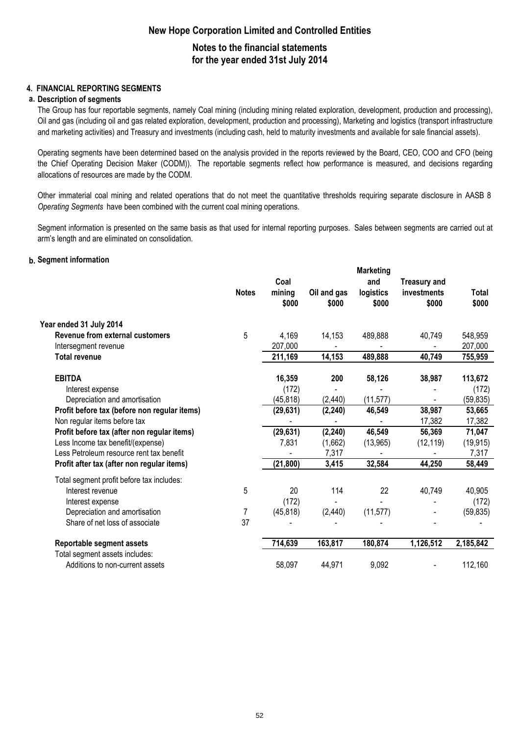### **Notes to the financial statements for the year ended 31st July 2014**

### **4. FINANCIAL REPORTING SEGMENTS**

#### **a. Description of segments**

The Group has four reportable segments, namely Coal mining (including mining related exploration, development, production and processing), Oil and gas (including oil and gas related exploration, development, production and processing), Marketing and logistics (transport infrastructure and marketing activities) and Treasury and investments (including cash, held to maturity investments and available for sale financial assets).

Operating segments have been determined based on the analysis provided in the reports reviewed by the Board, CEO, COO and CFO (being the Chief Operating Decision Maker (CODM)). The reportable segments reflect how performance is measured, and decisions regarding allocations of resources are made by the CODM.

Other immaterial coal mining and related operations that do not meet the quantitative thresholds requiring separate disclosure in AASB 8 *Operating Segments* have been combined with the current coal mining operations.

Segment information is presented on the same basis as that used for internal reporting purposes. Sales between segments are carried out at arm's length and are eliminated on consolidation.

#### **b. Segment information**

|                                                                   | <b>Notes</b> | Coal<br>mining<br>\$000 | Oil and gas<br>\$000 | <b>Marketing</b><br>and<br>logistics<br>\$000 | <b>Treasury and</b><br>investments<br>\$000 | Total<br>\$000 |
|-------------------------------------------------------------------|--------------|-------------------------|----------------------|-----------------------------------------------|---------------------------------------------|----------------|
| Year ended 31 July 2014                                           |              |                         |                      |                                               |                                             |                |
| Revenue from external customers                                   | 5            | 4,169                   | 14,153               | 489,888                                       | 40,749                                      | 548,959        |
| Intersegment revenue                                              |              | 207,000                 |                      |                                               |                                             | 207,000        |
| <b>Total revenue</b>                                              |              | 211,169                 | 14,153               | 489,888                                       | 40,749                                      | 755,959        |
| <b>EBITDA</b>                                                     |              | 16,359                  | 200                  | 58,126                                        | 38,987                                      | 113,672        |
| Interest expense                                                  |              | (172)                   |                      |                                               |                                             | (172)          |
| Depreciation and amortisation                                     |              | (45, 818)               | (2, 440)             | (11, 577)                                     |                                             | (59, 835)      |
| Profit before tax (before non regular items)                      |              | (29, 631)               | (2, 240)             | 46,549                                        | 38,987                                      | 53,665         |
| Non regular items before tax                                      |              |                         |                      |                                               | 17,382                                      | 17,382         |
| Profit before tax (after non regular items)                       |              | (29, 631)               | (2, 240)             | 46,549                                        | 56,369                                      | 71,047         |
| Less Income tax benefit/(expense)                                 |              | 7,831                   | (1,662)              | (13, 965)                                     | (12, 119)                                   | (19, 915)      |
| Less Petroleum resource rent tax benefit                          |              |                         | 7,317                |                                               |                                             | 7,317          |
| Profit after tax (after non regular items)                        |              | (21, 800)               | 3,415                | 32,584                                        | 44,250                                      | 58,449         |
| Total segment profit before tax includes:                         |              |                         |                      |                                               |                                             |                |
| Interest revenue                                                  | 5            | 20                      | 114                  | 22                                            | 40,749                                      | 40,905         |
| Interest expense                                                  |              | (172)                   |                      |                                               |                                             | (172)          |
| Depreciation and amortisation                                     | 7            | (45, 818)               | (2, 440)             | (11, 577)                                     |                                             | (59, 835)      |
| Share of net loss of associate                                    | 37           |                         |                      |                                               |                                             |                |
| Reportable segment assets                                         |              | 714,639                 | 163,817              | 180,874                                       | 1,126,512                                   | 2,185,842      |
| Total segment assets includes:<br>Additions to non-current assets |              | 58,097                  | 44,971               | 9,092                                         |                                             | 112,160        |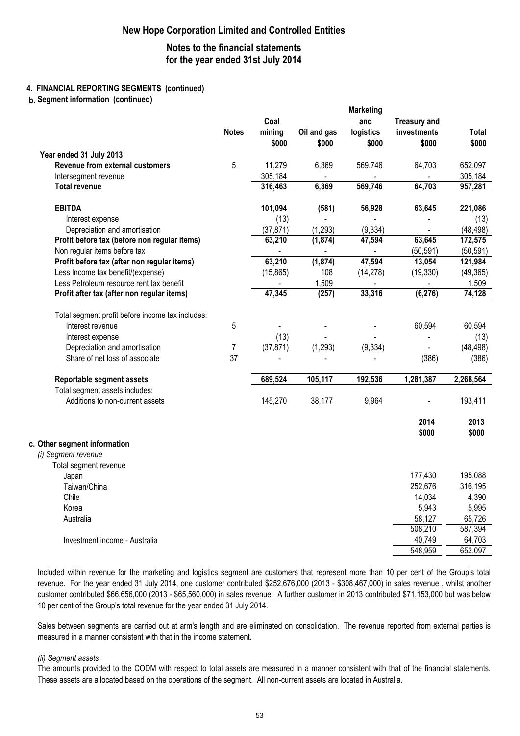### **Notes to the financial statements for the year ended 31st July 2014**

**Marketing** 

#### **4. FINANCIAL REPORTING SEGMENTS (continued)**

**b. Segment information (continued)**

|                                                                 | <b>Notes</b>   | Coal<br>mining<br>\$000 | Oil and gas<br>\$000 | <b>Marketing</b><br>and<br>logistics<br>\$000 | <b>Treasury and</b><br>investments<br>\$000 | Total<br>\$000     |
|-----------------------------------------------------------------|----------------|-------------------------|----------------------|-----------------------------------------------|---------------------------------------------|--------------------|
| Year ended 31 July 2013                                         |                |                         |                      |                                               |                                             |                    |
| Revenue from external customers                                 | 5              | 11,279                  | 6,369                | 569,746                                       | 64,703                                      | 652,097            |
| Intersegment revenue                                            |                | 305,184                 |                      |                                               |                                             | 305,184            |
| <b>Total revenue</b>                                            |                | 316,463                 | 6,369                | 569,746                                       | 64,703                                      | 957,281            |
| <b>EBITDA</b>                                                   |                | 101,094                 | (581)                | 56,928                                        | 63,645                                      | 221,086            |
| Interest expense                                                |                | (13)                    |                      |                                               |                                             | (13)               |
| Depreciation and amortisation                                   |                | (37, 871)               | (1, 293)             | (9, 334)                                      |                                             | (48, 498)          |
| Profit before tax (before non regular items)                    |                | 63,210                  | (1, 874)             | 47,594                                        | 63,645                                      | 172,575            |
| Non regular items before tax                                    |                |                         |                      |                                               | (50, 591)                                   | (50, 591)          |
| Profit before tax (after non regular items)                     |                | 63,210                  | (1, 874)             | 47,594                                        | 13,054                                      | 121,984            |
| Less Income tax benefit/(expense)                               |                | (15, 865)               | 108                  | (14, 278)                                     | (19, 330)                                   | (49, 365)          |
| Less Petroleum resource rent tax benefit                        |                |                         | 1,509                |                                               |                                             | 1,509              |
| Profit after tax (after non regular items)                      |                | 47,345                  | (257)                | 33,316                                        | (6, 276)                                    | 74, 128            |
| Total segment profit before income tax includes:                |                |                         |                      |                                               |                                             |                    |
| Interest revenue                                                | 5              |                         |                      |                                               | 60,594                                      | 60,594             |
| Interest expense                                                | $\overline{7}$ | (13)                    |                      |                                               |                                             | (13)               |
| Depreciation and amortisation<br>Share of net loss of associate | 37             | (37, 871)               | (1, 293)             | (9, 334)                                      | (386)                                       | (48, 498)<br>(386) |
|                                                                 |                |                         |                      |                                               |                                             |                    |
| Reportable segment assets                                       |                | 689,524                 | 105,117              | 192,536                                       | 1,281,387                                   | 2,268,564          |
| Total segment assets includes:                                  |                |                         |                      |                                               |                                             |                    |
| Additions to non-current assets                                 |                | 145,270                 | 38,177               | 9,964                                         |                                             | 193,411            |
|                                                                 |                |                         |                      |                                               | 2014<br>\$000                               | 2013<br>\$000      |
| Other segment information                                       |                |                         |                      |                                               |                                             |                    |
| (i) Segment revenue                                             |                |                         |                      |                                               |                                             |                    |
| Total segment revenue                                           |                |                         |                      |                                               |                                             |                    |
| Japan                                                           |                |                         |                      |                                               | 177,430                                     | 195,088            |
| Taiwan/China<br>Chile                                           |                |                         |                      |                                               | 252,676<br>14,034                           | 316,195<br>4,390   |
| Korea                                                           |                |                         |                      |                                               | 5,943                                       | 5,995              |
| Australia                                                       |                |                         |                      |                                               | 58,127                                      | 65,726             |
|                                                                 |                |                         |                      |                                               | 508,210                                     | 587,394            |
| Investment income - Australia                                   |                |                         |                      |                                               | 40,749                                      | 64,703             |
|                                                                 |                |                         |                      |                                               | 548,959                                     | 652,097            |

Included within revenue for the marketing and logistics segment are customers that represent more than 10 per cent of the Group's total revenue. For the year ended 31 July 2014, one customer contributed \$252,676,000 (2013 - \$308,467,000) in sales revenue , whilst another customer contributed \$66,656,000 (2013 - \$65,560,000) in sales revenue. A further customer in 2013 contributed \$71,153,000 but was below 10 per cent of the Group's total revenue for the year ended 31 July 2014.

Sales between segments are carried out at arm's length and are eliminated on consolidation. The revenue reported from external parties is measured in a manner consistent with that in the income statement.

#### *(ii) Segment assets*

**c.**

The amounts provided to the CODM with respect to total assets are measured in a manner consistent with that of the financial statements. These assets are allocated based on the operations of the segment. All non-current assets are located in Australia.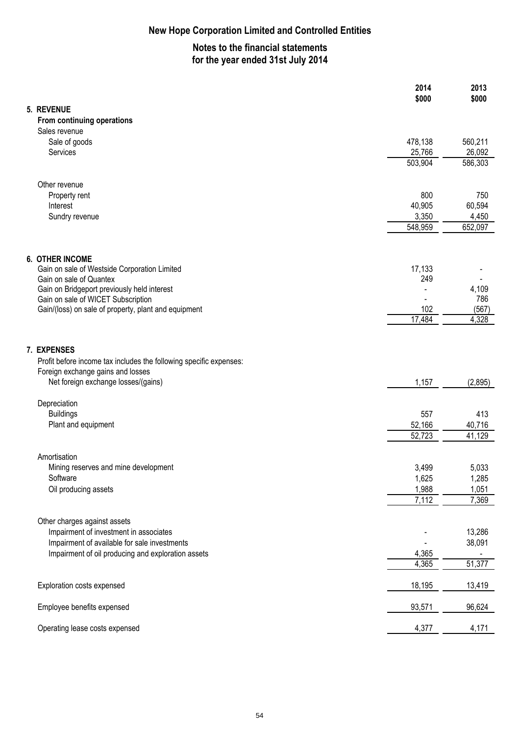# **Notes to the financial statements for the year ended 31st July 2014**

**2014 2013** 

|                                                                                   | \$000   | \$000   |
|-----------------------------------------------------------------------------------|---------|---------|
| 5. REVENUE                                                                        |         |         |
| From continuing operations                                                        |         |         |
| Sales revenue                                                                     |         |         |
| Sale of goods                                                                     | 478,138 | 560,211 |
| Services                                                                          | 25,766  | 26,092  |
|                                                                                   | 503,904 | 586,303 |
| Other revenue                                                                     |         |         |
| Property rent                                                                     | 800     | 750     |
| Interest                                                                          | 40,905  | 60,594  |
| Sundry revenue                                                                    | 3,350   | 4,450   |
|                                                                                   | 548,959 | 652,097 |
|                                                                                   |         |         |
| <b>6. OTHER INCOME</b>                                                            |         |         |
| Gain on sale of Westside Corporation Limited                                      | 17,133  |         |
| Gain on sale of Quantex                                                           | 249     | 4,109   |
| Gain on Bridgeport previously held interest<br>Gain on sale of WICET Subscription |         | 786     |
| Gain/(loss) on sale of property, plant and equipment                              | 102     | (567)   |
|                                                                                   | 17,484  | 4,328   |
|                                                                                   |         |         |
| 7. EXPENSES                                                                       |         |         |
| Profit before income tax includes the following specific expenses:                |         |         |
| Foreign exchange gains and losses                                                 |         |         |
| Net foreign exchange losses/(gains)                                               | 1,157   | (2,895) |
| Depreciation                                                                      |         |         |
| <b>Buildings</b>                                                                  | 557     | 413     |
| Plant and equipment                                                               | 52,166  | 40,716  |
|                                                                                   | 52,723  | 41,129  |
| Amortisation                                                                      |         |         |
| Mining reserves and mine development                                              | 3,499   | 5,033   |
| Software                                                                          | 1,625   | 1,285   |
| Oil producing assets                                                              | 1,988   | 1,051   |
|                                                                                   | 7,112   | 7,369   |
| Other charges against assets                                                      |         |         |
| Impairment of investment in associates                                            |         | 13,286  |
| Impairment of available for sale investments                                      |         | 38,091  |
| Impairment of oil producing and exploration assets                                | 4,365   |         |
|                                                                                   | 4,365   | 51,377  |
| Exploration costs expensed                                                        | 18,195  | 13,419  |
| Employee benefits expensed                                                        | 93,571  | 96,624  |
|                                                                                   |         |         |
| Operating lease costs expensed                                                    | 4,377   | 4,171   |
|                                                                                   |         |         |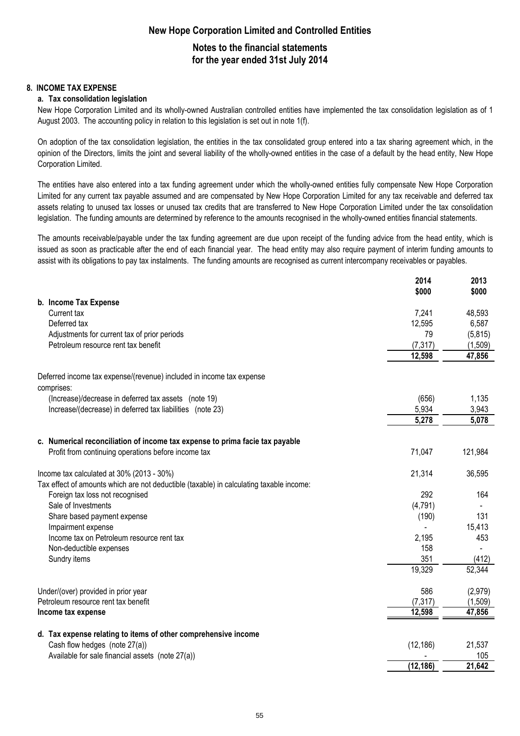### **Notes to the financial statements for the year ended 31st July 2014**

#### **8. INCOME TAX EXPENSE**

#### **a. Tax consolidation legislation**

New Hope Corporation Limited and its wholly-owned Australian controlled entities have implemented the tax consolidation legislation as of 1 August 2003. The accounting policy in relation to this legislation is set out in note 1(f).

On adoption of the tax consolidation legislation, the entities in the tax consolidated group entered into a tax sharing agreement which, in the opinion of the Directors, limits the joint and several liability of the wholly-owned entities in the case of a default by the head entity, New Hope Corporation Limited.

The entities have also entered into a tax funding agreement under which the wholly-owned entities fully compensate New Hope Corporation Limited for any current tax payable assumed and are compensated by New Hope Corporation Limited for any tax receivable and deferred tax assets relating to unused tax losses or unused tax credits that are transferred to New Hope Corporation Limited under the tax consolidation legislation. The funding amounts are determined by reference to the amounts recognised in the wholly-owned entities financial statements.

The amounts receivable/payable under the tax funding agreement are due upon receipt of the funding advice from the head entity, which is issued as soon as practicable after the end of each financial year. The head entity may also require payment of interim funding amounts to assist with its obligations to pay tax instalments. The funding amounts are recognised as current intercompany receivables or payables.

|                                                                                         | 2014<br>\$000 | 2013<br>\$000 |
|-----------------------------------------------------------------------------------------|---------------|---------------|
| b. Income Tax Expense                                                                   |               |               |
| Current tax                                                                             | 7,241         | 48,593        |
| Deferred tax                                                                            | 12,595        | 6,587         |
| Adjustments for current tax of prior periods                                            | 79            | (5,815)       |
| Petroleum resource rent tax benefit                                                     | (7, 317)      | (1,509)       |
|                                                                                         | 12,598        | 47,856        |
| Deferred income tax expense/(revenue) included in income tax expense<br>comprises:      |               |               |
| (Increase)/decrease in deferred tax assets (note 19)                                    | (656)         | 1,135         |
| Increase/(decrease) in deferred tax liabilities (note 23)                               | 5,934         | 3,943         |
|                                                                                         | 5,278         | 5,078         |
| c. Numerical reconciliation of income tax expense to prima facie tax payable            |               |               |
| Profit from continuing operations before income tax                                     | 71,047        | 121,984       |
| Income tax calculated at 30% (2013 - 30%)                                               | 21,314        | 36,595        |
| Tax effect of amounts which are not deductible (taxable) in calculating taxable income: |               |               |
| Foreign tax loss not recognised                                                         | 292           | 164           |
| Sale of Investments                                                                     | (4, 791)      |               |
| Share based payment expense                                                             | (190)         | 131           |
| Impairment expense                                                                      |               | 15,413        |
| Income tax on Petroleum resource rent tax                                               | 2,195         | 453           |
| Non-deductible expenses                                                                 | 158           |               |
| Sundry items                                                                            | 351           | (412)         |
|                                                                                         | 19,329        | 52,344        |
| Under/(over) provided in prior year                                                     | 586           | (2,979)       |
| Petroleum resource rent tax benefit                                                     | (7, 317)      | (1,509)       |
| Income tax expense                                                                      | 12,598        | 47,856        |
| d. Tax expense relating to items of other comprehensive income                          |               |               |
| Cash flow hedges (note 27(a))                                                           | (12, 186)     | 21,537        |
| Available for sale financial assets (note 27(a))                                        |               | 105           |
|                                                                                         | (12, 186)     | 21,642        |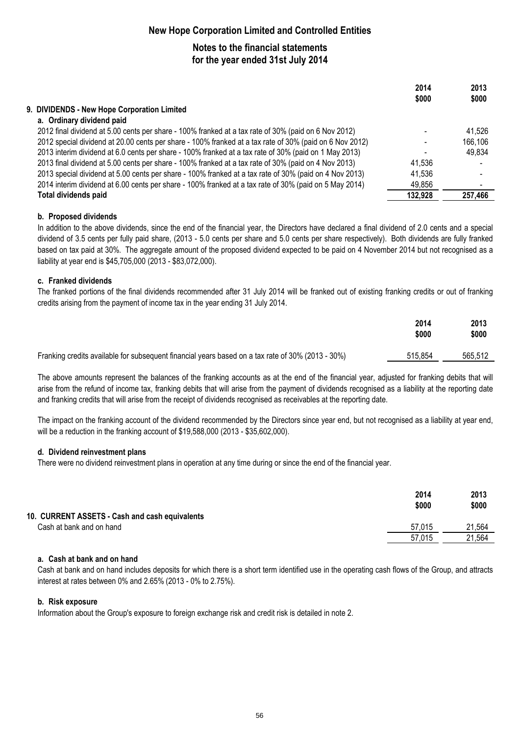# **Notes to the financial statements for the year ended 31st July 2014**

|                                                                                                         | 2014    | 2013    |
|---------------------------------------------------------------------------------------------------------|---------|---------|
|                                                                                                         | \$000   | \$000   |
| 9. DIVIDENDS - New Hope Corporation Limited                                                             |         |         |
| a. Ordinary dividend paid                                                                               |         |         |
| 2012 final dividend at 5.00 cents per share - 100% franked at a tax rate of 30% (paid on 6 Nov 2012)    |         | 41,526  |
| 2012 special dividend at 20.00 cents per share - 100% franked at a tax rate of 30% (paid on 6 Nov 2012) |         | 166,106 |
| 2013 interim dividend at 6.0 cents per share - 100% franked at a tax rate of 30% (paid on 1 May 2013)   |         | 49,834  |
| 2013 final dividend at 5.00 cents per share - 100% franked at a tax rate of 30% (paid on 4 Nov 2013)    | 41.536  |         |
| 2013 special dividend at 5.00 cents per share - 100% franked at a tax rate of 30% (paid on 4 Nov 2013)  | 41.536  |         |
| 2014 interim dividend at 6.00 cents per share - 100% franked at a tax rate of 30% (paid on 5 May 2014)  | 49,856  |         |
| <b>Total dividends paid</b>                                                                             | 132,928 | 257,466 |

#### **b. Proposed dividends**

In addition to the above dividends, since the end of the financial year, the Directors have declared a final dividend of 2.0 cents and a special dividend of 3.5 cents per fully paid share, (2013 - 5.0 cents per share and 5.0 cents per share respectively). Both dividends are fully franked based on tax paid at 30%. The aggregate amount of the proposed dividend expected to be paid on 4 November 2014 but not recognised as a liability at year end is \$45,705,000 (2013 - \$83,072,000).

### **c. Franked dividends**

The franked portions of the final dividends recommended after 31 July 2014 will be franked out of existing franking credits or out of franking credits arising from the payment of income tax in the year ending 31 July 2014.

|                                                                                                   | 2014<br>\$000 | 2013<br>\$000 |
|---------------------------------------------------------------------------------------------------|---------------|---------------|
| Franking credits available for subsequent financial years based on a tax rate of 30% (2013 - 30%) | 515.854       | 565,512       |

The above amounts represent the balances of the franking accounts as at the end of the financial year, adjusted for franking debits that will arise from the refund of income tax, franking debits that will arise from the payment of dividends recognised as a liability at the reporting date and franking credits that will arise from the receipt of dividends recognised as receivables at the reporting date.

The impact on the franking account of the dividend recommended by the Directors since year end, but not recognised as a liability at year end, will be a reduction in the franking account of \$19,588,000 (2013 - \$35,602,000).

#### **d. Dividend reinvestment plans**

There were no dividend reinvestment plans in operation at any time during or since the end of the financial year.

|                                                | 2014<br>\$000 | 2013<br>\$000 |
|------------------------------------------------|---------------|---------------|
| 10. CURRENT ASSETS - Cash and cash equivalents |               |               |
| Cash at bank and on hand                       | 57.015        | 21.564        |
|                                                | 57.015        | 21.564        |

#### **a. Cash at bank and on hand**

Cash at bank and on hand includes deposits for which there is a short term identified use in the operating cash flows of the Group, and attracts interest at rates between 0% and 2.65% (2013 - 0% to 2.75%).

#### **b. Risk exposure**

Information about the Group's exposure to foreign exchange risk and credit risk is detailed in note 2.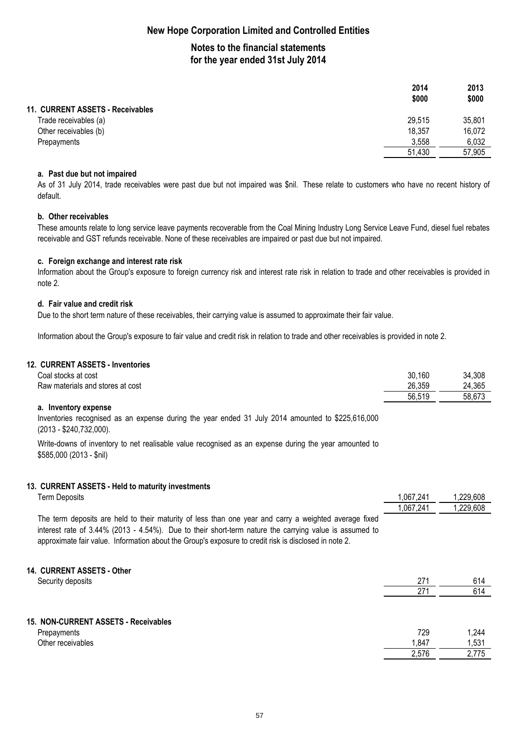# **Notes to the financial statements for the year ended 31st July 2014**

|                                  | 2014   | 2013   |
|----------------------------------|--------|--------|
|                                  | \$000  | \$000  |
| 11. CURRENT ASSETS - Receivables |        |        |
| Trade receivables (a)            | 29,515 | 35,801 |
| Other receivables (b)            | 18,357 | 16,072 |
| Prepayments                      | 3,558  | 6,032  |
|                                  | 51,430 | 57,905 |

#### **a. Past due but not impaired**

As of 31 July 2014, trade receivables were past due but not impaired was \$nil. These relate to customers who have no recent history of default.

#### **b. Other receivables**

These amounts relate to long service leave payments recoverable from the Coal Mining Industry Long Service Leave Fund, diesel fuel rebates receivable and GST refunds receivable. None of these receivables are impaired or past due but not impaired.

#### **c. Foreign exchange and interest rate risk**

Information about the Group's exposure to foreign currency risk and interest rate risk in relation to trade and other receivables is provided in note 2.

#### **d. Fair value and credit risk**

Due to the short term nature of these receivables, their carrying value is assumed to approximate their fair value.

Information about the Group's exposure to fair value and credit risk in relation to trade and other receivables is provided in note 2.

#### **12. CURRENT ASSETS - Inventories**

| Coal stocks at cost              | 30,160 | 34,308 |
|----------------------------------|--------|--------|
| Raw materials and stores at cost | 26,359 | 24,365 |
|                                  | 56,519 | 58,673 |

#### **a. Inventory expense**

Inventories recognised as an expense during the year ended 31 July 2014 amounted to \$225,616,000 (2013 - \$240,732,000).

Write-downs of inventory to net realisable value recognised as an expense during the year amounted to \$585,000 (2013 - \$nil)

#### **13. CURRENT ASSETS - Held to maturity investments**

Term Deposits 1,067,241 1,229,608

|                                                                                                        | 1,067,241 | 1,229,608 |
|--------------------------------------------------------------------------------------------------------|-----------|-----------|
| The term deposits are held to their maturity of less than one year and carry a weighted average fixed  |           |           |
| interest rate of 3.44% (2013 - 4.54%). Due to their short-term nature the carrying value is assumed to |           |           |
| approximate fair value. Information about the Group's exposure to credit risk is disclosed in note 2.  |           |           |

#### **14. CURRENT ASSETS - Other**

| Security deposits                    | 271   | 614   |
|--------------------------------------|-------|-------|
|                                      | 271   | 614   |
|                                      |       |       |
| 15. NON-CURRENT ASSETS - Receivables |       |       |
| Prepayments                          | 729   | 1,244 |
| Other receivables                    | 1,847 | 1,531 |
|                                      | 2,576 | 2,775 |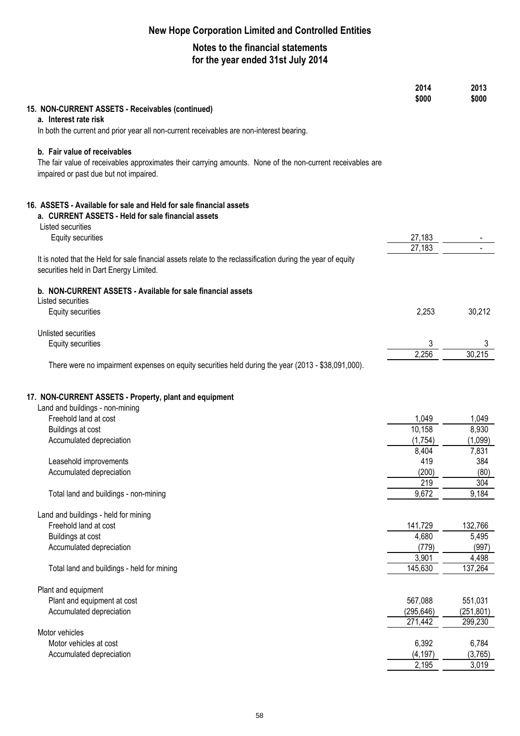|                                                                                                              | 2014       | 2013       |
|--------------------------------------------------------------------------------------------------------------|------------|------------|
|                                                                                                              | \$000      | \$000      |
| 15. NON-CURRENT ASSETS - Receivables (continued)                                                             |            |            |
| a. Interest rate risk                                                                                        |            |            |
| In both the current and prior year all non-current receivables are non-interest bearing.                     |            |            |
| b. Fair value of receivables                                                                                 |            |            |
| The fair value of receivables approximates their carrying amounts. None of the non-current receivables are   |            |            |
| impaired or past due but not impaired.                                                                       |            |            |
|                                                                                                              |            |            |
|                                                                                                              |            |            |
| 16. ASSETS - Available for sale and Held for sale financial assets                                           |            |            |
| a. CURRENT ASSETS - Held for sale financial assets                                                           |            |            |
| Listed securities                                                                                            |            |            |
| <b>Equity securities</b>                                                                                     | 27,183     |            |
|                                                                                                              | 27,183     |            |
| It is noted that the Held for sale financial assets relate to the reclassification during the year of equity |            |            |
| securities held in Dart Energy Limited.                                                                      |            |            |
|                                                                                                              |            |            |
| b. NON-CURRENT ASSETS - Available for sale financial assets<br>Listed securities                             |            |            |
| <b>Equity securities</b>                                                                                     | 2,253      | 30,212     |
|                                                                                                              |            |            |
| Unlisted securities                                                                                          |            |            |
| Equity securities                                                                                            | 3          | 3          |
|                                                                                                              | 2,256      | 30,215     |
| There were no impairment expenses on equity securities held during the year (2013 - \$38,091,000).           |            |            |
|                                                                                                              |            |            |
|                                                                                                              |            |            |
| 17. NON-CURRENT ASSETS - Property, plant and equipment                                                       |            |            |
| Land and buildings - non-mining                                                                              |            |            |
| Freehold land at cost                                                                                        | 1,049      | 1,049      |
| Buildings at cost                                                                                            | 10,158     | 8,930      |
| Accumulated depreciation                                                                                     | (1,754)    | (1,099)    |
|                                                                                                              | 8,404      | 7,831      |
| Leasehold improvements                                                                                       | 419        | 384        |
| Accumulated depreciation                                                                                     | (200)      | (80)       |
|                                                                                                              | 219        | 304        |
| Total land and buildings - non-mining                                                                        | 9,672      | 9,184      |
| Land and buildings - held for mining                                                                         |            |            |
| Freehold land at cost                                                                                        | 141,729    | 132,766    |
| Buildings at cost                                                                                            | 4,680      | 5,495      |
| Accumulated depreciation                                                                                     | (779)      | (997)      |
|                                                                                                              | 3,901      | 4,498      |
| Total land and buildings - held for mining                                                                   | 145,630    | 137,264    |
|                                                                                                              |            |            |
| Plant and equipment                                                                                          |            |            |
| Plant and equipment at cost                                                                                  | 567,088    | 551,031    |
| Accumulated depreciation                                                                                     | (295, 646) | (251, 801) |
|                                                                                                              | 271,442    | 299,230    |
| Motor vehicles                                                                                               |            |            |
| Motor vehicles at cost                                                                                       | 6,392      | 6,784      |
| Accumulated depreciation                                                                                     | (4, 197)   | (3,765)    |
|                                                                                                              | 2,195      | 3,019      |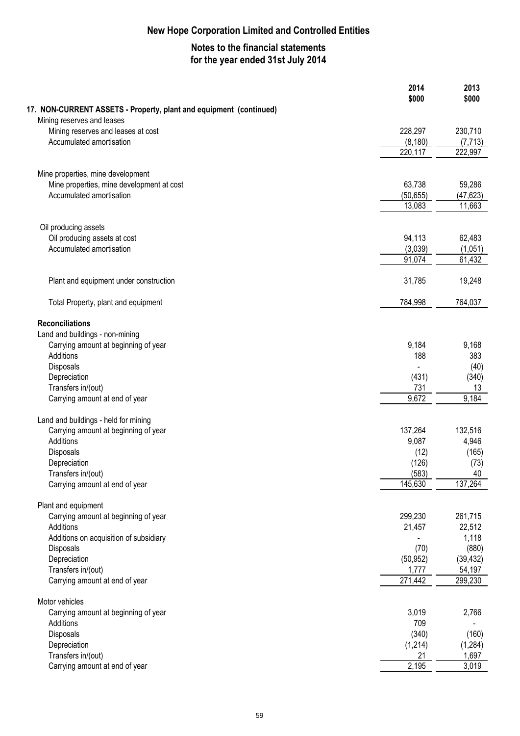|                                                                    | 2014<br>\$000     | 2013<br>\$000     |
|--------------------------------------------------------------------|-------------------|-------------------|
| 17. NON-CURRENT ASSETS - Property, plant and equipment (continued) |                   |                   |
| Mining reserves and leases                                         |                   |                   |
| Mining reserves and leases at cost                                 | 228,297           | 230,710           |
| Accumulated amortisation                                           | (8, 180)          | (7, 713)          |
|                                                                    | 220,117           | 222,997           |
| Mine properties, mine development                                  |                   |                   |
| Mine properties, mine development at cost                          | 63,738            | 59,286            |
| Accumulated amortisation                                           | (50, 655)         | (47, 623)         |
|                                                                    | 13,083            | 11,663            |
|                                                                    |                   |                   |
| Oil producing assets                                               |                   |                   |
| Oil producing assets at cost                                       | 94,113            | 62,483            |
| Accumulated amortisation                                           | (3,039)<br>91,074 | (1,051)<br>61,432 |
|                                                                    |                   |                   |
| Plant and equipment under construction                             | 31,785            | 19,248            |
| Total Property, plant and equipment                                | 784,998           | 764,037           |
| <b>Reconciliations</b>                                             |                   |                   |
| Land and buildings - non-mining                                    |                   |                   |
| Carrying amount at beginning of year                               | 9,184             | 9,168             |
| Additions                                                          | 188               | 383               |
| Disposals                                                          |                   | (40)              |
| Depreciation                                                       | (431)             | (340)             |
| Transfers in/(out)                                                 | 731               | 13                |
| Carrying amount at end of year                                     | 9,672             | 9,184             |
| Land and buildings - held for mining                               |                   |                   |
| Carrying amount at beginning of year                               | 137,264           | 132,516           |
| Additions                                                          | 9,087             | 4,946             |
| Disposals                                                          | (12)              | (165)             |
| Depreciation                                                       | (126)             | (73)              |
| Transfers in/(out)                                                 | (583)             | 40                |
| Carrying amount at end of year                                     | 145,630           | 137,264           |
| Plant and equipment                                                |                   |                   |
| Carrying amount at beginning of year                               | 299,230           | 261,715           |
| Additions                                                          | 21,457            | 22,512            |
| Additions on acquisition of subsidiary                             |                   | 1,118             |
| Disposals                                                          | (70)              | (880)             |
| Depreciation                                                       | (50, 952)         | (39, 432)         |
| Transfers in/(out)                                                 | 1,777             | 54,197            |
| Carrying amount at end of year                                     | 271,442           | 299,230           |
| Motor vehicles                                                     |                   |                   |
| Carrying amount at beginning of year                               | 3,019             | 2,766             |
| Additions                                                          | 709               |                   |
| Disposals                                                          | (340)             | (160)             |
| Depreciation                                                       | (1,214)           | (1, 284)          |
| Transfers in/(out)                                                 | 21                | 1,697             |
| Carrying amount at end of year                                     | 2,195             | 3,019             |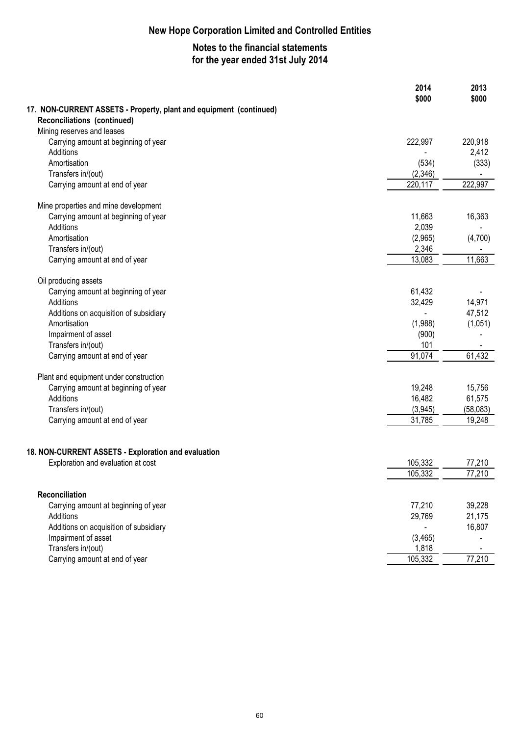|                                                                    | 2014<br>\$000      | 2013<br>\$000 |
|--------------------------------------------------------------------|--------------------|---------------|
| 17. NON-CURRENT ASSETS - Property, plant and equipment (continued) |                    |               |
| Reconciliations (continued)                                        |                    |               |
| Mining reserves and leases                                         |                    |               |
| Carrying amount at beginning of year                               | 222,997            | 220,918       |
| Additions                                                          |                    | 2,412         |
| Amortisation                                                       | (534)              | (333)         |
| Transfers in/(out)                                                 | (2,346)            |               |
| Carrying amount at end of year                                     | 220,117            | 222,997       |
| Mine properties and mine development                               |                    |               |
| Carrying amount at beginning of year                               | 11,663             | 16,363        |
| Additions                                                          | 2,039              |               |
| Amortisation                                                       | (2,965)            | (4,700)       |
| Transfers in/(out)                                                 | 2,346              |               |
| Carrying amount at end of year                                     | 13,083             | 11,663        |
| Oil producing assets                                               |                    |               |
| Carrying amount at beginning of year                               | 61,432             |               |
| Additions                                                          | 32,429             | 14,971        |
| Additions on acquisition of subsidiary                             |                    | 47,512        |
| Amortisation                                                       | (1,988)            | (1,051)       |
| Impairment of asset                                                | (900)              |               |
| Transfers in/(out)                                                 | 101                |               |
| Carrying amount at end of year                                     | 91,074             | 61,432        |
| Plant and equipment under construction                             |                    |               |
| Carrying amount at beginning of year                               | 19,248             | 15,756        |
| Additions                                                          | 16,482             | 61,575        |
| Transfers in/(out)                                                 | (3,945)            | (58,083)      |
| Carrying amount at end of year                                     | 31,785             | 19,248        |
|                                                                    |                    |               |
|                                                                    |                    |               |
| 18. NON-CURRENT ASSETS - Exploration and evaluation                |                    |               |
| Exploration and evaluation at cost                                 | 105,332<br>105,332 | 77,210        |
|                                                                    |                    | 77,210        |
| Reconciliation                                                     |                    |               |
| Carrying amount at beginning of year                               | 77,210             | 39,228        |
| Additions                                                          | 29,769             | 21,175        |
| Additions on acquisition of subsidiary                             |                    | 16,807        |
| Impairment of asset                                                | (3,465)            |               |
| Transfers in/(out)                                                 | 1,818              |               |
| Carrying amount at end of year                                     | 105,332            | 77,210        |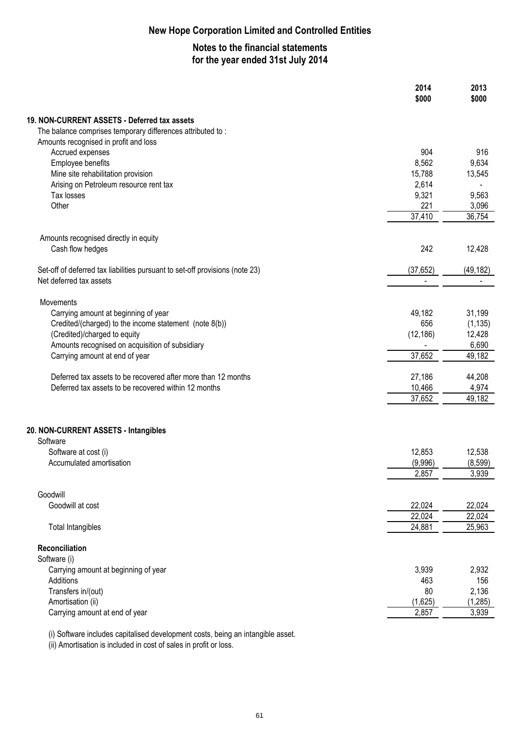# **Notes to the financial statements for the year ended 31st July 2014**

|                                                                              | 2014<br>\$000  | 2013<br>\$000   |
|------------------------------------------------------------------------------|----------------|-----------------|
| 19. NON-CURRENT ASSETS - Deferred tax assets                                 |                |                 |
| The balance comprises temporary differences attributed to:                   |                |                 |
| Amounts recognised in profit and loss                                        |                |                 |
| Accrued expenses                                                             | 904            | 916             |
| Employee benefits                                                            | 8,562          | 9,634           |
| Mine site rehabilitation provision                                           | 15,788         | 13,545          |
| Arising on Petroleum resource rent tax                                       | 2,614          |                 |
| Tax losses                                                                   | 9,321          | 9,563           |
| Other                                                                        | 221<br>37,410  | 3,096<br>36,754 |
|                                                                              |                |                 |
| Amounts recognised directly in equity                                        |                |                 |
| Cash flow hedges                                                             | 242            | 12,428          |
|                                                                              |                |                 |
| Set-off of deferred tax liabilities pursuant to set-off provisions (note 23) | (37, 652)      | (49, 182)       |
| Net deferred tax assets                                                      | $\blacksquare$ |                 |
| Movements                                                                    |                |                 |
| Carrying amount at beginning of year                                         | 49,182         | 31,199          |
| Credited/(charged) to the income statement (note 8(b))                       | 656            | (1, 135)        |
| (Credited)/charged to equity                                                 | (12, 186)      | 12,428          |
| Amounts recognised on acquisition of subsidiary                              |                | 6,690           |
| Carrying amount at end of year                                               | 37,652         | 49,182          |
| Deferred tax assets to be recovered after more than 12 months                | 27,186         | 44,208          |
| Deferred tax assets to be recovered within 12 months                         | 10,466         | 4,974           |
|                                                                              | 37,652         | 49,182          |
|                                                                              |                |                 |
| 20. NON-CURRENT ASSETS - Intangibles                                         |                |                 |
| Software                                                                     |                |                 |
| Software at cost (i)                                                         | 12,853         | 12,538          |
| Accumulated amortisation                                                     | (9,996)        | (8,599)         |
|                                                                              | 2,857          | 3,939           |
| Goodwill                                                                     |                |                 |
| Goodwill at cost                                                             | 22,024         | 22,024          |
|                                                                              | 22,024         | 22,024          |
| <b>Total Intangibles</b>                                                     | 24,881         | 25,963          |
|                                                                              |                |                 |
| Reconciliation                                                               |                |                 |
| Software (i)                                                                 |                |                 |
| Carrying amount at beginning of year<br>Additions                            | 3,939<br>463   | 2,932<br>156    |
| Transfers in/(out)                                                           | 80             | 2,136           |
| Amortisation (ii)                                                            | (1,625)        | (1, 285)        |
| Carrying amount at end of year                                               | 2,857          | 3,939           |
|                                                                              |                |                 |

(i) Software includes capitalised development costs, being an intangible asset.

(ii) Amortisation is included in cost of sales in profit or loss.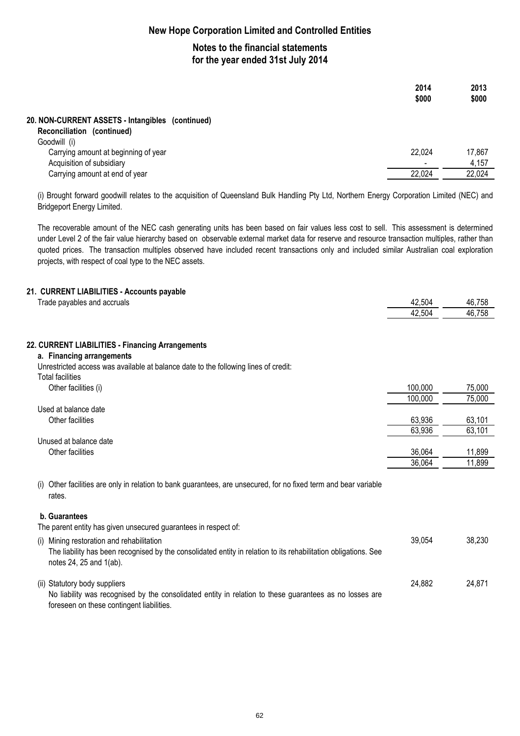# **Notes to the financial statements for the year ended 31st July 2014**

|                                                                                | 2014<br>\$000                | 2013<br>\$000 |
|--------------------------------------------------------------------------------|------------------------------|---------------|
| 20. NON-CURRENT ASSETS - Intangibles (continued)<br>Reconciliation (continued) |                              |               |
| Goodwill (i)                                                                   |                              |               |
| Carrying amount at beginning of year                                           | 22,024                       | 17,867        |
| Acquisition of subsidiary                                                      | $\qquad \qquad \blacksquare$ | 4,157         |
| Carrying amount at end of year                                                 | 22,024                       | 22,024        |
|                                                                                |                              |               |

(i) Brought forward goodwill relates to the acquisition of Queensland Bulk Handling Pty Ltd, Northern Energy Corporation Limited (NEC) and Bridgeport Energy Limited.

The recoverable amount of the NEC cash generating units has been based on fair values less cost to sell. This assessment is determined under Level 2 of the fair value hierarchy based on observable external market data for reserve and resource transaction multiples, rather than quoted prices. The transaction multiples observed have included recent transactions only and included similar Australian coal exploration projects, with respect of coal type to the NEC assets.

### **21. CURRENT LIABILITIES - Accounts payable**

| Trade payables and accruals                                                         | 42,504  | 46,758 |
|-------------------------------------------------------------------------------------|---------|--------|
|                                                                                     | 42,504  | 46,758 |
|                                                                                     |         |        |
| 22. CURRENT LIABILITIES - Financing Arrangements                                    |         |        |
| a. Financing arrangements                                                           |         |        |
| Unrestricted access was available at balance date to the following lines of credit: |         |        |
| <b>Total facilities</b>                                                             |         |        |
| Other facilities (i)                                                                | 100,000 | 75,000 |
|                                                                                     | 100,000 | 75,000 |
| Used at balance date                                                                |         |        |
| Other facilities                                                                    | 63,936  | 63,101 |
|                                                                                     | 63,936  | 63,101 |
| Unused at balance date                                                              |         |        |
| Other facilities                                                                    | 36,064  | 11,899 |
|                                                                                     | 36,064  | 11,899 |

(i) Other facilities are only in relation to bank guarantees, are unsecured, for no fixed term and bear variable rates.

#### **b. Guarantees**

The parent entity has given unsecured guarantees in respect of:

| (i) Mining restoration and rehabilitation<br>The liability has been recognised by the consolidated entity in relation to its rehabilitation obligations. See<br>notes $24$ , $25$ and $1(ab)$ . | 39.054 | 38.230 |
|-------------------------------------------------------------------------------------------------------------------------------------------------------------------------------------------------|--------|--------|
| (ii) Statutory body suppliers<br>No liability was recognised by the consolidated entity in relation to these guarantees as no losses are<br>foreseen on these contingent liabilities.           | 24.882 | 24.871 |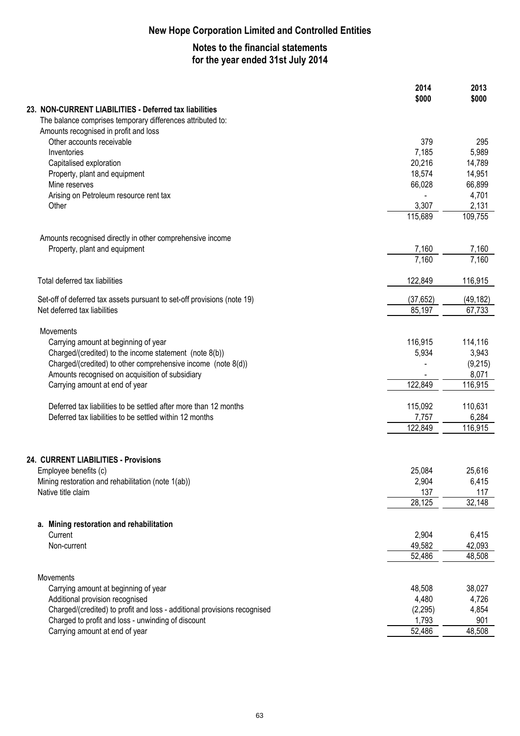|                                                                                                                 | 2014<br>\$000       | 2013<br>\$000       |
|-----------------------------------------------------------------------------------------------------------------|---------------------|---------------------|
| 23. NON-CURRENT LIABILITIES - Deferred tax liabilities                                                          |                     |                     |
| The balance comprises temporary differences attributed to:<br>Amounts recognised in profit and loss             |                     |                     |
| Other accounts receivable                                                                                       | 379                 | 295                 |
| Inventories                                                                                                     | 7,185               | 5,989               |
| Capitalised exploration                                                                                         | 20,216              | 14,789              |
| Property, plant and equipment                                                                                   | 18,574              | 14,951              |
| Mine reserves                                                                                                   | 66,028              | 66,899              |
| Arising on Petroleum resource rent tax<br>Other                                                                 | 3,307               | 4,701               |
|                                                                                                                 | 115,689             | 2,131<br>109,755    |
|                                                                                                                 |                     |                     |
| Amounts recognised directly in other comprehensive income<br>Property, plant and equipment                      | 7,160               | 7,160               |
|                                                                                                                 | 7,160               | 7,160               |
| Total deferred tax liabilities                                                                                  | 122,849             | 116,915             |
|                                                                                                                 |                     |                     |
| Set-off of deferred tax assets pursuant to set-off provisions (note 19)<br>Net deferred tax liabilities         | (37, 652)<br>85,197 | (49, 182)<br>67,733 |
|                                                                                                                 |                     |                     |
| Movements                                                                                                       |                     |                     |
| Carrying amount at beginning of year                                                                            | 116,915             | 114,116             |
| Charged/(credited) to the income statement (note 8(b))                                                          | 5,934               | 3,943               |
| Charged/(credited) to other comprehensive income (note 8(d))<br>Amounts recognised on acquisition of subsidiary |                     | (9,215)<br>8,071    |
| Carrying amount at end of year                                                                                  | 122,849             | 116,915             |
|                                                                                                                 |                     |                     |
| Deferred tax liabilities to be settled after more than 12 months                                                | 115,092             | 110,631             |
| Deferred tax liabilities to be settled within 12 months                                                         | 7,757               | 6,284               |
|                                                                                                                 | 122,849             | 116,915             |
|                                                                                                                 |                     |                     |
| 24. CURRENT LIABILITIES - Provisions<br>Employee benefits (c)                                                   | 25,084              | 25,616              |
| Mining restoration and rehabilitation (note 1(ab))                                                              | 2,904               | 6,415               |
| Native title claim                                                                                              | 137                 | 117                 |
|                                                                                                                 | 28,125              | 32,148              |
| a. Mining restoration and rehabilitation                                                                        |                     |                     |
| Current                                                                                                         | 2,904               | 6,415               |
| Non-current                                                                                                     | 49,582              | 42,093              |
|                                                                                                                 | 52,486              | 48,508              |
| Movements                                                                                                       |                     |                     |
| Carrying amount at beginning of year                                                                            | 48,508              | 38,027              |
| Additional provision recognised                                                                                 | 4,480               | 4,726               |
| Charged/(credited) to profit and loss - additional provisions recognised                                        | (2, 295)            | 4,854               |
| Charged to profit and loss - unwinding of discount                                                              | 1,793               | 901                 |
| Carrying amount at end of year                                                                                  | 52,486              | 48,508              |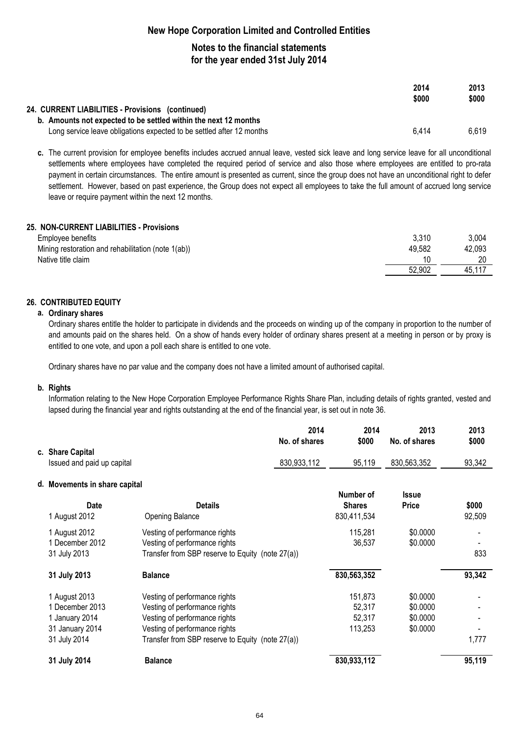### **Notes to the financial statements for the year ended 31st July 2014**

|                                                                       | 2014<br>\$000 | 2013<br>\$000 |
|-----------------------------------------------------------------------|---------------|---------------|
| 24. CURRENT LIABILITIES - Provisions (continued)                      |               |               |
| b. Amounts not expected to be settled within the next 12 months       |               |               |
| Long service leave obligations expected to be settled after 12 months | 6.414         | 6.619         |

**c.** The current provision for employee benefits includes accrued annual leave, vested sick leave and long service leave for all unconditional settlements where employees have completed the required period of service and also those where employees are entitled to pro-rata payment in certain circumstances. The entire amount is presented as current, since the group does not have an unconditional right to defer settlement. However, based on past experience, the Group does not expect all employees to take the full amount of accrued long service leave or require payment within the next 12 months.

#### **25. NON-CURRENT LIABILITIES - Provisions**

| Employee benefits                                  | 3,310  | 3,004  |
|----------------------------------------------------|--------|--------|
| Mining restoration and rehabilitation (note 1(ab)) | 49,582 | 42,093 |
| Native title claim                                 |        |        |
|                                                    | 52,902 | 45.11  |

#### **26. CONTRIBUTED EQUITY**

#### **a. Ordinary shares**

Ordinary shares entitle the holder to participate in dividends and the proceeds on winding up of the company in proportion to the number of and amounts paid on the shares held. On a show of hands every holder of ordinary shares present at a meeting in person or by proxy is entitled to one vote, and upon a poll each share is entitled to one vote.

Ordinary shares have no par value and the company does not have a limited amount of authorised capital.

#### **b. Rights**

Information relating to the New Hope Corporation Employee Performance Rights Share Plan, including details of rights granted, vested and lapsed during the financial year and rights outstanding at the end of the financial year, is set out in note 36.

|                               |                                                  | 2014<br>No. of shares | 2014<br>\$000                | 2013<br>No. of shares | 2013<br>\$000   |
|-------------------------------|--------------------------------------------------|-----------------------|------------------------------|-----------------------|-----------------|
| c. Share Capital              |                                                  |                       |                              |                       |                 |
| Issued and paid up capital    |                                                  | 830,933,112           | 95,119                       | 830,563,352           | 93,342          |
| d. Movements in share capital |                                                  |                       |                              |                       |                 |
|                               |                                                  |                       | Number of                    | <b>Issue</b>          |                 |
| <b>Date</b><br>1 August 2012  | <b>Details</b><br><b>Opening Balance</b>         |                       | <b>Shares</b><br>830,411,534 | <b>Price</b>          | \$000<br>92,509 |
| 1 August 2012                 | Vesting of performance rights                    |                       | 115,281                      | \$0.0000              |                 |
| 1 December 2012               | Vesting of performance rights                    |                       | 36,537                       | \$0.0000              |                 |
| 31 July 2013                  | Transfer from SBP reserve to Equity (note 27(a)) |                       |                              |                       | 833             |
| 31 July 2013                  | <b>Balance</b>                                   |                       | 830,563,352                  |                       | 93,342          |
| 1 August 2013                 | Vesting of performance rights                    |                       | 151,873                      | \$0.0000              |                 |
| 1 December 2013               | Vesting of performance rights                    |                       | 52,317                       | \$0.0000              |                 |
| 1 January 2014                | Vesting of performance rights                    |                       | 52,317                       | \$0.0000              |                 |
| 31 January 2014               | Vesting of performance rights                    |                       | 113,253                      | \$0.0000              |                 |
| 31 July 2014                  | Transfer from SBP reserve to Equity (note 27(a)) |                       |                              |                       | 1,777           |
| 31 July 2014                  | <b>Balance</b>                                   |                       | 830,933,112                  |                       | 95,119          |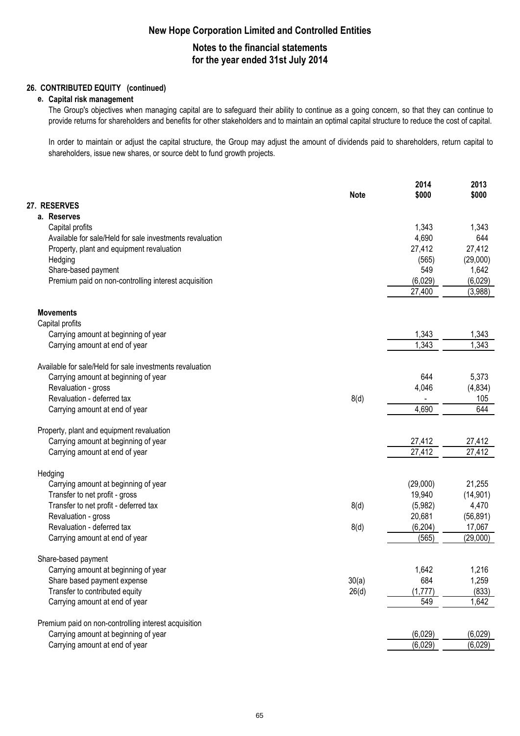# **Notes to the financial statements for the year ended 31st July 2014**

### **26. CONTRIBUTED EQUITY (continued)**

#### **e. Capital risk management**

The Group's objectives when managing capital are to safeguard their ability to continue as a going concern, so that they can continue to provide returns for shareholders and benefits for other stakeholders and to maintain an optimal capital structure to reduce the cost of capital.

In order to maintain or adjust the capital structure, the Group may adjust the amount of dividends paid to shareholders, return capital to shareholders, issue new shares, or source debt to fund growth projects.

|                                                          | <b>Note</b> | 2014<br>\$000 | 2013<br>\$000 |
|----------------------------------------------------------|-------------|---------------|---------------|
| 27. RESERVES                                             |             |               |               |
| a. Reserves                                              |             |               |               |
| Capital profits                                          |             | 1,343         | 1,343         |
| Available for sale/Held for sale investments revaluation |             | 4,690         | 644           |
| Property, plant and equipment revaluation                |             | 27,412        | 27,412        |
| Hedging                                                  |             | (565)         | (29,000)      |
| Share-based payment                                      |             | 549           | 1,642         |
| Premium paid on non-controlling interest acquisition     |             | (6,029)       | (6,029)       |
|                                                          |             | 27,400        | (3,988)       |
| <b>Movements</b>                                         |             |               |               |
| Capital profits                                          |             |               |               |
| Carrying amount at beginning of year                     |             | 1,343         | 1,343         |
| Carrying amount at end of year                           |             | 1,343         | 1,343         |
| Available for sale/Held for sale investments revaluation |             |               |               |
| Carrying amount at beginning of year                     |             | 644           | 5,373         |
| Revaluation - gross                                      |             | 4,046         | (4,834)       |
| Revaluation - deferred tax                               | 8(d)        |               | 105           |
| Carrying amount at end of year                           |             | 4,690         | 644           |
| Property, plant and equipment revaluation                |             |               |               |
| Carrying amount at beginning of year                     |             | 27,412        | 27,412        |
| Carrying amount at end of year                           |             | 27,412        | 27,412        |
| Hedging                                                  |             |               |               |
| Carrying amount at beginning of year                     |             | (29,000)      | 21,255        |
| Transfer to net profit - gross                           |             | 19,940        | (14, 901)     |
| Transfer to net profit - deferred tax                    | 8(d)        | (5,982)       | 4,470         |
| Revaluation - gross                                      |             | 20,681        | (56, 891)     |
| Revaluation - deferred tax                               | 8(d)        | (6, 204)      | 17,067        |
| Carrying amount at end of year                           |             | (565)         | (29,000)      |
| Share-based payment                                      |             |               |               |
| Carrying amount at beginning of year                     |             | 1,642         | 1,216         |
| Share based payment expense                              | 30(a)       | 684           | 1,259         |
| Transfer to contributed equity                           | 26(d)       | (1,777)       | (833)         |
| Carrying amount at end of year                           |             | 549           | 1,642         |
| Premium paid on non-controlling interest acquisition     |             |               |               |
| Carrying amount at beginning of year                     |             | (6,029)       | (6,029)       |
| Carrying amount at end of year                           |             | (6,029)       | (6,029)       |
|                                                          |             |               |               |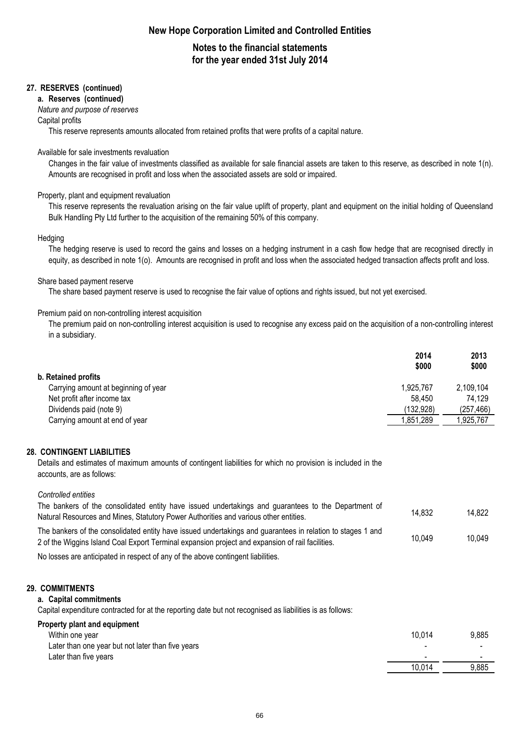# **Notes to the financial statements for the year ended 31st July 2014**

#### **27. RESERVES (continued)**

#### **a. Reserves (continued)**

#### *Nature and purpose of reserves*

#### Capital profits

This reserve represents amounts allocated from retained profits that were profits of a capital nature.

#### Available for sale investments revaluation

Changes in the fair value of investments classified as available for sale financial assets are taken to this reserve, as described in note 1(n). Amounts are recognised in profit and loss when the associated assets are sold or impaired.

#### Property, plant and equipment revaluation

This reserve represents the revaluation arising on the fair value uplift of property, plant and equipment on the initial holding of Queensland Bulk Handling Pty Ltd further to the acquisition of the remaining 50% of this company.

#### **Hedging**

The hedging reserve is used to record the gains and losses on a hedging instrument in a cash flow hedge that are recognised directly in equity, as described in note 1(o). Amounts are recognised in profit and loss when the associated hedged transaction affects profit and loss.

#### Share based payment reserve

The share based payment reserve is used to recognise the fair value of options and rights issued, but not yet exercised.

#### Premium paid on non-controlling interest acquisition

The premium paid on non-controlling interest acquisition is used to recognise any excess paid on the acquisition of a non-controlling interest in a subsidiary.

|                                      | 2014<br>\$000 | 2013<br>\$000 |
|--------------------------------------|---------------|---------------|
| b. Retained profits                  |               |               |
| Carrying amount at beginning of year | 1,925,767     | 2,109,104     |
| Net profit after income tax          | 58.450        | 74,129        |
| Dividends paid (note 9)              | (132,928)     | (257, 466)    |
| Carrying amount at end of year       | 851,289. ا    | 1.925.767     |

#### **28. CONTINGENT LIABILITIES**

Details and estimates of maximum amounts of contingent liabilities for which no provision is included in the accounts, are as follows:

#### *Controlled entities*

| <b>COMMITMENTS</b>                                                                                                                                                                                             |        |        |
|----------------------------------------------------------------------------------------------------------------------------------------------------------------------------------------------------------------|--------|--------|
| No losses are anticipated in respect of any of the above contingent liabilities.                                                                                                                               |        |        |
| The bankers of the consolidated entity have issued undertakings and guarantees in relation to stages 1 and<br>2 of the Wiggins Island Coal Export Terminal expansion project and expansion of rail facilities. | 10.049 | 10.049 |
| The bankers of the consolidated entity have issued undertakings and guarantees to the Department of<br>Natural Resources and Mines, Statutory Power Authorities and various other entities.                    | 14.832 | 14.822 |

# **29. COMMITMENTS**

## **a. Capital commitments**

Capital expenditure contracted for at the reporting date but not recognised as liabilities is as follows:

| <b>Property plant and equipment</b>               |        |       |
|---------------------------------------------------|--------|-------|
| Within one year                                   | 10.014 | 9,885 |
| Later than one year but not later than five years |        |       |
| Later than five years                             | -      |       |
|                                                   | 10,014 | 9,885 |
|                                                   |        |       |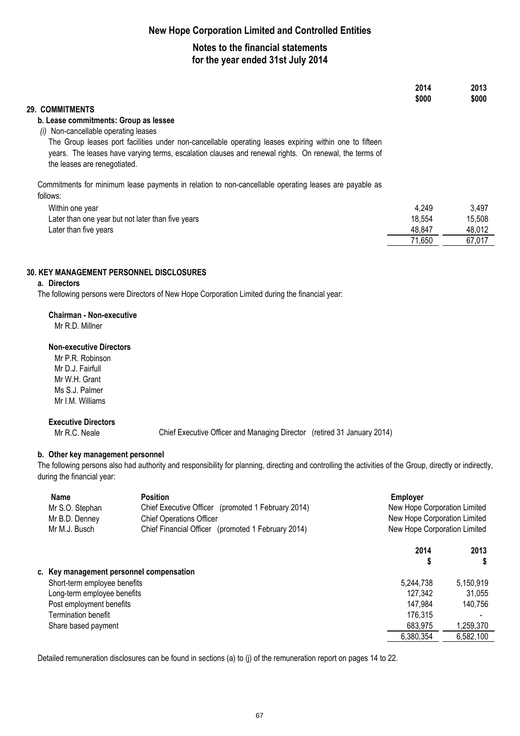## **Notes to the financial statements for the year ended 31st July 2014**

|                                                                                                                                                                                                                                                 | 2014<br>\$000 | 2013<br>\$000 |
|-------------------------------------------------------------------------------------------------------------------------------------------------------------------------------------------------------------------------------------------------|---------------|---------------|
| 29. COMMITMENTS                                                                                                                                                                                                                                 |               |               |
| b. Lease commitments: Group as lessee                                                                                                                                                                                                           |               |               |
| Non-cancellable operating leases<br>(i)                                                                                                                                                                                                         |               |               |
| The Group leases port facilities under non-cancellable operating leases expiring within one to fifteen<br>years. The leases have varying terms, escalation clauses and renewal rights. On renewal, the terms of<br>the leases are renegotiated. |               |               |
| Commitments for minimum lease payments in relation to non-cancellable operating leases are payable as                                                                                                                                           |               |               |
| follows:                                                                                                                                                                                                                                        |               |               |
| Within one year                                                                                                                                                                                                                                 | 4.249         | 3.497         |
| Later than one year but not later than five years                                                                                                                                                                                               | 18,554        | 15,508        |
| Later than five years                                                                                                                                                                                                                           | 48.847        | 48.012        |
|                                                                                                                                                                                                                                                 | 71,650        | 67,017        |

#### **30. KEY MANAGEMENT PERSONNEL DISCLOSURES**

### **a. Directors**

The following persons were Directors of New Hope Corporation Limited during the financial year:

#### **Chairman - Non-executive**

Mr R.D. Millner

#### **Non-executive Directors**

Mr P.R. Robinson Mr D.J. Fairfull Mr W.H. Grant Ms S.J. Palmer Mr I.M. Williams

#### **Executive Directors**

Mr R.C. Neale

Chief Executive Officer and Managing Director (retired 31 January 2014)

#### **b. Other key management personnel**

The following persons also had authority and responsibility for planning, directing and controlling the activities of the Group, directly or indirectly, during the financial year:

| <b>Name</b><br>Mr S.O. Stephan<br>Mr B.D. Denney<br>Mr M.J. Busch | <b>Position</b><br>Chief Executive Officer (promoted 1 February 2014)<br><b>Chief Operations Officer</b><br>Chief Financial Officer (promoted 1 February 2014) | Employer  | New Hope Corporation Limited<br>New Hope Corporation Limited<br>New Hope Corporation Limited |  |
|-------------------------------------------------------------------|----------------------------------------------------------------------------------------------------------------------------------------------------------------|-----------|----------------------------------------------------------------------------------------------|--|
|                                                                   |                                                                                                                                                                | 2014      | 2013                                                                                         |  |
|                                                                   |                                                                                                                                                                | \$        | S                                                                                            |  |
| c. Key management personnel compensation                          |                                                                                                                                                                |           |                                                                                              |  |
| Short-term employee benefits                                      |                                                                                                                                                                | 5,244,738 | 5,150,919                                                                                    |  |
| Long-term employee benefits                                       |                                                                                                                                                                | 127.342   | 31,055                                                                                       |  |
| Post employment benefits                                          |                                                                                                                                                                | 147.984   | 140.756                                                                                      |  |
| <b>Termination benefit</b>                                        |                                                                                                                                                                | 176,315   |                                                                                              |  |
| Share based payment                                               |                                                                                                                                                                | 683,975   | 1,259,370                                                                                    |  |
|                                                                   |                                                                                                                                                                | 6,380,354 | 6,582,100                                                                                    |  |

Detailed remuneration disclosures can be found in sections (a) to (j) of the remuneration report on pages 14 to 22.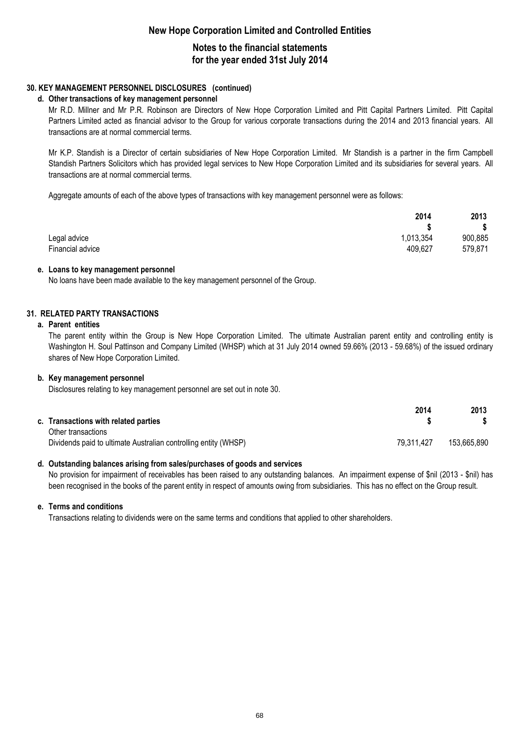### **Notes to the financial statements for the year ended 31st July 2014**

#### **30. KEY MANAGEMENT PERSONNEL DISCLOSURES (continued)**

#### **d. Other transactions of key management personnel**

Mr R.D. Millner and Mr P.R. Robinson are Directors of New Hope Corporation Limited and Pitt Capital Partners Limited. Pitt Capital Partners Limited acted as financial advisor to the Group for various corporate transactions during the 2014 and 2013 financial years. All transactions are at normal commercial terms.

Mr K.P. Standish is a Director of certain subsidiaries of New Hope Corporation Limited. Mr Standish is a partner in the firm Campbell Standish Partners Solicitors which has provided legal services to New Hope Corporation Limited and its subsidiaries for several years. All transactions are at normal commercial terms.

Aggregate amounts of each of the above types of transactions with key management personnel were as follows:

|                  | 2014      | 2013    |
|------------------|-----------|---------|
|                  |           | \$      |
| Legal advice     | 1,013,354 | 900,885 |
| Financial advice | 409,627   | 579,871 |

#### **e. Loans to key management personnel**

No loans have been made available to the key management personnel of the Group.

#### **31. RELATED PARTY TRANSACTIONS**

#### **a. Parent entities**

The parent entity within the Group is New Hope Corporation Limited. The ultimate Australian parent entity and controlling entity is Washington H. Soul Pattinson and Company Limited (WHSP) which at 31 July 2014 owned 59.66% (2013 - 59.68%) of the issued ordinary shares of New Hope Corporation Limited.

#### **b. Key management personnel**

Disclosures relating to key management personnel are set out in note 30.

| c. Transactions with related parties                            | 2014       | 2013        |
|-----------------------------------------------------------------|------------|-------------|
| Other transactions                                              |            |             |
| Dividends paid to ultimate Australian controlling entity (WHSP) | 79,311,427 | 153,665,890 |

#### **d. Outstanding balances arising from sales/purchases of goods and services**

No provision for impairment of receivables has been raised to any outstanding balances. An impairment expense of \$nil (2013 - \$nil) has been recognised in the books of the parent entity in respect of amounts owing from subsidiaries. This has no effect on the Group result.

#### **e. Terms and conditions**

Transactions relating to dividends were on the same terms and conditions that applied to other shareholders.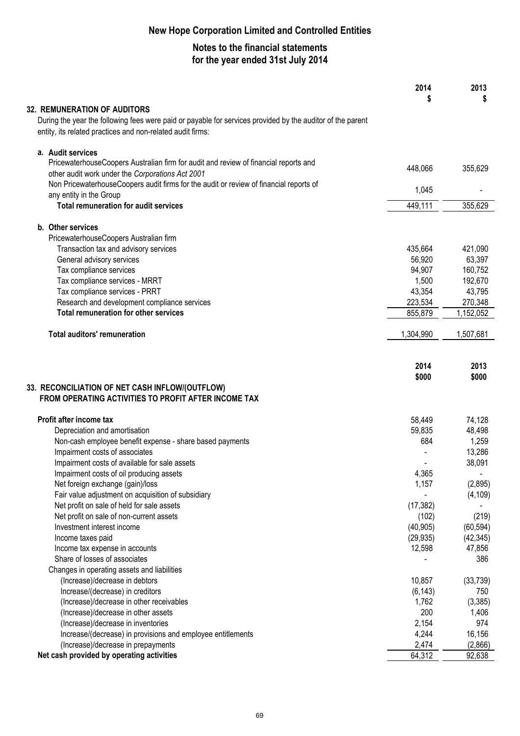|                                                                                                            | 2014<br>S | 2013<br>S |
|------------------------------------------------------------------------------------------------------------|-----------|-----------|
| <b>32. REMUNERATION OF AUDITORS</b>                                                                        |           |           |
| During the year the following fees were paid or payable for services provided by the auditor of the parent |           |           |
| entity, its related practices and non-related audit firms:                                                 |           |           |
| a. Audit services                                                                                          |           |           |
| PricewaterhouseCoopers Australian firm for audit and review of financial reports and                       | 448,066   |           |
| other audit work under the Corporations Act 2001                                                           |           | 355,629   |
| Non PricewaterhouseCoopers audit firms for the audit or review of financial reports of                     | 1,045     |           |
| any entity in the Group                                                                                    |           |           |
| <b>Total remuneration for audit services</b>                                                               | 449,111   | 355,629   |
| b. Other services                                                                                          |           |           |
| PricewaterhouseCoopers Australian firm                                                                     |           |           |
| Transaction tax and advisory services                                                                      | 435,664   | 421,090   |
| General advisory services                                                                                  | 56,920    | 63,397    |
| Tax compliance services                                                                                    | 94,907    | 160,752   |
| Tax compliance services - MRRT                                                                             | 1,500     | 192,670   |
| Tax compliance services - PRRT                                                                             | 43,354    | 43,795    |
| Research and development compliance services                                                               | 223,534   | 270,348   |
| <b>Total remuneration for other services</b>                                                               | 855,879   | 1,152,052 |
| <b>Total auditors' remuneration</b>                                                                        | 1,304,990 | 1,507,681 |
|                                                                                                            | 2014      | 2013      |
|                                                                                                            | \$000     | \$000     |
| 33. RECONCILIATION OF NET CASH INFLOW/(OUTFLOW)                                                            |           |           |
| FROM OPERATING ACTIVITIES TO PROFIT AFTER INCOME TAX                                                       |           |           |
| Profit after income tax                                                                                    | 58,449    | 74,128    |
| Depreciation and amortisation                                                                              | 59,835    | 48,498    |
| Non-cash employee benefit expense - share based payments                                                   | 684       | 1,259     |
| Impairment costs of associates                                                                             |           | 13,286    |
| Impairment costs of available for sale assets                                                              |           | 38,091    |
| Impairment costs of oil producing assets                                                                   | 4,365     |           |
| Net foreign exchange (gain)/loss                                                                           | 1,157     | (2,895)   |
| Fair value adjustment on acquisition of subsidiary                                                         |           | (4, 109)  |
| Net profit on sale of held for sale assets                                                                 | (17, 382) |           |
| Net profit on sale of non-current assets                                                                   | (102)     | (219)     |
| Investment interest income                                                                                 | (40, 905) | (60, 594) |
| Income taxes paid                                                                                          | (29, 935) | (42, 345) |
| Income tax expense in accounts                                                                             | 12,598    | 47,856    |
| Share of losses of associates                                                                              |           | 386       |
| Changes in operating assets and liabilities                                                                |           |           |
| (Increase)/decrease in debtors                                                                             | 10,857    | (33, 739) |
| Increase/(decrease) in creditors                                                                           | (6, 143)  | 750       |
| (Increase)/decrease in other receivables                                                                   | 1,762     | (3, 385)  |
| (Increase)/decrease in other assets                                                                        | 200       | 1,406     |
| (Increase)/decrease in inventories                                                                         | 2,154     | 974       |
| Increase/(decrease) in provisions and employee entitlements                                                | 4,244     | 16,156    |
| (Increase)/decrease in prepayments                                                                         | 2,474     | (2,866)   |
| Net cash provided by operating activities                                                                  | 64,312    | 92,638    |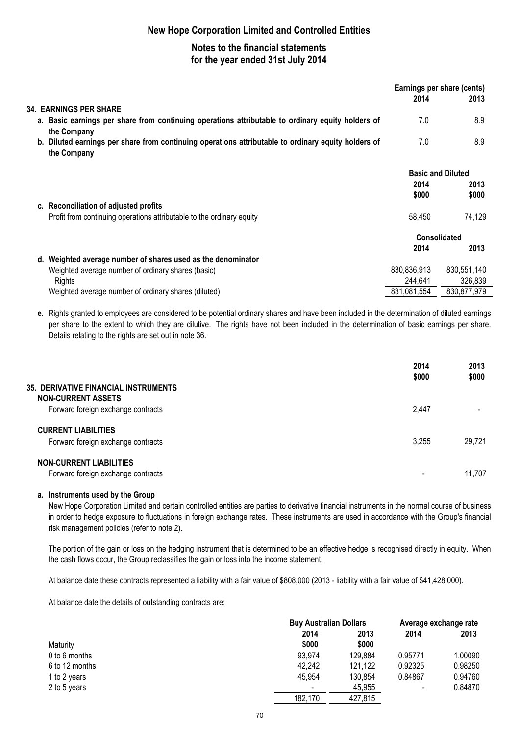# **Notes to the financial statements for the year ended 31st July 2014**

|                                                                                                                    | 2014        | Earnings per share (cents)<br>2013 |
|--------------------------------------------------------------------------------------------------------------------|-------------|------------------------------------|
| <b>34. EARNINGS PER SHARE</b>                                                                                      |             |                                    |
| a. Basic earnings per share from continuing operations attributable to ordinary equity holders of<br>the Company   | 7.0         | 8.9                                |
| b. Diluted earnings per share from continuing operations attributable to ordinary equity holders of<br>the Company | 7.0         | 8.9                                |
|                                                                                                                    |             | <b>Basic and Diluted</b>           |
|                                                                                                                    | 2014        | 2013                               |
|                                                                                                                    | \$000       | \$000                              |
| c. Reconciliation of adjusted profits                                                                              |             |                                    |
| Profit from continuing operations attributable to the ordinary equity                                              | 58,450      | 74,129                             |
|                                                                                                                    |             | <b>Consolidated</b>                |
|                                                                                                                    | 2014        | 2013                               |
| d. Weighted average number of shares used as the denominator                                                       |             |                                    |
| Weighted average number of ordinary shares (basic)                                                                 | 830,836,913 | 830,551,140                        |
| Rights                                                                                                             | 244,641     | 326,839                            |
| Weighted average number of ordinary shares (diluted)                                                               | 831,081,554 | 830,877,979                        |

**e.** Rights granted to employees are considered to be potential ordinary shares and have been included in the determination of diluted earnings per share to the extent to which they are dilutive. The rights have not been included in the determination of basic earnings per share. Details relating to the rights are set out in note 36.

|                                                                   | 2014<br>\$000 | 2013<br>\$000 |
|-------------------------------------------------------------------|---------------|---------------|
| 35. DERIVATIVE FINANCIAL INSTRUMENTS<br><b>NON-CURRENT ASSETS</b> |               |               |
| Forward foreign exchange contracts                                | 2.447         |               |
| <b>CURRENT LIABILITIES</b>                                        |               |               |
| Forward foreign exchange contracts                                | 3,255         | 29,721        |
| <b>NON-CURRENT LIABILITIES</b>                                    |               |               |
| Forward foreign exchange contracts                                |               | 11.707        |

### **a. Instruments used by the Group**

New Hope Corporation Limited and certain controlled entities are parties to derivative financial instruments in the normal course of business in order to hedge exposure to fluctuations in foreign exchange rates. These instruments are used in accordance with the Group's financial risk management policies (refer to note 2).

The portion of the gain or loss on the hedging instrument that is determined to be an effective hedge is recognised directly in equity. When the cash flows occur, the Group reclassifies the gain or loss into the income statement.

At balance date these contracts represented a liability with a fair value of \$808,000 (2013 - liability with a fair value of \$41,428,000).

At balance date the details of outstanding contracts are:

|                |                          | <b>Buy Australian Dollars</b> |                          | Average exchange rate |
|----------------|--------------------------|-------------------------------|--------------------------|-----------------------|
|                | 2014                     | 2013                          | 2014                     | 2013                  |
| Maturity       | \$000                    | \$000                         |                          |                       |
| 0 to 6 months  | 93,974                   | 129,884                       | 0.95771                  | 1.00090               |
| 6 to 12 months | 42,242                   | 121,122                       | 0.92325                  | 0.98250               |
| 1 to 2 years   | 45.954                   | 130.854                       | 0.84867                  | 0.94760               |
| 2 to 5 years   | $\overline{\phantom{a}}$ | 45.955                        | $\overline{\phantom{a}}$ | 0.84870               |
|                | 182,170                  | 427,815                       |                          |                       |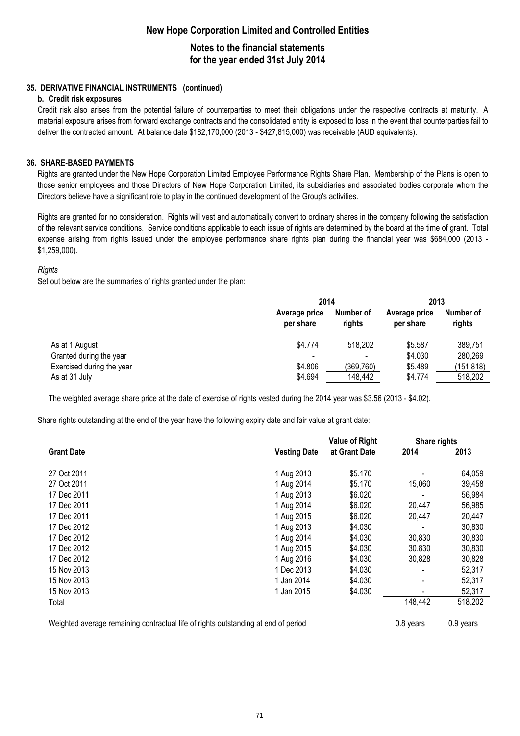### **Notes to the financial statements for the year ended 31st July 2014**

### **35. DERIVATIVE FINANCIAL INSTRUMENTS (continued)**

### **b. Credit risk exposures**

Credit risk also arises from the potential failure of counterparties to meet their obligations under the respective contracts at maturity. A material exposure arises from forward exchange contracts and the consolidated entity is exposed to loss in the event that counterparties fail to deliver the contracted amount. At balance date \$182,170,000 (2013 - \$427,815,000) was receivable (AUD equivalents).

### **36. SHARE-BASED PAYMENTS**

Rights are granted under the New Hope Corporation Limited Employee Performance Rights Share Plan. Membership of the Plans is open to those senior employees and those Directors of New Hope Corporation Limited, its subsidiaries and associated bodies corporate whom the Directors believe have a significant role to play in the continued development of the Group's activities.

Rights are granted for no consideration. Rights will vest and automatically convert to ordinary shares in the company following the satisfaction of the relevant service conditions. Service conditions applicable to each issue of rights are determined by the board at the time of grant. Total expense arising from rights issued under the employee performance share rights plan during the financial year was \$684,000 (2013 - \$1,259,000).

### *Rights*

Set out below are the summaries of rights granted under the plan:

|                           | 2014                       |                     | 2013                       |                     |
|---------------------------|----------------------------|---------------------|----------------------------|---------------------|
|                           | Average price<br>per share | Number of<br>riahts | Average price<br>per share | Number of<br>rights |
| As at 1 August            | \$4,774                    | 518,202             | \$5.587                    | 389,751             |
| Granted during the year   |                            |                     | \$4.030                    | 280,269             |
| Exercised during the year | \$4.806                    | (369,760)           | \$5.489                    | (151,818)           |
| As at 31 July             | \$4.694                    | 148,442             | \$4.774                    | 518,202             |

The weighted average share price at the date of exercise of rights vested during the 2014 year was \$3.56 (2013 - \$4.02).

Share rights outstanding at the end of the year have the following expiry date and fair value at grant date:

|                   |                     | <b>Value of Right</b> | Share rights   |         |
|-------------------|---------------------|-----------------------|----------------|---------|
| <b>Grant Date</b> | <b>Vesting Date</b> | at Grant Date         | 2014           | 2013    |
| 27 Oct 2011       | 1 Aug 2013          | \$5.170               |                | 64,059  |
| 27 Oct 2011       | 1 Aug 2014          | \$5.170               | 15,060         | 39,458  |
| 17 Dec 2011       | 1 Aug 2013          | \$6.020               |                | 56,984  |
| 17 Dec 2011       | 1 Aug 2014          | \$6.020               | 20,447         | 56,985  |
| 17 Dec 2011       | 1 Aug 2015          | \$6.020               | 20,447         | 20,447  |
| 17 Dec 2012       | 1 Aug 2013          | \$4.030               |                | 30,830  |
| 17 Dec 2012       | 1 Aug 2014          | \$4.030               | 30,830         | 30,830  |
| 17 Dec 2012       | 1 Aug 2015          | \$4.030               | 30,830         | 30,830  |
| 17 Dec 2012       | 1 Aug 2016          | \$4.030               | 30,828         | 30,828  |
| 15 Nov 2013       | 1 Dec 2013          | \$4.030               |                | 52,317  |
| 15 Nov 2013       | 1 Jan 2014          | \$4.030               | $\blacksquare$ | 52,317  |
| 15 Nov 2013       | 1 Jan 2015          | \$4.030               |                | 52,317  |
| Total             |                     |                       | 148,442        | 518,202 |

Weighted average remaining contractual life of rights outstanding at end of period **0.8** years 0.9 years 0.9 years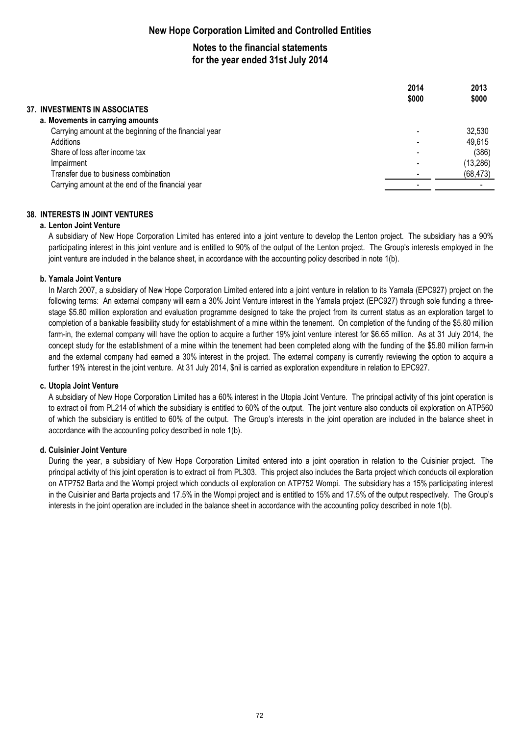# **Notes to the financial statements for the year ended 31st July 2014**

|                                                        | 2014<br>\$000 | 2013<br>\$000 |
|--------------------------------------------------------|---------------|---------------|
| <b>37. INVESTMENTS IN ASSOCIATES</b>                   |               |               |
| a. Movements in carrying amounts                       |               |               |
| Carrying amount at the beginning of the financial year |               | 32,530        |
| Additions                                              |               | 49,615        |
| Share of loss after income tax                         |               | (386)         |
| Impairment                                             |               | (13, 286)     |
| Transfer due to business combination                   |               | (68, 473)     |
| Carrying amount at the end of the financial year       |               |               |
|                                                        |               |               |

### **38. INTERESTS IN JOINT VENTURES**

### **a. Lenton Joint Venture**

A subsidiary of New Hope Corporation Limited has entered into a joint venture to develop the Lenton project. The subsidiary has a 90% participating interest in this joint venture and is entitled to 90% of the output of the Lenton project. The Group's interests employed in the joint venture are included in the balance sheet, in accordance with the accounting policy described in note 1(b).

### **b. Yamala Joint Venture**

In March 2007, a subsidiary of New Hope Corporation Limited entered into a joint venture in relation to its Yamala (EPC927) project on the following terms: An external company will earn a 30% Joint Venture interest in the Yamala project (EPC927) through sole funding a threestage \$5.80 million exploration and evaluation programme designed to take the project from its current status as an exploration target to completion of a bankable feasibility study for establishment of a mine within the tenement. On completion of the funding of the \$5.80 million farm-in, the external company will have the option to acquire a further 19% joint venture interest for \$6.65 million. As at 31 July 2014, the concept study for the establishment of a mine within the tenement had been completed along with the funding of the \$5.80 million farm-in and the external company had earned a 30% interest in the project. The external company is currently reviewing the option to acquire a further 19% interest in the joint venture. At 31 July 2014, \$nil is carried as exploration expenditure in relation to EPC927.

### **c. Utopia Joint Venture**

A subsidiary of New Hope Corporation Limited has a 60% interest in the Utopia Joint Venture. The principal activity of this joint operation is to extract oil from PL214 of which the subsidiary is entitled to 60% of the output. The joint venture also conducts oil exploration on ATP560 of which the subsidiary is entitled to 60% of the output. The Group's interests in the joint operation are included in the balance sheet in accordance with the accounting policy described in note 1(b).

### **d. Cuisinier Joint Venture**

During the year, a subsidiary of New Hope Corporation Limited entered into a joint operation in relation to the Cuisinier project. The principal activity of this joint operation is to extract oil from PL303. This project also includes the Barta project which conducts oil exploration on ATP752 Barta and the Wompi project which conducts oil exploration on ATP752 Wompi. The subsidiary has a 15% participating interest in the Cuisinier and Barta projects and 17.5% in the Wompi project and is entitled to 15% and 17.5% of the output respectively. The Group's interests in the joint operation are included in the balance sheet in accordance with the accounting policy described in note 1(b).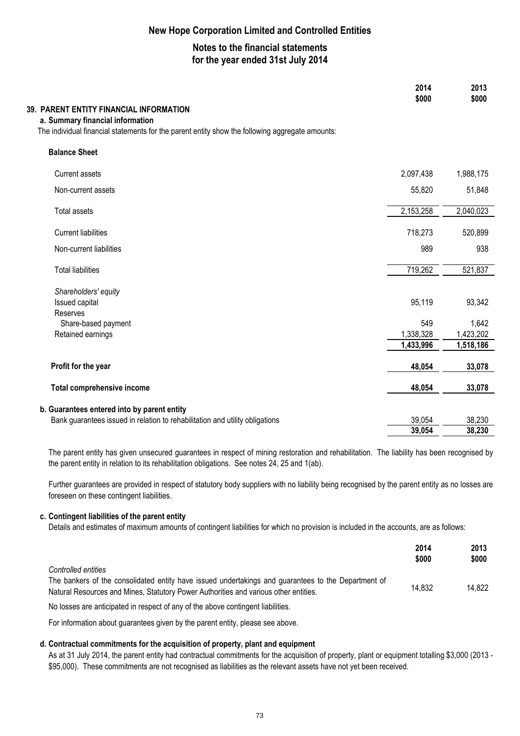## **Notes to the financial statements for the year ended 31st July 2014**

|                                                                                                                                                                                | 2014<br>\$000 | 2013<br>\$000 |
|--------------------------------------------------------------------------------------------------------------------------------------------------------------------------------|---------------|---------------|
| 39. PARENT ENTITY FINANCIAL INFORMATION<br>a. Summary financial information<br>The individual financial statements for the parent entity show the following aggregate amounts: |               |               |
| <b>Balance Sheet</b>                                                                                                                                                           |               |               |
| <b>Current assets</b>                                                                                                                                                          | 2,097,438     | 1,988,175     |
| Non-current assets                                                                                                                                                             | 55,820        | 51,848        |
| Total assets                                                                                                                                                                   | 2,153,258     | 2,040,023     |
| <b>Current liabilities</b>                                                                                                                                                     | 718,273       | 520,899       |
| Non-current liabilities                                                                                                                                                        | 989           | 938           |
| <b>Total liabilities</b>                                                                                                                                                       | 719,262       | 521,837       |
| Shareholders' equity                                                                                                                                                           |               |               |
| Issued capital<br>Reserves                                                                                                                                                     | 95,119        | 93,342        |
| Share-based payment                                                                                                                                                            | 549           | 1,642         |
| Retained earnings                                                                                                                                                              | 1,338,328     | 1,423,202     |
|                                                                                                                                                                                | 1,433,996     | 1,518,186     |
| Profit for the year                                                                                                                                                            | 48,054        | 33,078        |
| <b>Total comprehensive income</b>                                                                                                                                              | 48,054        | 33,078        |
|                                                                                                                                                                                |               |               |
| b. Guarantees entered into by parent entity<br>Bank guarantees issued in relation to rehabilitation and utility obligations                                                    | 39,054        | 38,230        |
|                                                                                                                                                                                | 39,054        | 38,230        |

The parent entity has given unsecured guarantees in respect of mining restoration and rehabilitation. The liability has been recognised by the parent entity in relation to its rehabilitation obligations. See notes 24, 25 and 1(ab).

Further guarantees are provided in respect of statutory body suppliers with no liability being recognised by the parent entity as no losses are foreseen on these contingent liabilities.

### **c. Contingent liabilities of the parent entity**

Details and estimates of maximum amounts of contingent liabilities for which no provision is included in the accounts, are as follows:

|                                                                                                                                                                                                                    | 2014<br>\$000 | 2013<br>\$000 |
|--------------------------------------------------------------------------------------------------------------------------------------------------------------------------------------------------------------------|---------------|---------------|
| Controlled entities<br>The bankers of the consolidated entity have issued undertakings and guarantees to the Department of<br>Natural Resources and Mines, Statutory Power Authorities and various other entities. | 14.832        | 14.822        |
|                                                                                                                                                                                                                    |               |               |

No losses are anticipated in respect of any of the above contingent liabilities.

For information about guarantees given by the parent entity, please see above.

#### **d. Contractual commitments for the acquisition of property, plant and equipment**

As at 31 July 2014, the parent entity had contractual commitments for the acquisition of property, plant or equipment totalling \$3,000 (2013 - \$95,000). These commitments are not recognised as liabilities as the relevant assets have not yet been received.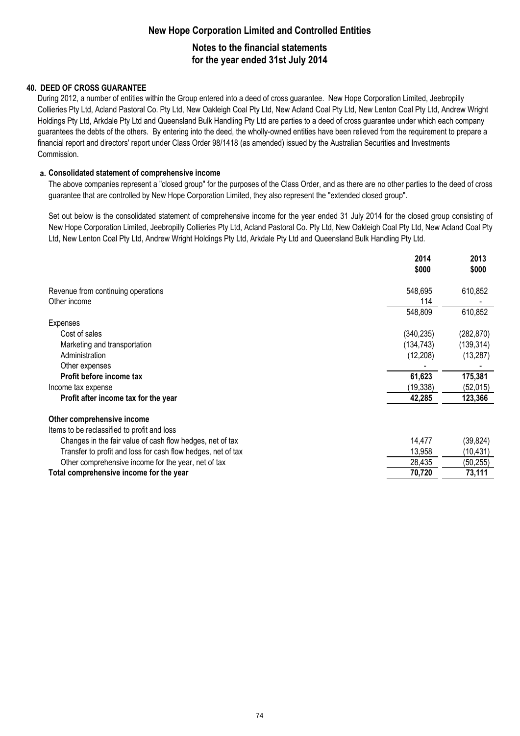# **New Hope Corporation Limited and Controlled Entities Notes to the financial statements for the year ended 31st July 2014**

### **40. DEED OF CROSS GUARANTEE**

During 2012, a number of entities within the Group entered into a deed of cross guarantee. New Hope Corporation Limited, Jeebropilly Collieries Pty Ltd, Acland Pastoral Co. Pty Ltd, New Oakleigh Coal Pty Ltd, New Acland Coal Pty Ltd, New Lenton Coal Pty Ltd, Andrew Wright Holdings Pty Ltd, Arkdale Pty Ltd and Queensland Bulk Handling Pty Ltd are parties to a deed of cross guarantee under which each company guarantees the debts of the others. By entering into the deed, the wholly-owned entities have been relieved from the requirement to prepare a financial report and directors' report under Class Order 98/1418 (as amended) issued by the Australian Securities and Investments Commission.

### **a. Consolidated statement of comprehensive income**

The above companies represent a "closed group" for the purposes of the Class Order, and as there are no other parties to the deed of cross guarantee that are controlled by New Hope Corporation Limited, they also represent the "extended closed group".

Set out below is the consolidated statement of comprehensive income for the year ended 31 July 2014 for the closed group consisting of New Hope Corporation Limited, Jeebropilly Collieries Pty Ltd, Acland Pastoral Co. Pty Ltd, New Oakleigh Coal Pty Ltd, New Acland Coal Pty Ltd, New Lenton Coal Pty Ltd, Andrew Wright Holdings Pty Ltd, Arkdale Pty Ltd and Queensland Bulk Handling Pty Ltd.

|                                                              | 2014<br>\$000 | 2013<br>\$000 |
|--------------------------------------------------------------|---------------|---------------|
| Revenue from continuing operations                           | 548,695       | 610,852       |
| Other income                                                 | 114           |               |
|                                                              | 548,809       | 610,852       |
| Expenses                                                     |               |               |
| Cost of sales                                                | (340, 235)    | (282, 870)    |
| Marketing and transportation                                 | (134,743)     | (139, 314)    |
| Administration                                               | (12, 208)     | (13, 287)     |
| Other expenses                                               |               |               |
| Profit before income tax                                     | 61,623        | 175,381       |
| Income tax expense                                           | (19, 338)     | (52, 015)     |
| Profit after income tax for the year                         | 42,285        | 123,366       |
| Other comprehensive income                                   |               |               |
| Items to be reclassified to profit and loss                  |               |               |
| Changes in the fair value of cash flow hedges, net of tax    | 14,477        | (39, 824)     |
| Transfer to profit and loss for cash flow hedges, net of tax | 13,958        | (10, 431)     |
| Other comprehensive income for the year, net of tax          | 28,435        | (50, 255)     |
| Total comprehensive income for the year                      | 70,720        | 73,111        |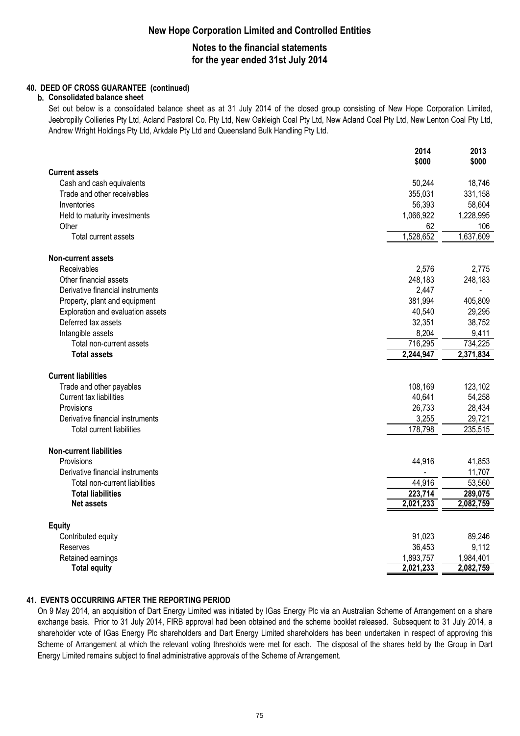### **Notes to the financial statements for the year ended 31st July 2014**

### **40. DEED OF CROSS GUARANTEE (continued)**

### **b. Consolidated balance sheet**

Set out below is a consolidated balance sheet as at 31 July 2014 of the closed group consisting of New Hope Corporation Limited, Jeebropilly Collieries Pty Ltd, Acland Pastoral Co. Pty Ltd, New Oakleigh Coal Pty Ltd, New Acland Coal Pty Ltd, New Lenton Coal Pty Ltd, Andrew Wright Holdings Pty Ltd, Arkdale Pty Ltd and Queensland Bulk Handling Pty Ltd.

|                                   | 2014<br>\$000    | 2013<br>\$000    |
|-----------------------------------|------------------|------------------|
| <b>Current assets</b>             |                  |                  |
| Cash and cash equivalents         | 50,244           | 18,746           |
| Trade and other receivables       | 355,031          | 331,158          |
| Inventories                       | 56,393           | 58,604           |
| Held to maturity investments      | 1,066,922        | 1,228,995        |
| Other                             | 62               | 106              |
| Total current assets              | 1,528,652        | 1,637,609        |
|                                   |                  |                  |
| <b>Non-current assets</b>         |                  |                  |
| Receivables                       | 2,576            | 2,775            |
| Other financial assets            | 248,183          | 248,183          |
| Derivative financial instruments  | 2,447            |                  |
| Property, plant and equipment     | 381,994          | 405,809          |
| Exploration and evaluation assets | 40,540           | 29,295           |
| Deferred tax assets               | 32,351           | 38,752           |
| Intangible assets                 | 8,204<br>716,295 | 9,411<br>734,225 |
| Total non-current assets          |                  |                  |
| <b>Total assets</b>               | 2,244,947        | 2,371,834        |
| <b>Current liabilities</b>        |                  |                  |
| Trade and other payables          | 108,169          | 123,102          |
| Current tax liabilities           | 40,641           | 54,258           |
| Provisions                        | 26,733           | 28,434           |
| Derivative financial instruments  | 3,255            | 29,721           |
| <b>Total current liabilities</b>  | 178,798          | 235,515          |
| <b>Non-current liabilities</b>    |                  |                  |
| Provisions                        | 44,916           | 41,853           |
| Derivative financial instruments  |                  | 11,707           |
| Total non-current liabilities     | 44,916           | 53,560           |
| <b>Total liabilities</b>          | 223,714          | 289,075          |
| <b>Net assets</b>                 | 2,021,233        | 2,082,759        |
|                                   |                  |                  |
| <b>Equity</b>                     |                  |                  |
| Contributed equity                | 91,023           | 89,246           |
| Reserves                          | 36,453           | 9,112            |
| Retained earnings                 | 1,893,757        | 1,984,401        |
| <b>Total equity</b>               | 2,021,233        | 2,082,759        |

### **41. EVENTS OCCURRING AFTER THE REPORTING PERIOD**

On 9 May 2014, an acquisition of Dart Energy Limited was initiated by IGas Energy Plc via an Australian Scheme of Arrangement on a share exchange basis. Prior to 31 July 2014, FIRB approval had been obtained and the scheme booklet released. Subsequent to 31 July 2014, a shareholder vote of IGas Energy Plc shareholders and Dart Energy Limited shareholders has been undertaken in respect of approving this Scheme of Arrangement at which the relevant voting thresholds were met for each. The disposal of the shares held by the Group in Dart Energy Limited remains subject to final administrative approvals of the Scheme of Arrangement.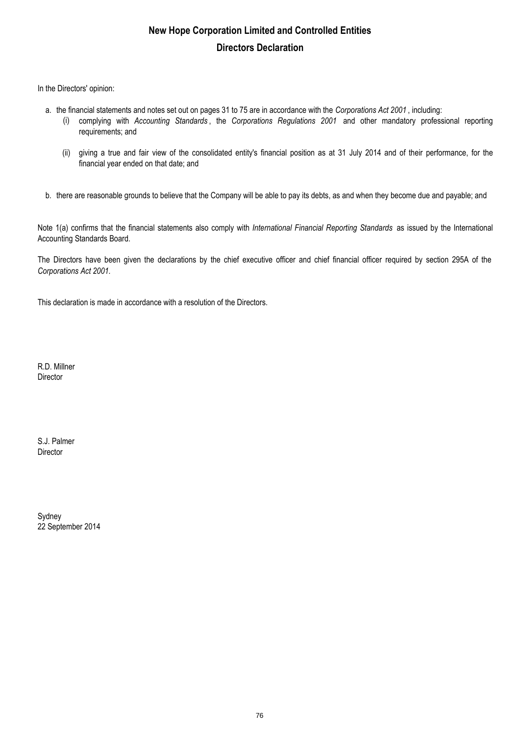# **New Hope Corporation Limited and Controlled Entities Directors Declaration**

In the Directors' opinion:

- a. the financial statements and notes set out on pages 31 to 75 are in accordance with the *Corporations Act 2001* , including:
	- (i) complying with *Accounting Standards* , the *Corporations Regulations 2001* and other mandatory professional reporting requirements; and
		- (ii) giving a true and fair view of the consolidated entity's financial position as at 31 July 2014 and of their performance, for the financial year ended on that date; and
- b. there are reasonable grounds to believe that the Company will be able to pay its debts, as and when they become due and payable; and

Note 1(a) confirms that the financial statements also comply with *International Financial Reporting Standards* as issued by the International Accounting Standards Board.

The Directors have been given the declarations by the chief executive officer and chief financial officer required by section 295A of the *Corporations Act 2001.*

This declaration is made in accordance with a resolution of the Directors.

R.D. Millner Director

S.J. Palmer Director

Sydney 22 September 2014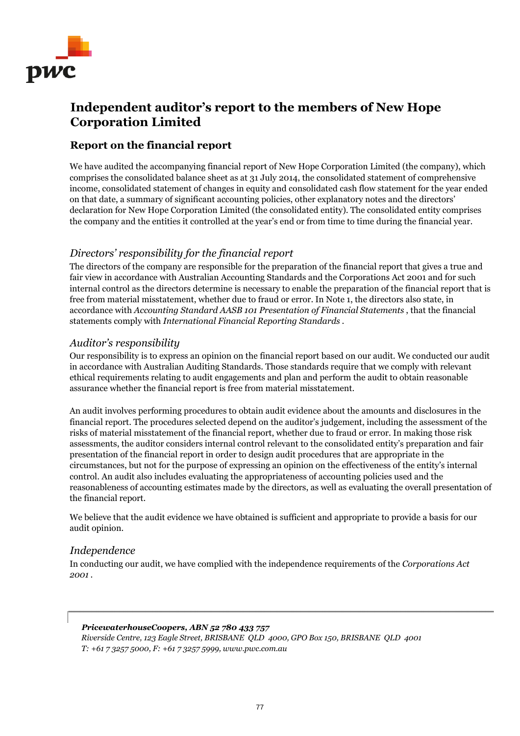

# **Independent auditor's report to the members of New Hope Corporation Limited**

# **Report on the financial report**

We have audited the accompanying financial report of New Hope Corporation Limited (the company), which comprises the consolidated balance sheet as at 31 July 2014, the consolidated statement of comprehensive income, consolidated statement of changes in equity and consolidated cash flow statement for the year ended on that date, a summary of significant accounting policies, other explanatory notes and the directors' declaration for New Hope Corporation Limited (the consolidated entity). The consolidated entity comprises the company and the entities it controlled at the year's end or from time to time during the financial year.

# *Directors' responsibility for the financial report*

The directors of the company are responsible for the preparation of the financial report that gives a true and fair view in accordance with Australian Accounting Standards and the Corporations Act 2001 and for such internal control as the directors determine is necessary to enable the preparation of the financial report that is free from material misstatement, whether due to fraud or error. In Note 1, the directors also state, in accordance with *Accounting Standard AASB 101 Presentation of Financial Statements* , that the financial statements comply with *International Financial Reporting Standards* .

# *Auditor's responsibility*

Our responsibility is to express an opinion on the financial report based on our audit. We conducted our audit in accordance with Australian Auditing Standards. Those standards require that we comply with relevant ethical requirements relating to audit engagements and plan and perform the audit to obtain reasonable assurance whether the financial report is free from material misstatement.

An audit involves performing procedures to obtain audit evidence about the amounts and disclosures in the financial report. The procedures selected depend on the auditor's judgement, including the assessment of the risks of material misstatement of the financial report, whether due to fraud or error. In making those risk assessments, the auditor considers internal control relevant to the consolidated entity's preparation and fair presentation of the financial report in order to design audit procedures that are appropriate in the circumstances, but not for the purpose of expressing an opinion on the effectiveness of the entity's internal control. An audit also includes evaluating the appropriateness of accounting policies used and the reasonableness of accounting estimates made by the directors, as well as evaluating the overall presentation of the financial report.

We believe that the audit evidence we have obtained is sufficient and appropriate to provide a basis for our audit opinion.

### *Independence*

In conducting our audit, we have complied with the independence requirements of the *Corporations Act 2001* .

### *PricewaterhouseCoopers, ABN 52 780 433 757*

*Riverside Centre, 123 Eagle Street, BRISBANE QLD 4000, GPO Box 150, BRISBANE QLD 4001 T: +61 7 3257 5000, F: +61 7 3257 5999, www.pwc.com.au*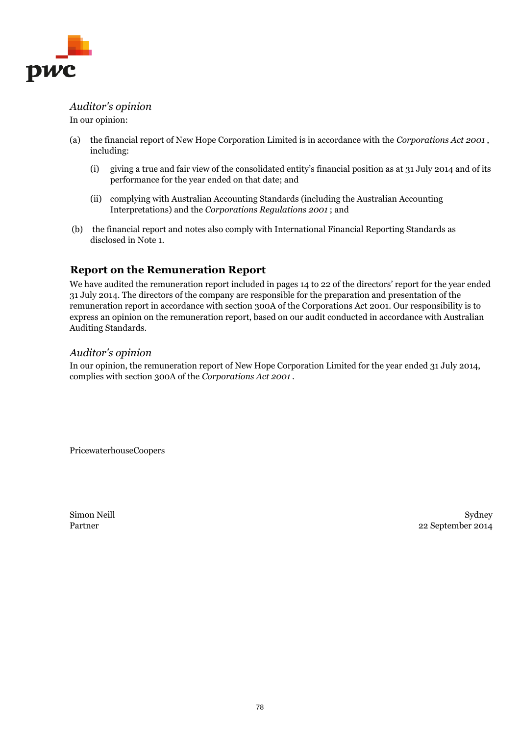

*Auditor's opinion* In our opinion:

- (a) the financial report of New Hope Corporation Limited is in accordance with the *Corporations Act 2001* , including:
	- (i) giving a true and fair view of the consolidated entity's financial position as at 31 July 2014 and of its performance for the year ended on that date; and
	- (ii) complying with Australian Accounting Standards (including the Australian Accounting Interpretations) and the *Corporations Regulations 2001* ; and
- (b) the financial report and notes also comply with International Financial Reporting Standards as disclosed in Note 1.

# **Report on the Remuneration Report**

We have audited the remuneration report included in pages 14 to 22 of the directors' report for the year ended 31 July 2014. The directors of the company are responsible for the preparation and presentation of the remuneration report in accordance with section 300A of the Corporations Act 2001. Our responsibility is to express an opinion on the remuneration report, based on our audit conducted in accordance with Australian Auditing Standards.

### *Auditor's opinion*

In our opinion, the remuneration report of New Hope Corporation Limited for the year ended 31 July 2014, complies with section 300A of the *Corporations Act 2001* .

PricewaterhouseCoopers

Simon Neill Partner

Sydney 22 September 2014